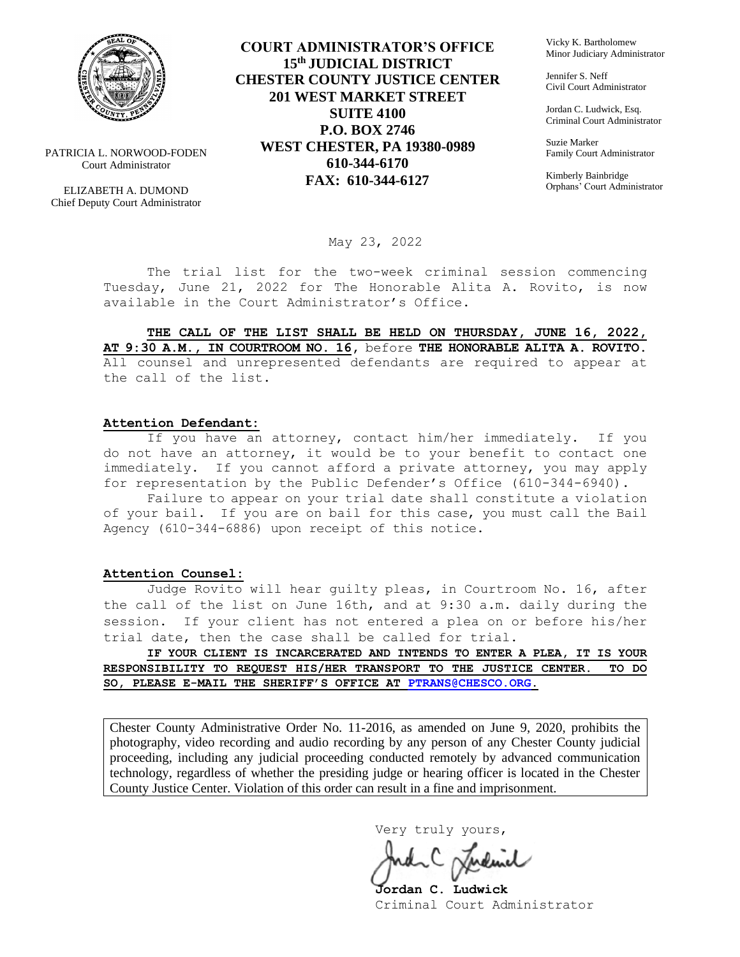

PATRICIA L. NORWOOD-FODEN Court Administrator

ELIZABETH A. DUMOND Chief Deputy Court Administrator

**COURT ADMINISTRATOR'S OFFICE 15th JUDICIAL DISTRICT CHESTER COUNTY JUSTICE CENTER 201 WEST MARKET STREET SUITE 4100 P.O. BOX 2746 WEST CHESTER, PA 19380-0989 610-344-6170 FAX: 610-344-6127**

Vicky K. Bartholomew Minor Judiciary Administrator

Jennifer S. Neff Civil Court Administrator

Jordan C. Ludwick, Esq. Criminal Court Administrator

Suzie Marker Family Court Administrator

Kimberly Bainbridge Orphans' Court Administrator

May 23, 2022

The trial list for the two-week criminal session commencing Tuesday, June 21, 2022 for The Honorable Alita A. Rovito, is now available in the Court Administrator's Office.

**THE CALL OF THE LIST SHALL BE HELD ON THURSDAY, JUNE 16, 2022, AT 9:30 A.M., IN COURTROOM NO. 16,** before **THE HONORABLE ALITA A. ROVITO.**  All counsel and unrepresented defendants are required to appear at the call of the list.

#### **Attention Defendant:**

If you have an attorney, contact him/her immediately. If you do not have an attorney, it would be to your benefit to contact one immediately. If you cannot afford a private attorney, you may apply for representation by the Public Defender's Office (610-344-6940).

Failure to appear on your trial date shall constitute a violation of your bail. If you are on bail for this case, you must call the Bail Agency (610-344-6886) upon receipt of this notice.

#### **Attention Counsel:**

Judge Rovito will hear guilty pleas, in Courtroom No. 16, after the call of the list on June 16th, and at 9:30 a.m. daily during the session. If your client has not entered a plea on or before his/her trial date, then the case shall be called for trial.

**IF YOUR CLIENT IS INCARCERATED AND INTENDS TO ENTER A PLEA, IT IS YOUR RESPONSIBILITY TO REQUEST HIS/HER TRANSPORT TO THE JUSTICE CENTER. TO DO SO, PLEASE E-MAIL THE SHERIFF'S OFFICE AT [PTRANS@CHESCO.ORG.](mailto:PTRANS@CHESCO.ORG)**

Chester County Administrative Order No. 11-2016, as amended on June 9, 2020, prohibits the photography, video recording and audio recording by any person of any Chester County judicial proceeding, including any judicial proceeding conducted remotely by advanced communication technology, regardless of whether the presiding judge or hearing officer is located in the Chester County Justice Center. Violation of this order can result in a fine and imprisonment.

Very truly yours,

**Jordan C. Ludwick** Criminal Court Administrator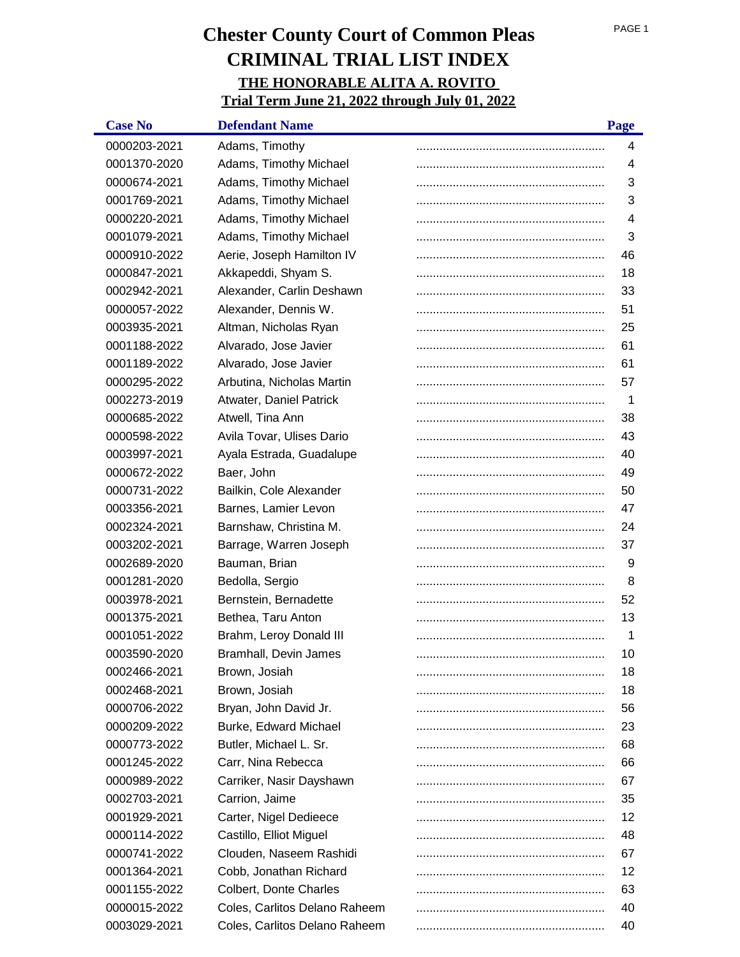| <b>Case No</b> | <b>Defendant Name</b>         | Page |
|----------------|-------------------------------|------|
| 0000203-2021   | Adams, Timothy                | 4    |
| 0001370-2020   | Adams, Timothy Michael        | 4    |
| 0000674-2021   | Adams, Timothy Michael        | 3    |
| 0001769-2021   | Adams, Timothy Michael        | 3    |
| 0000220-2021   | Adams, Timothy Michael        | 4    |
| 0001079-2021   | Adams, Timothy Michael        | 3    |
| 0000910-2022   | Aerie, Joseph Hamilton IV     | 46   |
| 0000847-2021   | Akkapeddi, Shyam S.           | 18   |
| 0002942-2021   | Alexander, Carlin Deshawn     | 33   |
| 0000057-2022   | Alexander, Dennis W.          | 51   |
| 0003935-2021   | Altman, Nicholas Ryan         | 25   |
| 0001188-2022   | Alvarado, Jose Javier         | 61   |
| 0001189-2022   | Alvarado, Jose Javier         | 61   |
| 0000295-2022   | Arbutina, Nicholas Martin     | 57   |
| 0002273-2019   | Atwater, Daniel Patrick       | 1    |
| 0000685-2022   | Atwell, Tina Ann              | 38   |
| 0000598-2022   | Avila Tovar, Ulises Dario     | 43   |
| 0003997-2021   | Ayala Estrada, Guadalupe      | 40   |
| 0000672-2022   | Baer, John                    | 49   |
| 0000731-2022   | Bailkin, Cole Alexander       | 50   |
| 0003356-2021   | Barnes, Lamier Levon          | 47   |
| 0002324-2021   | Barnshaw, Christina M.        | 24   |
| 0003202-2021   | Barrage, Warren Joseph        | 37   |
| 0002689-2020   | Bauman, Brian                 | 9    |
| 0001281-2020   | Bedolla, Sergio               | 8    |
| 0003978-2021   | Bernstein, Bernadette         | 52   |
| 0001375-2021   | Bethea, Taru Anton            | 13   |
| 0001051-2022   | Brahm, Leroy Donald III       | 1    |
| 0003590-2020   | Bramhall, Devin James         | 10   |
| 0002466-2021   | Brown, Josiah                 | 18   |
| 0002468-2021   | Brown, Josiah                 | 18   |
| 0000706-2022   | Bryan, John David Jr.         | 56   |
| 0000209-2022   | <b>Burke, Edward Michael</b>  | 23   |
| 0000773-2022   | Butler, Michael L. Sr.        | 68   |
| 0001245-2022   | Carr, Nina Rebecca            | 66   |
| 0000989-2022   | Carriker, Nasir Dayshawn      | 67   |
| 0002703-2021   | Carrion, Jaime                | 35   |
| 0001929-2021   | Carter, Nigel Dedieece        | 12   |
| 0000114-2022   | Castillo, Elliot Miguel       | 48   |
| 0000741-2022   | Clouden, Naseem Rashidi       | 67   |
| 0001364-2021   | Cobb, Jonathan Richard        | 12   |
| 0001155-2022   | Colbert, Donte Charles        | 63   |
| 0000015-2022   | Coles, Carlitos Delano Raheem | 40   |
| 0003029-2021   | Coles, Carlitos Delano Raheem | 40   |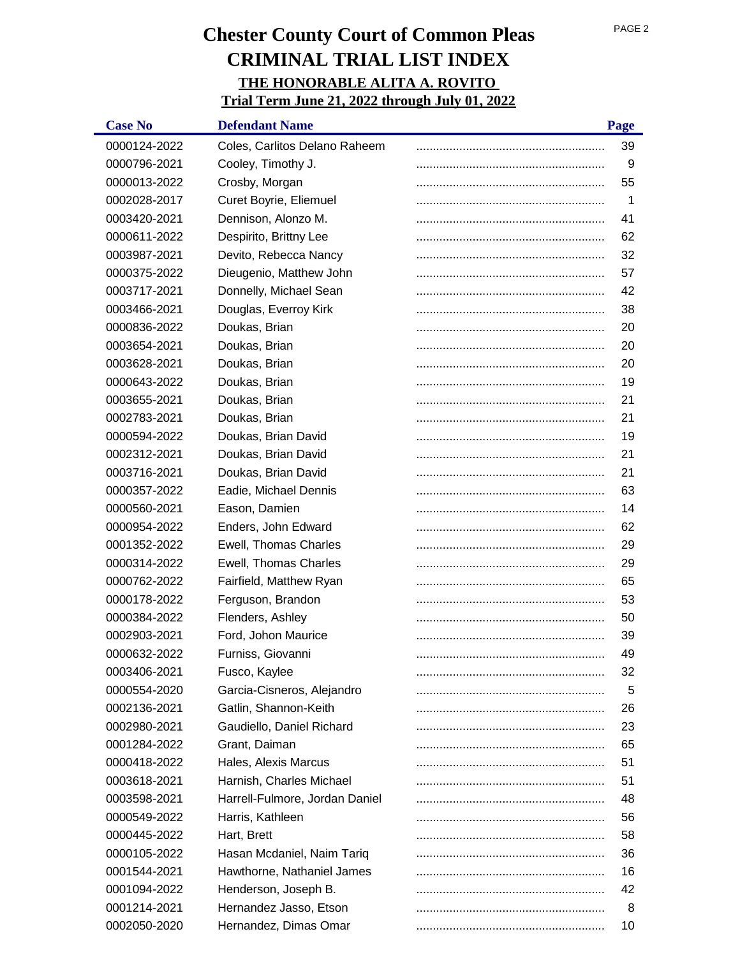| <b>Case No</b> | <b>Defendant Name</b>          | Page |
|----------------|--------------------------------|------|
| 0000124-2022   | Coles, Carlitos Delano Raheem  | 39   |
| 0000796-2021   | Cooley, Timothy J.             | 9    |
| 0000013-2022   | Crosby, Morgan                 | 55   |
| 0002028-2017   | Curet Boyrie, Eliemuel         | 1    |
| 0003420-2021   | Dennison, Alonzo M.            | 41   |
| 0000611-2022   | Despirito, Brittny Lee         | 62   |
| 0003987-2021   | Devito, Rebecca Nancy          | 32   |
| 0000375-2022   | Dieugenio, Matthew John        | 57   |
| 0003717-2021   | Donnelly, Michael Sean         | 42   |
| 0003466-2021   | Douglas, Everroy Kirk          | 38   |
| 0000836-2022   | Doukas, Brian                  | 20   |
| 0003654-2021   | Doukas, Brian                  | 20   |
| 0003628-2021   | Doukas, Brian                  | 20   |
| 0000643-2022   | Doukas, Brian                  | 19   |
| 0003655-2021   | Doukas, Brian                  | 21   |
| 0002783-2021   | Doukas, Brian                  | 21   |
| 0000594-2022   | Doukas, Brian David            | 19   |
| 0002312-2021   | Doukas, Brian David            | 21   |
| 0003716-2021   | Doukas, Brian David            | 21   |
| 0000357-2022   | Eadie, Michael Dennis          | 63   |
| 0000560-2021   | Eason, Damien                  | 14   |
| 0000954-2022   | Enders, John Edward            | 62   |
| 0001352-2022   | Ewell, Thomas Charles          | 29   |
| 0000314-2022   | Ewell, Thomas Charles          | 29   |
| 0000762-2022   | Fairfield, Matthew Ryan        | 65   |
| 0000178-2022   | Ferguson, Brandon              | 53   |
| 0000384-2022   | Flenders, Ashley               | 50   |
| 0002903-2021   | Ford, Johon Maurice            | 39   |
| 0000632-2022   | Furniss, Giovanni              | 49   |
| 0003406-2021   | Fusco, Kaylee                  | 32   |
| 0000554-2020   | Garcia-Cisneros, Alejandro     | 5    |
| 0002136-2021   | Gatlin, Shannon-Keith          | 26   |
| 0002980-2021   | Gaudiello, Daniel Richard      | 23   |
| 0001284-2022   | Grant, Daiman                  | 65   |
| 0000418-2022   | Hales, Alexis Marcus           | 51   |
| 0003618-2021   | Harnish, Charles Michael       | 51   |
| 0003598-2021   | Harrell-Fulmore, Jordan Daniel | 48   |
| 0000549-2022   | Harris, Kathleen               | 56   |
| 0000445-2022   | Hart, Brett                    | 58   |
| 0000105-2022   | Hasan Mcdaniel, Naim Tariq     | 36   |
| 0001544-2021   | Hawthorne, Nathaniel James     | 16   |
| 0001094-2022   | Henderson, Joseph B.           | 42   |
| 0001214-2021   | Hernandez Jasso, Etson         | 8    |
| 0002050-2020   | Hernandez, Dimas Omar          | 10   |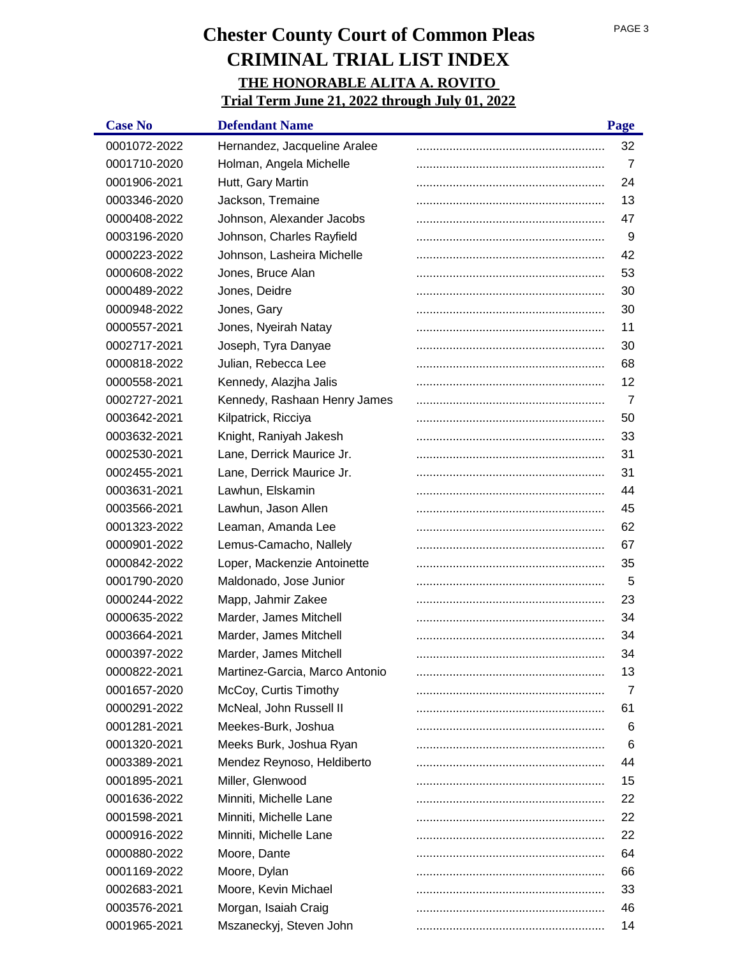| <b>Case No</b> | <b>Defendant Name</b>          | Page |
|----------------|--------------------------------|------|
| 0001072-2022   | Hernandez, Jacqueline Aralee   | 32   |
| 0001710-2020   | Holman, Angela Michelle        | 7    |
| 0001906-2021   | Hutt, Gary Martin              | 24   |
| 0003346-2020   | Jackson, Tremaine              | 13   |
| 0000408-2022   | Johnson, Alexander Jacobs      | 47   |
| 0003196-2020   | Johnson, Charles Rayfield      | 9    |
| 0000223-2022   | Johnson, Lasheira Michelle     | 42   |
| 0000608-2022   | Jones, Bruce Alan              | 53   |
| 0000489-2022   | Jones, Deidre                  | 30   |
| 0000948-2022   | Jones, Gary                    | 30   |
| 0000557-2021   | Jones, Nyeirah Natay           | 11   |
| 0002717-2021   | Joseph, Tyra Danyae            | 30   |
| 0000818-2022   | Julian, Rebecca Lee            | 68   |
| 0000558-2021   | Kennedy, Alazjha Jalis         | 12   |
| 0002727-2021   | Kennedy, Rashaan Henry James   | 7    |
| 0003642-2021   | Kilpatrick, Ricciya            | 50   |
| 0003632-2021   | Knight, Raniyah Jakesh         | 33   |
| 0002530-2021   | Lane, Derrick Maurice Jr.      | 31   |
| 0002455-2021   | Lane, Derrick Maurice Jr.      | 31   |
| 0003631-2021   | Lawhun, Elskamin               | 44   |
| 0003566-2021   | Lawhun, Jason Allen            | 45   |
| 0001323-2022   | Leaman, Amanda Lee             | 62   |
| 0000901-2022   | Lemus-Camacho, Nallely         | 67   |
| 0000842-2022   | Loper, Mackenzie Antoinette    | 35   |
| 0001790-2020   | Maldonado, Jose Junior         | 5    |
| 0000244-2022   | Mapp, Jahmir Zakee             | 23   |
| 0000635-2022   | Marder, James Mitchell         | 34   |
| 0003664-2021   | Marder, James Mitchell         | 34   |
| 0000397-2022   | Marder, James Mitchell         | 34   |
| 0000822-2021   | Martinez-Garcia, Marco Antonio | 13   |
| 0001657-2020   | McCoy, Curtis Timothy          | 7    |
| 0000291-2022   | McNeal, John Russell II        | 61   |
| 0001281-2021   | Meekes-Burk, Joshua            | 6    |
| 0001320-2021   | Meeks Burk, Joshua Ryan        | 6    |
| 0003389-2021   | Mendez Reynoso, Heldiberto     | 44   |
| 0001895-2021   | Miller, Glenwood               | 15   |
| 0001636-2022   | Minniti, Michelle Lane         | 22   |
| 0001598-2021   | Minniti, Michelle Lane         | 22   |
| 0000916-2022   | Minniti, Michelle Lane         | 22   |
| 0000880-2022   | Moore, Dante                   | 64   |
| 0001169-2022   | Moore, Dylan                   | 66   |
| 0002683-2021   | Moore, Kevin Michael           | 33   |
| 0003576-2021   | Morgan, Isaiah Craig           | 46   |
| 0001965-2021   | Mszaneckyj, Steven John        | 14   |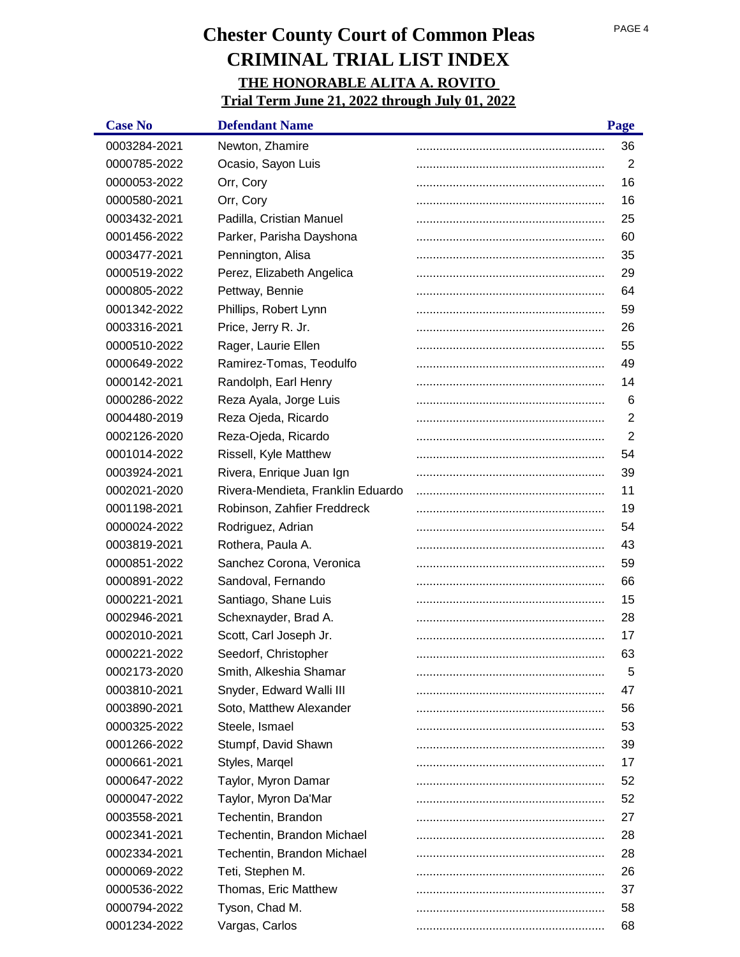| <b>Case No</b> | <b>Defendant Name</b>             | Page           |
|----------------|-----------------------------------|----------------|
| 0003284-2021   | Newton, Zhamire                   | 36             |
| 0000785-2022   | Ocasio, Sayon Luis                | $\overline{2}$ |
| 0000053-2022   | Orr, Cory                         | 16             |
| 0000580-2021   | Orr, Cory                         | 16             |
| 0003432-2021   | Padilla, Cristian Manuel          | 25             |
| 0001456-2022   | Parker, Parisha Dayshona          | 60             |
| 0003477-2021   | Pennington, Alisa                 | 35             |
| 0000519-2022   | Perez, Elizabeth Angelica         | 29             |
| 0000805-2022   | Pettway, Bennie                   | 64             |
| 0001342-2022   | Phillips, Robert Lynn             | 59             |
| 0003316-2021   | Price, Jerry R. Jr.               | 26             |
| 0000510-2022   | Rager, Laurie Ellen               | 55             |
| 0000649-2022   | Ramirez-Tomas, Teodulfo           | 49             |
| 0000142-2021   | Randolph, Earl Henry              | 14             |
| 0000286-2022   | Reza Ayala, Jorge Luis            | 6              |
| 0004480-2019   | Reza Ojeda, Ricardo               | $\overline{2}$ |
| 0002126-2020   | Reza-Ojeda, Ricardo               | $\overline{2}$ |
| 0001014-2022   | Rissell, Kyle Matthew             | 54             |
| 0003924-2021   | Rivera, Enrique Juan Ign          | 39             |
| 0002021-2020   | Rivera-Mendieta, Franklin Eduardo | 11             |
| 0001198-2021   | Robinson, Zahfier Freddreck       | 19             |
| 0000024-2022   | Rodriguez, Adrian                 | 54             |
| 0003819-2021   | Rothera, Paula A.                 | 43             |
| 0000851-2022   | Sanchez Corona, Veronica          | 59             |
| 0000891-2022   | Sandoval, Fernando                | 66             |
| 0000221-2021   | Santiago, Shane Luis              | 15             |
| 0002946-2021   | Schexnayder, Brad A.              | 28             |
| 0002010-2021   | Scott, Carl Joseph Jr.            | 17             |
| 0000221-2022   | Seedorf, Christopher              | 63             |
| 0002173-2020   | Smith, Alkeshia Shamar            | 5              |
| 0003810-2021   | Snyder, Edward Walli III          | 47             |
| 0003890-2021   | Soto, Matthew Alexander           | 56             |
| 0000325-2022   | Steele, Ismael                    | 53             |
| 0001266-2022   | Stumpf, David Shawn               | 39             |
| 0000661-2021   | Styles, Margel                    | 17             |
| 0000647-2022   | Taylor, Myron Damar               | 52             |
| 0000047-2022   | Taylor, Myron Da'Mar              | 52             |
| 0003558-2021   | Techentin, Brandon                | 27             |
| 0002341-2021   | Techentin, Brandon Michael        | 28             |
| 0002334-2021   | Techentin, Brandon Michael        | 28             |
| 0000069-2022   | Teti, Stephen M.                  | 26             |
| 0000536-2022   | Thomas, Eric Matthew              | 37             |
| 0000794-2022   | Tyson, Chad M.                    | 58             |
| 0001234-2022   | Vargas, Carlos                    | 68             |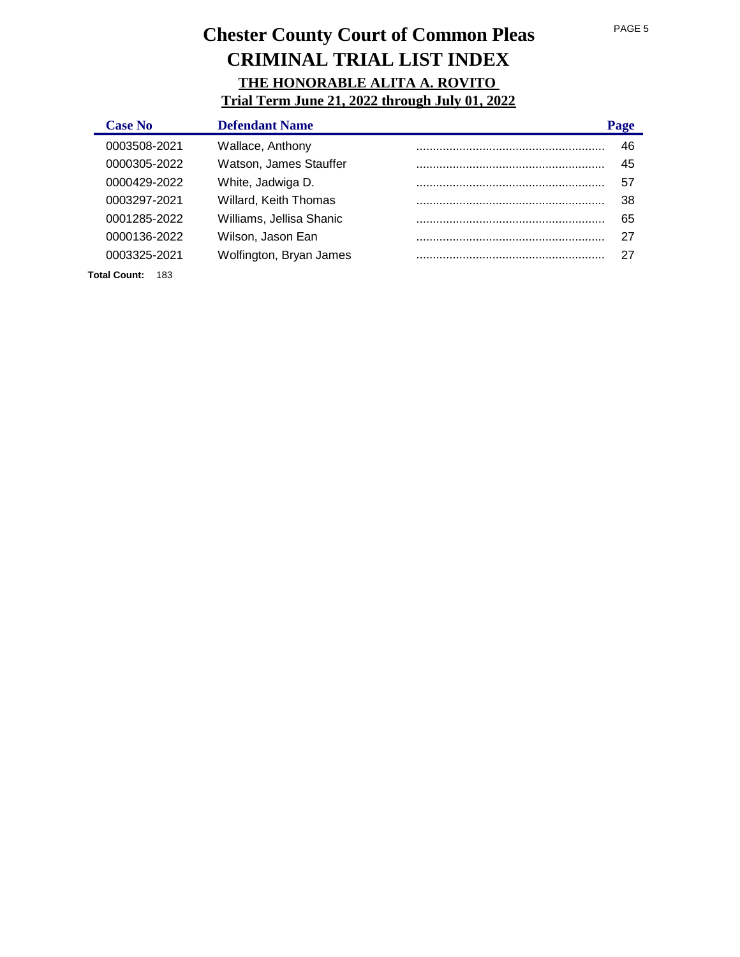| <b>Case No</b> |     | <b>Defendant Name</b>        | Page |
|----------------|-----|------------------------------|------|
| 0003508-2021   |     | Wallace, Anthony             | 46   |
| 0000305-2022   |     | Watson, James Stauffer       | 45   |
| 0000429-2022   |     | White, Jadwiga D.            | 57   |
| 0003297-2021   |     | <b>Willard, Keith Thomas</b> | 38   |
| 0001285-2022   |     | Williams, Jellisa Shanic     | 65   |
| 0000136-2022   |     | Wilson, Jason Ean            | 27   |
| 0003325-2021   |     | Wolfington, Bryan James      | 27   |
| Total Count:   | 183 |                              |      |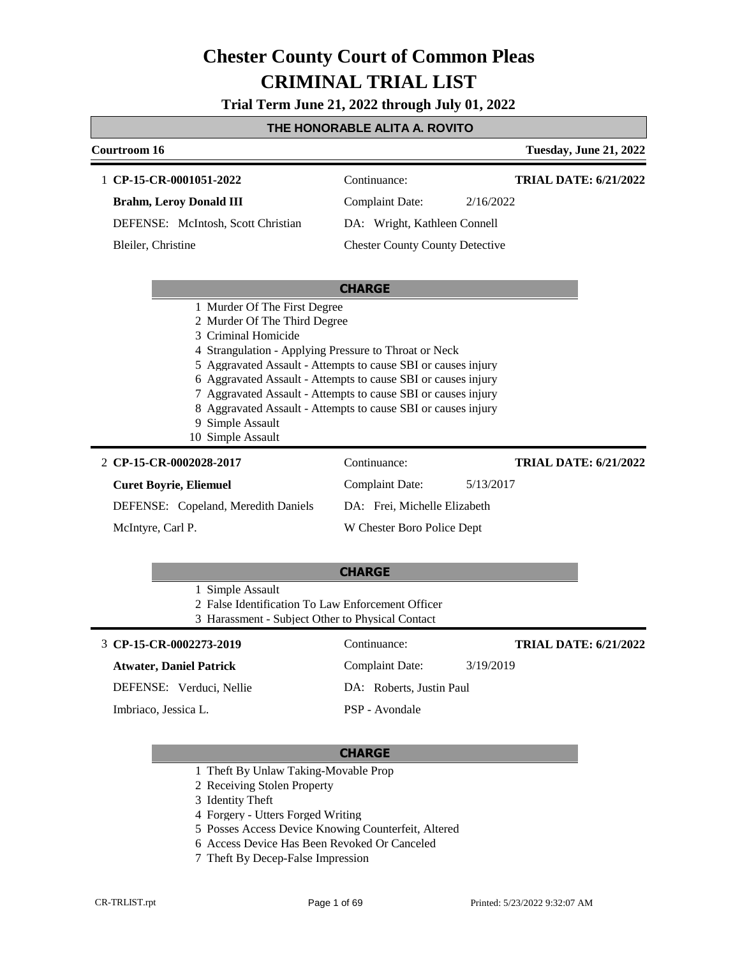**Trial Term June 21, 2022 through July 01, 2022**

### **THE HONORABLE ALITA A. ROVITO**

| Courtroom 16                  |                                                                                                                                                                                                                                                                                                                                                                                                                           |                                        |           | <b>Tuesday, June 21, 2022</b> |
|-------------------------------|---------------------------------------------------------------------------------------------------------------------------------------------------------------------------------------------------------------------------------------------------------------------------------------------------------------------------------------------------------------------------------------------------------------------------|----------------------------------------|-----------|-------------------------------|
|                               | 1 CP-15-CR-0001051-2022                                                                                                                                                                                                                                                                                                                                                                                                   | Continuance:                           |           | <b>TRIAL DATE: 6/21/2022</b>  |
|                               | <b>Brahm, Leroy Donald III</b>                                                                                                                                                                                                                                                                                                                                                                                            | <b>Complaint Date:</b>                 | 2/16/2022 |                               |
|                               | DEFENSE: McIntosh, Scott Christian                                                                                                                                                                                                                                                                                                                                                                                        | DA: Wright, Kathleen Connell           |           |                               |
| Bleiler, Christine            |                                                                                                                                                                                                                                                                                                                                                                                                                           | <b>Chester County County Detective</b> |           |                               |
|                               |                                                                                                                                                                                                                                                                                                                                                                                                                           |                                        |           |                               |
|                               |                                                                                                                                                                                                                                                                                                                                                                                                                           | <b>CHARGE</b>                          |           |                               |
|                               | 2 Murder Of The Third Degree<br>3 Criminal Homicide<br>4 Strangulation - Applying Pressure to Throat or Neck<br>5 Aggravated Assault - Attempts to cause SBI or causes injury<br>6 Aggravated Assault - Attempts to cause SBI or causes injury<br>7 Aggravated Assault - Attempts to cause SBI or causes injury<br>8 Aggravated Assault - Attempts to cause SBI or causes injury<br>9 Simple Assault<br>10 Simple Assault |                                        |           |                               |
|                               | 2 CP-15-CR-0002028-2017                                                                                                                                                                                                                                                                                                                                                                                                   | Continuance:                           |           | <b>TRIAL DATE: 6/21/2022</b>  |
| <b>Curet Boyrie, Eliemuel</b> |                                                                                                                                                                                                                                                                                                                                                                                                                           | <b>Complaint Date:</b>                 | 5/13/2017 |                               |
|                               | DEFENSE: Copeland, Meredith Daniels                                                                                                                                                                                                                                                                                                                                                                                       | DA: Frei, Michelle Elizabeth           |           |                               |
| McIntyre, Carl P.             |                                                                                                                                                                                                                                                                                                                                                                                                                           | W Chester Boro Police Dept             |           |                               |
|                               |                                                                                                                                                                                                                                                                                                                                                                                                                           |                                        |           |                               |
|                               |                                                                                                                                                                                                                                                                                                                                                                                                                           | <b>CHARGE</b>                          |           |                               |
|                               | 1 Simple Assault<br>2 False Identification To Law Enforcement Officer<br>3 Harassment - Subject Other to Physical Contact                                                                                                                                                                                                                                                                                                 |                                        |           |                               |
|                               | 3 CP-15-CR-0002273-2019                                                                                                                                                                                                                                                                                                                                                                                                   | Continuance:                           |           | <b>TRIAL DATE: 6/21/2022</b>  |
|                               |                                                                                                                                                                                                                                                                                                                                                                                                                           |                                        |           |                               |

### **Atwater, Daniel Patrick**

DEFENSE: Verduci, Nellie

Imbriaco, Jessica L.

Complaint Date: 3/19/2019 DA: Roberts, Justin Paul PSP - Avondale

- 1 Theft By Unlaw Taking-Movable Prop
- 2 Receiving Stolen Property
- 3 Identity Theft
- 4 Forgery Utters Forged Writing
- 5 Posses Access Device Knowing Counterfeit, Altered
- 6 Access Device Has Been Revoked Or Canceled
- 7 Theft By Decep-False Impression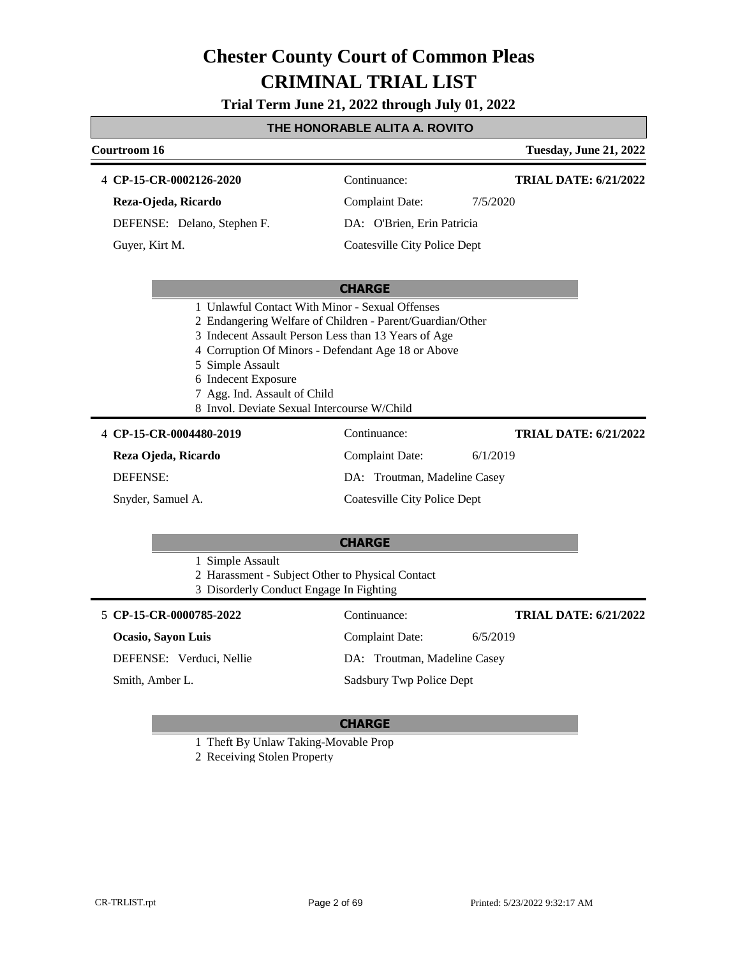**Trial Term June 21, 2022 through July 01, 2022**

### **THE HONORABLE ALITA A. ROVITO**

| Courtroom 16                                                            |                                                                                                                                                                                                                                                                          | <b>Tuesday, June 21, 2022</b> |
|-------------------------------------------------------------------------|--------------------------------------------------------------------------------------------------------------------------------------------------------------------------------------------------------------------------------------------------------------------------|-------------------------------|
| 4 CP-15-CR-0002126-2020                                                 | Continuance:                                                                                                                                                                                                                                                             | <b>TRIAL DATE: 6/21/2022</b>  |
| Reza-Ojeda, Ricardo                                                     | <b>Complaint Date:</b>                                                                                                                                                                                                                                                   | 7/5/2020                      |
| DEFENSE: Delano, Stephen F.                                             | DA: O'Brien, Erin Patricia                                                                                                                                                                                                                                               |                               |
| Guyer, Kirt M.                                                          | <b>Coatesville City Police Dept</b>                                                                                                                                                                                                                                      |                               |
|                                                                         | <b>CHARGE</b>                                                                                                                                                                                                                                                            |                               |
| 5 Simple Assault<br>6 Indecent Exposure<br>7 Agg. Ind. Assault of Child | 1 Unlawful Contact With Minor - Sexual Offenses<br>2 Endangering Welfare of Children - Parent/Guardian/Other<br>3 Indecent Assault Person Less than 13 Years of Age<br>4 Corruption Of Minors - Defendant Age 18 or Above<br>8 Invol. Deviate Sexual Intercourse W/Child |                               |
| 4 CP-15-CR-0004480-2019                                                 | Continuance:                                                                                                                                                                                                                                                             | <b>TRIAL DATE: 6/21/2022</b>  |
| Reza Ojeda, Ricardo                                                     | Complaint Date:                                                                                                                                                                                                                                                          | 6/1/2019                      |
| <b>DEFENSE:</b>                                                         | DA: Troutman, Madeline Casey                                                                                                                                                                                                                                             |                               |
| Snyder, Samuel A.                                                       | <b>Coatesville City Police Dept</b>                                                                                                                                                                                                                                      |                               |
|                                                                         | <b>CHARGE</b>                                                                                                                                                                                                                                                            |                               |
| 1 Simple Assault                                                        | 2 Harassment - Subject Other to Physical Contact<br>3 Disorderly Conduct Engage In Fighting                                                                                                                                                                              |                               |
| 5 CP-15-CR-0000785-2022                                                 | Continuance:                                                                                                                                                                                                                                                             | <b>TRIAL DATE: 6/21/2022</b>  |
| Ocasio, Sayon Luis                                                      | <b>Complaint Date:</b>                                                                                                                                                                                                                                                   | 6/5/2019                      |

DEFENSE: Verduci, Nellie

Smith, Amber L.

DA: Troutman, Madeline Casey

Sadsbury Twp Police Dept

### **CHARGE**

1 Theft By Unlaw Taking-Movable Prop

2 Receiving Stolen Property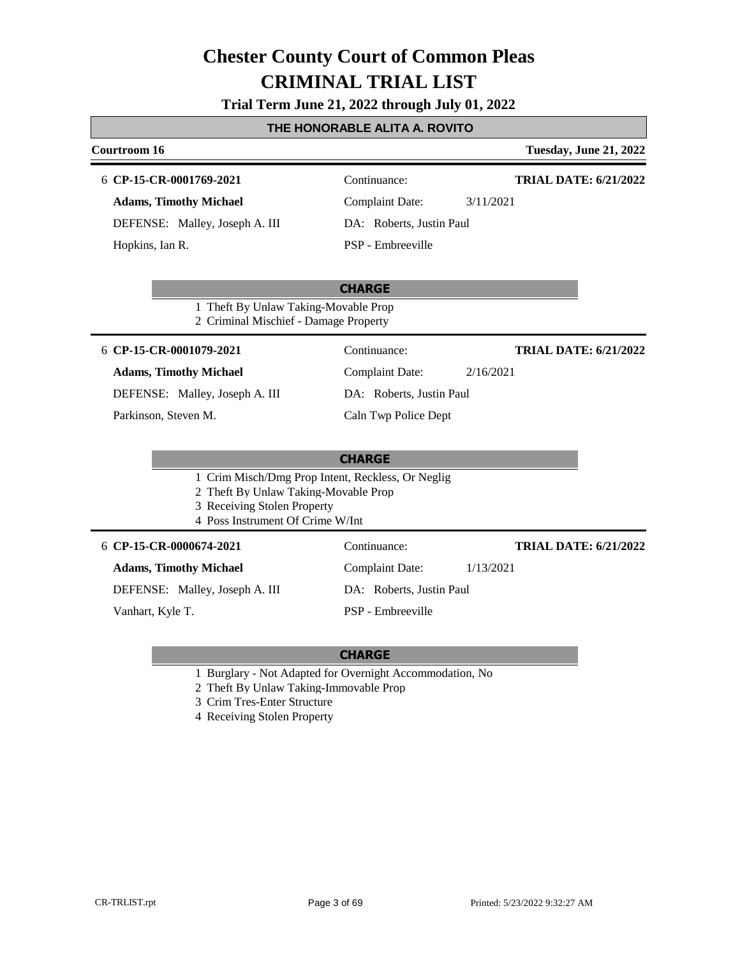**Trial Term June 21, 2022 through July 01, 2022**

### **THE HONORABLE ALITA A. ROVITO**

| <b>Courtroom 16</b>                                                                                                                                          |                                     | <b>Tuesday, June 21, 2022</b> |
|--------------------------------------------------------------------------------------------------------------------------------------------------------------|-------------------------------------|-------------------------------|
| 6 CP-15-CR-0001769-2021                                                                                                                                      | Continuance:                        | <b>TRIAL DATE: 6/21/2022</b>  |
| <b>Adams, Timothy Michael</b>                                                                                                                                | <b>Complaint Date:</b><br>3/11/2021 |                               |
| DEFENSE: Malley, Joseph A. III                                                                                                                               | DA: Roberts, Justin Paul            |                               |
| Hopkins, Ian R.                                                                                                                                              | PSP - Embreeville                   |                               |
|                                                                                                                                                              |                                     |                               |
|                                                                                                                                                              | <b>CHARGE</b>                       |                               |
| 1 Theft By Unlaw Taking-Movable Prop<br>2 Criminal Mischief - Damage Property                                                                                |                                     |                               |
| 6 CP-15-CR-0001079-2021                                                                                                                                      | Continuance:                        | <b>TRIAL DATE: 6/21/2022</b>  |
| <b>Adams, Timothy Michael</b>                                                                                                                                | <b>Complaint Date:</b><br>2/16/2021 |                               |
| DEFENSE: Malley, Joseph A. III                                                                                                                               | DA: Roberts, Justin Paul            |                               |
| Parkinson, Steven M.                                                                                                                                         | Caln Twp Police Dept                |                               |
|                                                                                                                                                              |                                     |                               |
|                                                                                                                                                              | <b>CHARGE</b>                       |                               |
| 1 Crim Misch/Dmg Prop Intent, Reckless, Or Neglig<br>2 Theft By Unlaw Taking-Movable Prop<br>3 Receiving Stolen Property<br>4 Poss Instrument Of Crime W/Int |                                     |                               |
| 6 CP-15-CR-0000674-2021                                                                                                                                      | Continuance:                        | <b>TRIAL DATE: 6/21/2022</b>  |
| <b>Adams, Timothy Michael</b>                                                                                                                                | <b>Complaint Date:</b><br>1/13/2021 |                               |
| DEFENSE: Malley, Joseph A. III                                                                                                                               | DA: Roberts, Justin Paul            |                               |
| Vanhart, Kyle T.                                                                                                                                             | PSP - Embreeville                   |                               |
|                                                                                                                                                              |                                     |                               |

- 1 Burglary Not Adapted for Overnight Accommodation, No
- 2 Theft By Unlaw Taking-Immovable Prop
- 3 Crim Tres-Enter Structure
- 4 Receiving Stolen Property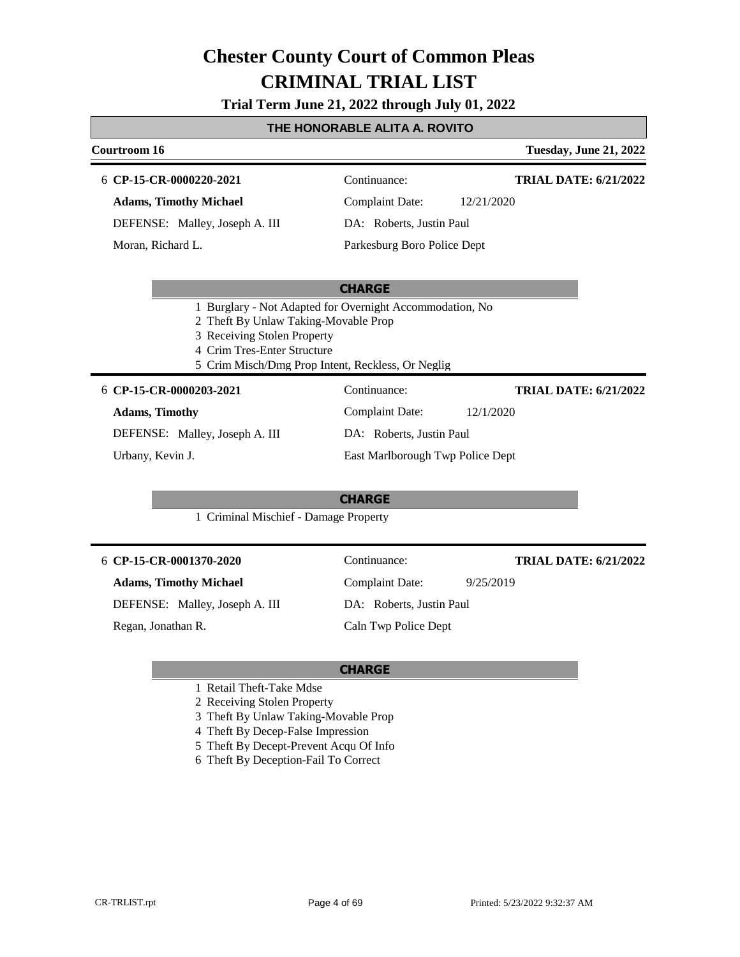**Trial Term June 21, 2022 through July 01, 2022**

#### **THE HONORABLE ALITA A. ROVITO**

### **Courtroom 16 Tuesday, June 21, 2022 CHARGE CP-15-CR-0000220-2021** 6 Continuance: **Adams, Timothy Michael** DEFENSE: Malley, Joseph A. III Complaint Date: 12/21/2020 DA: Roberts, Justin Paul Parkesburg Boro Police Dept **TRIAL DATE: 6/21/2022** Moran, Richard L. 1 Burglary - Not Adapted for Overnight Accommodation, No 2 Theft By Unlaw Taking-Movable Prop 3 Receiving Stolen Property 4 Crim Tres-Enter Structure 5 Crim Misch/Dmg Prop Intent, Reckless, Or Neglig **CHARGE CP-15-CR-0000203-2021** 6 Continuance: **Adams, Timothy** DEFENSE: Malley, Joseph A. III Complaint Date: 12/1/2020 DA: Roberts, Justin Paul East Marlborough Twp Police Dept **TRIAL DATE: 6/21/2022** Urbany, Kevin J. 1 Criminal Mischief - Damage Property **CP-15-CR-0001370-2020** 6 Continuance: **Adams, Timothy Michael** DEFENSE: Malley, Joseph A. III Complaint Date: 9/25/2019 **TRIAL DATE: 6/21/2022**

Regan, Jonathan R.

DA: Roberts, Justin Paul Caln Twp Police Dept

- 1 Retail Theft-Take Mdse
- 2 Receiving Stolen Property
- 3 Theft By Unlaw Taking-Movable Prop
- 4 Theft By Decep-False Impression
- 5 Theft By Decept-Prevent Acqu Of Info
- 6 Theft By Deception-Fail To Correct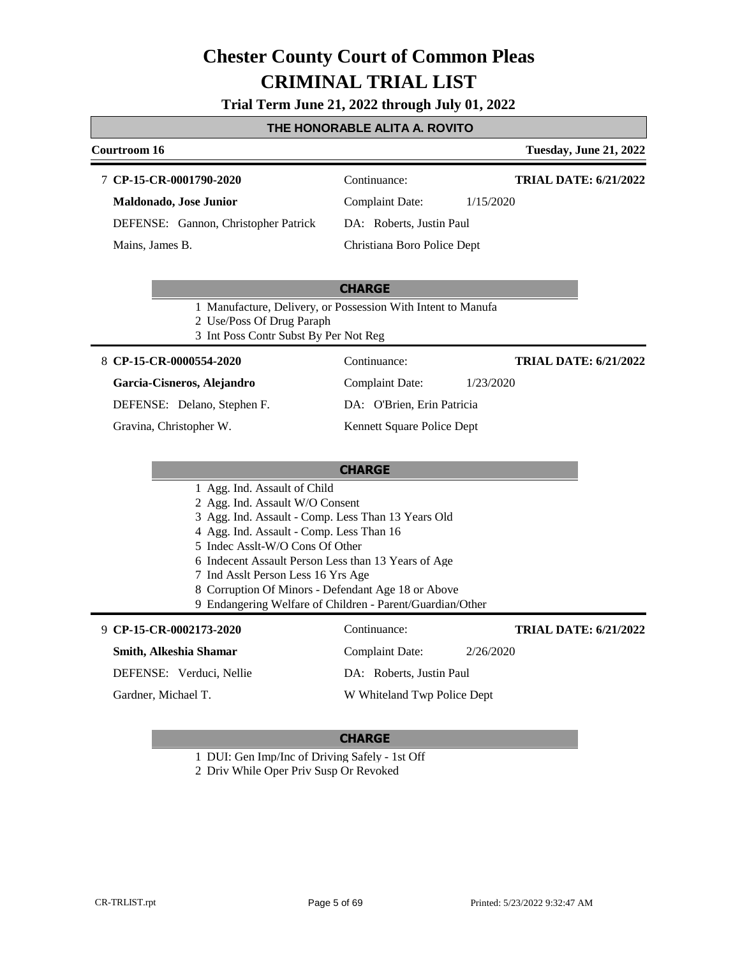**Trial Term June 21, 2022 through July 01, 2022**

# **THE HONORABLE ALITA A. ROVITO**

|                                                                                           | TE HONORADEL ALITA A. ROVITO |                               |
|-------------------------------------------------------------------------------------------|------------------------------|-------------------------------|
| <b>Courtroom 16</b>                                                                       |                              | <b>Tuesday, June 21, 2022</b> |
| 7 CP-15-CR-0001790-2020                                                                   | Continuance:                 | <b>TRIAL DATE: 6/21/2022</b>  |
| Maldonado, Jose Junior                                                                    | <b>Complaint Date:</b>       | 1/15/2020                     |
| DEFENSE: Gannon, Christopher Patrick                                                      | DA: Roberts, Justin Paul     |                               |
| Mains, James B.                                                                           | Christiana Boro Police Dept  |                               |
|                                                                                           |                              |                               |
|                                                                                           | <b>CHARGE</b>                |                               |
| 1 Manufacture, Delivery, or Possession With Intent to Manufa                              |                              |                               |
| 2 Use/Poss Of Drug Paraph                                                                 |                              |                               |
| 3 Int Poss Contr Subst By Per Not Reg                                                     |                              |                               |
| 8 CP-15-CR-0000554-2020                                                                   | Continuance:                 | <b>TRIAL DATE: 6/21/2022</b>  |
| Garcia-Cisneros, Alejandro                                                                | <b>Complaint Date:</b>       | 1/23/2020                     |
| DEFENSE: Delano, Stephen F.                                                               | DA: O'Brien, Erin Patricia   |                               |
| Gravina, Christopher W.                                                                   | Kennett Square Police Dept   |                               |
|                                                                                           |                              |                               |
|                                                                                           | <b>CHARGE</b>                |                               |
| 1 Agg. Ind. Assault of Child                                                              |                              |                               |
| 2 Agg. Ind. Assault W/O Consent                                                           |                              |                               |
| 3 Agg. Ind. Assault - Comp. Less Than 13 Years Old                                        |                              |                               |
| 4 Agg. Ind. Assault - Comp. Less Than 16                                                  |                              |                               |
| 5 Indec Asslt-W/O Cons Of Other                                                           |                              |                               |
| 6 Indecent Assault Person Less than 13 Years of Age<br>7 Ind Asslt Person Less 16 Yrs Age |                              |                               |
| 8 Corruption Of Minors - Defendant Age 18 or Above                                        |                              |                               |
| 9 Endangering Welfare of Children - Parent/Guardian/Other                                 |                              |                               |
| 9 CP-15-CR-0002173-2020                                                                   | Continuance:                 | <b>TRIAL DATE: 6/21/2022</b>  |
| Smith, Alkeshia Shamar                                                                    | <b>Complaint Date:</b>       | 2/26/2020                     |
| DEFENSE: Verduci, Nellie                                                                  | DA: Roberts, Justin Paul     |                               |
| Gardner, Michael T.                                                                       | W Whiteland Twp Police Dept  |                               |

### **CHARGE**

1 DUI: Gen Imp/Inc of Driving Safely - 1st Off

2 Driv While Oper Priv Susp Or Revoked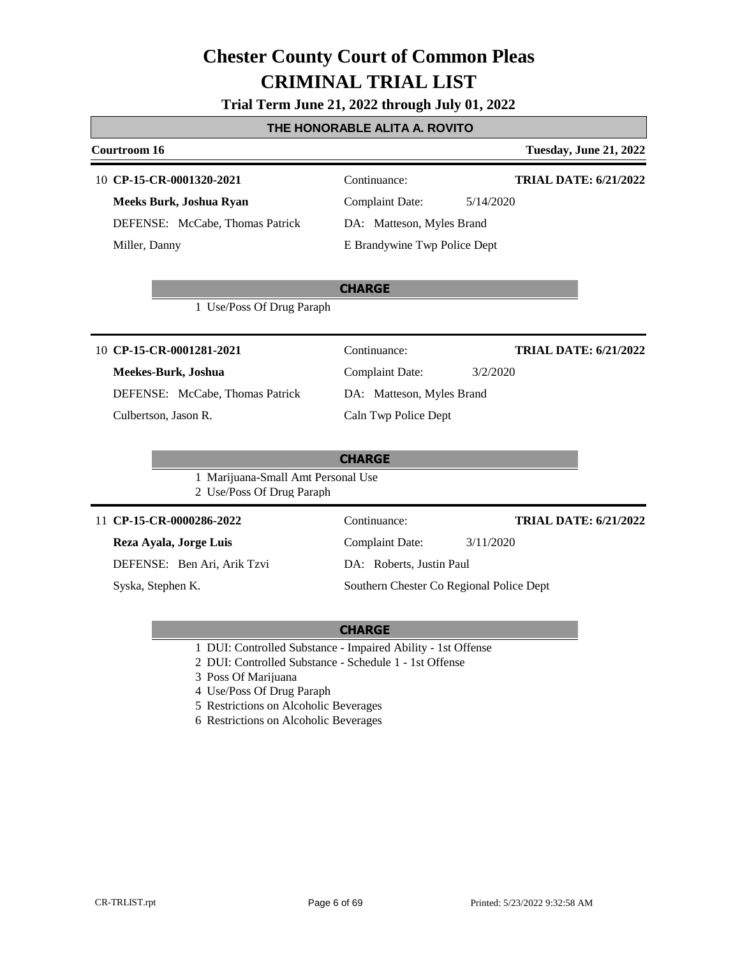#### **Trial Term June 21, 2022 through July 01, 2022**

#### **THE HONORABLE ALITA A. ROVITO**

### **Courtroom 16 Tuesday, June 21, 2022 CHARGE CP-15-CR-0001320-2021** 10 Continuance: **Meeks Burk, Joshua Ryan** DEFENSE: McCabe, Thomas Patrick Complaint Date: 5/14/2020 DA: Matteson, Myles Brand E Brandywine Twp Police Dept **TRIAL DATE: 6/21/2022** Miller, Danny 1 Use/Poss Of Drug Paraph **CHARGE CP-15-CR-0001281-2021** 10 Continuance: **Meekes-Burk, Joshua** DEFENSE: McCabe, Thomas Patrick Complaint Date: 3/2/2020 DA: Matteson, Myles Brand Caln Twp Police Dept **TRIAL DATE: 6/21/2022** Culbertson, Jason R. 1 Marijuana-Small Amt Personal Use 2 Use/Poss Of Drug Paraph 11 **CP-15-CR-0000286-2022** Continuance: **Reza Ayala, Jorge Luis** DEFENSE: Ben Ari, Arik Tzvi Complaint Date: 3/11/2020 DA: Roberts, Justin Paul Southern Chester Co Regional Police Dept **TRIAL DATE: 6/21/2022** Syska, Stephen K.

- 1 DUI: Controlled Substance Impaired Ability 1st Offense
- 2 DUI: Controlled Substance Schedule 1 1st Offense
- 3 Poss Of Marijuana
- 4 Use/Poss Of Drug Paraph
- 5 Restrictions on Alcoholic Beverages
- 6 Restrictions on Alcoholic Beverages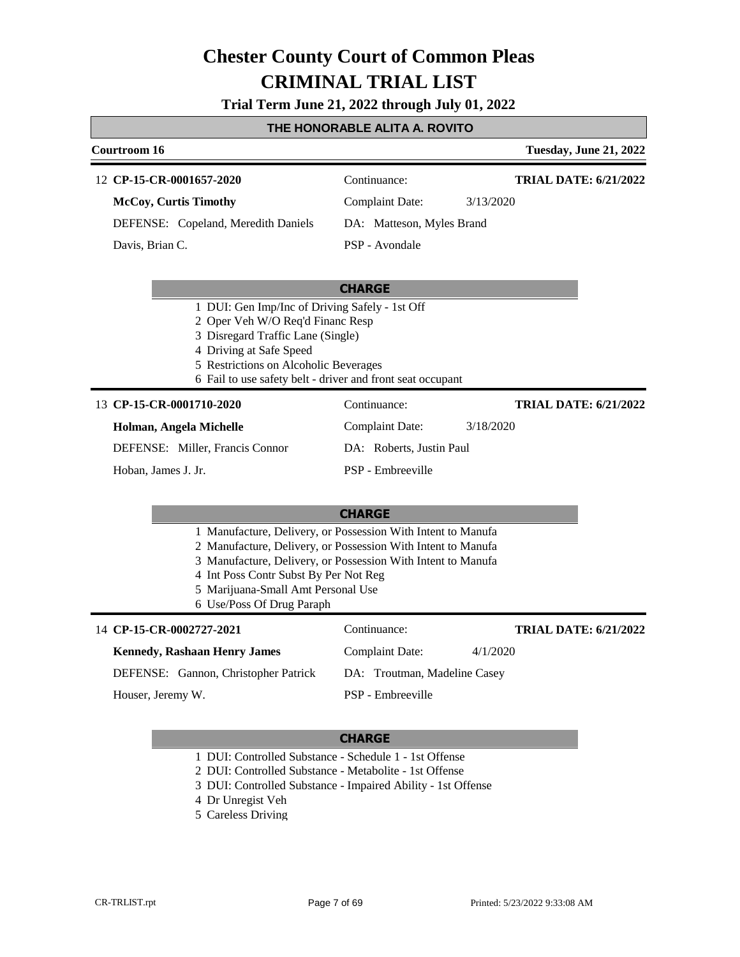**Trial Term June 21, 2022 through July 01, 2022**

### **THE HONORABLE ALITA A. ROVITO**

| Courtroom 16                                                                                                                                                                                                                                                                                             |                              | <b>Tuesday, June 21, 2022</b> |
|----------------------------------------------------------------------------------------------------------------------------------------------------------------------------------------------------------------------------------------------------------------------------------------------------------|------------------------------|-------------------------------|
| 12 CP-15-CR-0001657-2020                                                                                                                                                                                                                                                                                 | Continuance:                 | <b>TRIAL DATE: 6/21/2022</b>  |
| <b>McCoy, Curtis Timothy</b>                                                                                                                                                                                                                                                                             | <b>Complaint Date:</b>       | 3/13/2020                     |
| DEFENSE: Copeland, Meredith Daniels                                                                                                                                                                                                                                                                      | DA: Matteson, Myles Brand    |                               |
| Davis, Brian C.                                                                                                                                                                                                                                                                                          | PSP - Avondale               |                               |
|                                                                                                                                                                                                                                                                                                          | <b>CHARGE</b>                |                               |
| 1 DUI: Gen Imp/Inc of Driving Safely - 1st Off<br>2 Oper Veh W/O Req'd Financ Resp<br>3 Disregard Traffic Lane (Single)<br>4 Driving at Safe Speed<br>5 Restrictions on Alcoholic Beverages<br>6 Fail to use safety belt - driver and front seat occupant                                                |                              |                               |
| 13 CP-15-CR-0001710-2020                                                                                                                                                                                                                                                                                 | Continuance:                 | <b>TRIAL DATE: 6/21/2022</b>  |
| Holman, Angela Michelle                                                                                                                                                                                                                                                                                  | <b>Complaint Date:</b>       | 3/18/2020                     |
| DEFENSE: Miller, Francis Connor                                                                                                                                                                                                                                                                          | DA: Roberts, Justin Paul     |                               |
| Hoban, James J. Jr.                                                                                                                                                                                                                                                                                      | PSP - Embreeville            |                               |
|                                                                                                                                                                                                                                                                                                          | <b>CHARGE</b>                |                               |
| 1 Manufacture, Delivery, or Possession With Intent to Manufa<br>2 Manufacture, Delivery, or Possession With Intent to Manufa<br>3 Manufacture, Delivery, or Possession With Intent to Manufa<br>4 Int Poss Contr Subst By Per Not Reg<br>5 Marijuana-Small Amt Personal Use<br>6 Use/Poss Of Drug Paraph |                              |                               |
| 14 CP-15-CR-0002727-2021                                                                                                                                                                                                                                                                                 | Continuance:                 | <b>TRIAL DATE: 6/21/2022</b>  |
| <b>Kennedy, Rashaan Henry James</b>                                                                                                                                                                                                                                                                      | <b>Complaint Date:</b>       | 4/1/2020                      |
| DEFENSE: Gannon, Christopher Patrick                                                                                                                                                                                                                                                                     | DA: Troutman, Madeline Casey |                               |
| Houser, Jeremy W.                                                                                                                                                                                                                                                                                        | PSP - Embreeville            |                               |

- 1 DUI: Controlled Substance Schedule 1 1st Offense
- 2 DUI: Controlled Substance Metabolite 1st Offense
- 3 DUI: Controlled Substance Impaired Ability 1st Offense
- 4 Dr Unregist Veh
- 5 Careless Driving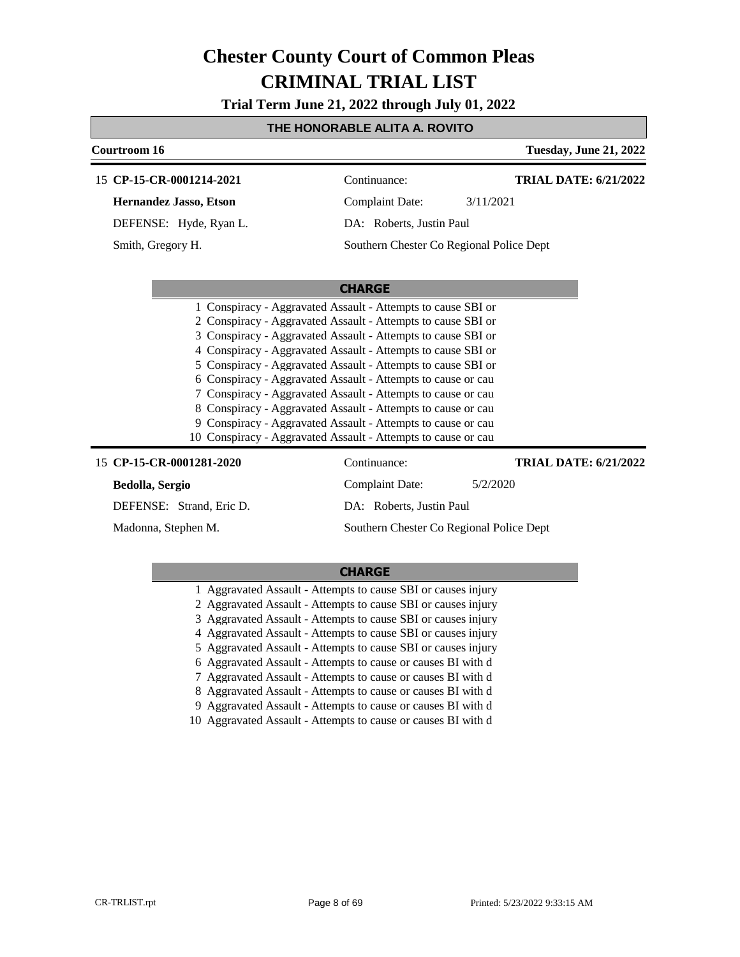**Trial Term June 21, 2022 through July 01, 2022**

### **THE HONORABLE ALITA A. ROVITO**

| Courtroom 16                                                                                                                                                                                                                                                                                                                                                                                                                                                                                                                                                                                                                                                  |                          | <b>Tuesday, June 21, 2022</b>            |
|---------------------------------------------------------------------------------------------------------------------------------------------------------------------------------------------------------------------------------------------------------------------------------------------------------------------------------------------------------------------------------------------------------------------------------------------------------------------------------------------------------------------------------------------------------------------------------------------------------------------------------------------------------------|--------------------------|------------------------------------------|
| 15 CP-15-CR-0001214-2021                                                                                                                                                                                                                                                                                                                                                                                                                                                                                                                                                                                                                                      | Continuance:             | <b>TRIAL DATE: 6/21/2022</b>             |
| <b>Hernandez Jasso, Etson</b>                                                                                                                                                                                                                                                                                                                                                                                                                                                                                                                                                                                                                                 | <b>Complaint Date:</b>   | 3/11/2021                                |
| DEFENSE: Hyde, Ryan L.                                                                                                                                                                                                                                                                                                                                                                                                                                                                                                                                                                                                                                        | DA: Roberts, Justin Paul |                                          |
| Smith, Gregory H.                                                                                                                                                                                                                                                                                                                                                                                                                                                                                                                                                                                                                                             |                          | Southern Chester Co Regional Police Dept |
|                                                                                                                                                                                                                                                                                                                                                                                                                                                                                                                                                                                                                                                               |                          |                                          |
|                                                                                                                                                                                                                                                                                                                                                                                                                                                                                                                                                                                                                                                               | <b>CHARGE</b>            |                                          |
| 1 Conspiracy - Aggravated Assault - Attempts to cause SBI or<br>2 Conspiracy - Aggravated Assault - Attempts to cause SBI or<br>3 Conspiracy - Aggravated Assault - Attempts to cause SBI or<br>4 Conspiracy - Aggravated Assault - Attempts to cause SBI or<br>5 Conspiracy - Aggravated Assault - Attempts to cause SBI or<br>6 Conspiracy - Aggravated Assault - Attempts to cause or cau<br>7 Conspiracy - Aggravated Assault - Attempts to cause or cau<br>8 Conspiracy - Aggravated Assault - Attempts to cause or cau<br>9 Conspiracy - Aggravated Assault - Attempts to cause or cau<br>10 Conspiracy - Aggravated Assault - Attempts to cause or cau |                          |                                          |
| 15 CP-15-CR-0001281-2020                                                                                                                                                                                                                                                                                                                                                                                                                                                                                                                                                                                                                                      | Continuance:             | <b>TRIAL DATE: 6/21/2022</b>             |
| Bedolla, Sergio                                                                                                                                                                                                                                                                                                                                                                                                                                                                                                                                                                                                                                               | <b>Complaint Date:</b>   | 5/2/2020                                 |
| DEFENSE: Strand, Eric D.                                                                                                                                                                                                                                                                                                                                                                                                                                                                                                                                                                                                                                      | DA: Roberts, Justin Paul |                                          |
| Madonna, Stephen M.                                                                                                                                                                                                                                                                                                                                                                                                                                                                                                                                                                                                                                           |                          | Southern Chester Co Regional Police Dept |

| 1 Aggravated Assault - Attempts to cause SBI or causes injury |
|---------------------------------------------------------------|
| 2 Aggravated Assault - Attempts to cause SBI or causes injury |
| 3 Aggravated Assault - Attempts to cause SBI or causes injury |
| 4 Aggravated Assault - Attempts to cause SBI or causes injury |
| 5 Aggravated Assault - Attempts to cause SBI or causes injury |
| 6 Aggravated Assault - Attempts to cause or causes BI with d  |
| 7 Aggravated Assault - Attempts to cause or causes BI with d  |
| 8 Aggravated Assault - Attempts to cause or causes BI with d  |
| 9 Aggravated Assault - Attempts to cause or causes BI with d  |
| 10 Aggravated Assault - Attempts to cause or causes BI with d |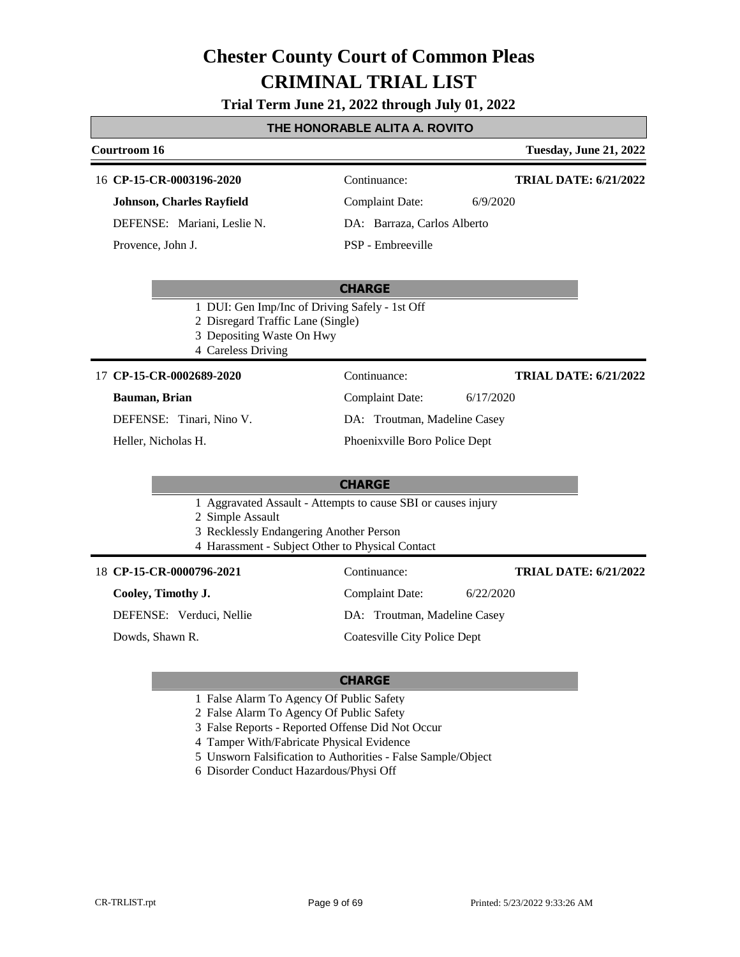**Trial Term June 21, 2022 through July 01, 2022**

#### **THE HONORABLE ALITA A. ROVITO**

#### **Courtroom 16 Tuesday, June 21, 2022** 16 **CP-15-CR-0003196-2020** Continuance: **Johnson, Charles Rayfield** Complaint Date: 6/9/2020 **TRIAL DATE: 6/21/2022**

DEFENSE: Mariani, Leslie N.

Provence, John J.

PSP - Embreeville

DA: Barraza, Carlos Alberto

#### **CHARGE**

- 1 DUI: Gen Imp/Inc of Driving Safely 1st Off
- 2 Disregard Traffic Lane (Single)
- 3 Depositing Waste On Hwy
- 4 Careless Driving

#### 17 **CP-15-CR-0002689-2020** Continuance:

#### **Bauman, Brian**

DEFENSE: Tinari, Nino V.

Heller, Nicholas H.

Complaint Date: 6/17/2020 DA: Troutman, Madeline Casey Phoenixville Boro Police Dept

### **CHARGE**

1 Aggravated Assault - Attempts to cause SBI or causes injury

2 Simple Assault

- 3 Recklessly Endangering Another Person
- 4 Harassment Subject Other to Physical Contact

#### **CP-15-CR-0000796-2021** 18 Continuance:

#### **Cooley, Timothy J.**

DEFENSE: Verduci, Nellie

Dowds, Shawn R.

# DA: Troutman, Madeline Casey

Complaint Date: 6/22/2020

Coatesville City Police Dept

### **CHARGE**

- 1 False Alarm To Agency Of Public Safety
- 2 False Alarm To Agency Of Public Safety
- 3 False Reports Reported Offense Did Not Occur
- 4 Tamper With/Fabricate Physical Evidence
- 5 Unsworn Falsification to Authorities False Sample/Object
- 6 Disorder Conduct Hazardous/Physi Off

**TRIAL DATE: 6/21/2022**

**TRIAL DATE: 6/21/2022**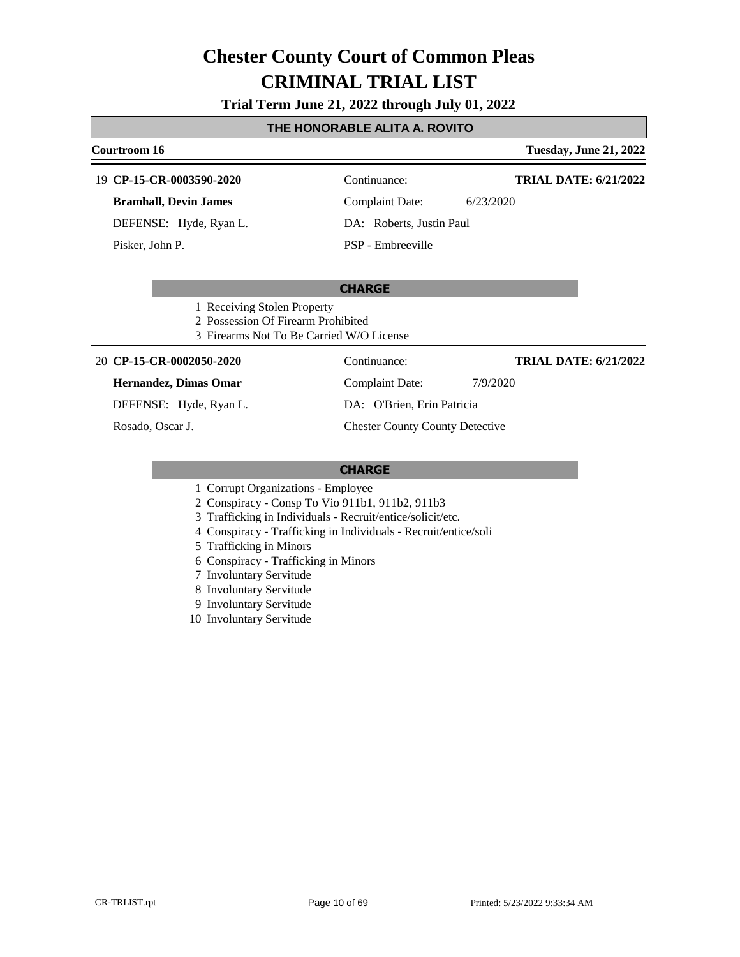#### **Trial Term June 21, 2022 through July 01, 2022**

#### **THE HONORABLE ALITA A. ROVITO**

## **Courtroom 16 Tuesday, June 21, 2022 CP-15-CR-0003590-2020** 19 Continuance: **TRIAL DATE: 6/21/2022**

**Bramhall, Devin James**

DEFENSE: Hyde, Ryan L.

Pisker, John P.

Complaint Date: 6/23/2020

DA: Roberts, Justin Paul

### PSP - Embreeville

#### **CHARGE**

- 1 Receiving Stolen Property
- 2 Possession Of Firearm Prohibited
- 3 Firearms Not To Be Carried W/O License

#### **CP-15-CR-0002050-2020** 20 Continuance:

#### **Hernandez, Dimas Omar**

DEFENSE: Hyde, Ryan L.

Rosado, Oscar J.

**TRIAL DATE: 6/21/2022**

DA: O'Brien, Erin Patricia

Chester County County Detective

#### **CHARGE**

- 1 Corrupt Organizations Employee
- 2 Conspiracy Consp To Vio 911b1, 911b2, 911b3
- 3 Trafficking in Individuals Recruit/entice/solicit/etc.
- 4 Conspiracy Trafficking in Individuals Recruit/entice/soli
- 5 Trafficking in Minors
- 6 Conspiracy Trafficking in Minors
- 7 Involuntary Servitude
- 8 Involuntary Servitude
- 9 Involuntary Servitude
- 10 Involuntary Servitude

Complaint Date: 7/9/2020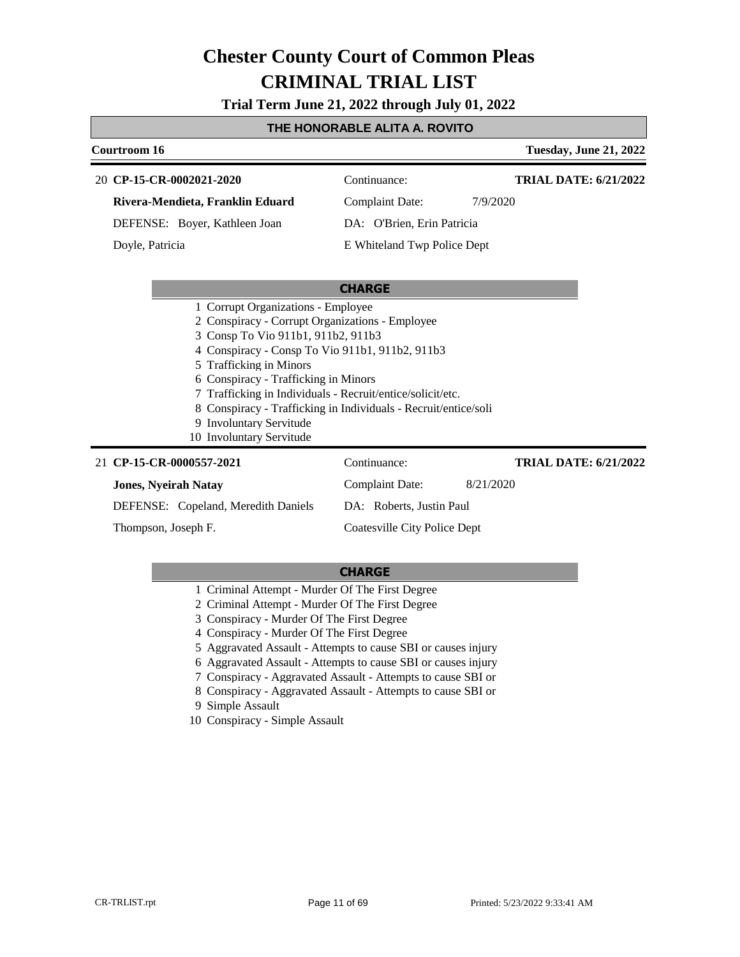**Trial Term June 21, 2022 through July 01, 2022**

#### **THE HONORABLE ALITA A. ROVITO**

| <b>Tuesday, June 21, 2022</b><br>Courtroom 16                   |                             |                              |
|-----------------------------------------------------------------|-----------------------------|------------------------------|
| 20 CP-15-CR-0002021-2020                                        | Continuance:                | <b>TRIAL DATE: 6/21/2022</b> |
| Rivera-Mendieta, Franklin Eduard                                | Complaint Date:             | 7/9/2020                     |
| DEFENSE: Boyer, Kathleen Joan                                   | DA: O'Brien, Erin Patricia  |                              |
| Doyle, Patricia                                                 | E Whiteland Twp Police Dept |                              |
|                                                                 |                             |                              |
|                                                                 | <b>CHARGE</b>               |                              |
| 1 Corrupt Organizations - Employee                              |                             |                              |
| 2 Conspiracy - Corrupt Organizations - Employee                 |                             |                              |
| 3 Consp To Vio 911b1, 911b2, 911b3                              |                             |                              |
| 4 Conspiracy - Consp To Vio 911b1, 911b2, 911b3                 |                             |                              |
| 5 Trafficking in Minors                                         |                             |                              |
| 6 Conspiracy - Trafficking in Minors                            |                             |                              |
| 7 Trafficking in Individuals - Recruit/entice/solicit/etc.      |                             |                              |
| 8 Conspiracy - Trafficking in Individuals - Recruit/entice/soli |                             |                              |
| 0.1.101.1                                                       |                             |                              |

9 Involuntary Servitude 10 Involuntary Servitude

| 21 CP-15-CR-0000557-2021            | Continuance:                 | <b>TRIAL DATE: 6/21/2022</b> |
|-------------------------------------|------------------------------|------------------------------|
| <b>Jones, Nyeirah Natay</b>         | Complaint Date:              | 8/21/2020                    |
| DEFENSE: Copeland, Meredith Daniels | DA: Roberts, Justin Paul     |                              |
| Thompson, Joseph F.                 | Coatesville City Police Dept |                              |

- 1 Criminal Attempt Murder Of The First Degree
- 2 Criminal Attempt Murder Of The First Degree
- 3 Conspiracy Murder Of The First Degree
- 4 Conspiracy Murder Of The First Degree
- 5 Aggravated Assault Attempts to cause SBI or causes injury
- 6 Aggravated Assault Attempts to cause SBI or causes injury
- 7 Conspiracy Aggravated Assault Attempts to cause SBI or
- 8 Conspiracy Aggravated Assault Attempts to cause SBI or
- 9 Simple Assault
- 10 Conspiracy Simple Assault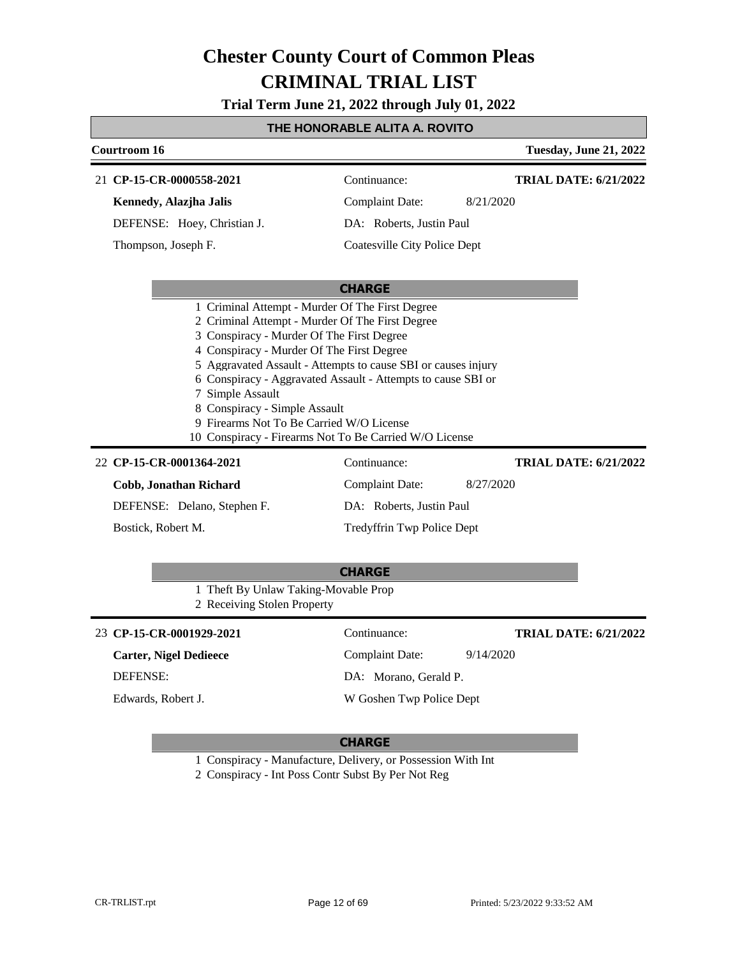**Trial Term June 21, 2022 through July 01, 2022**

### **THE HONORABLE ALITA A. ROVITO**

| Courtroom 16                                                                                                                                                                                                                                                                                                                                                                                                                                                                                                                                   |                                        | <b>Tuesday, June 21, 2022</b>             |
|------------------------------------------------------------------------------------------------------------------------------------------------------------------------------------------------------------------------------------------------------------------------------------------------------------------------------------------------------------------------------------------------------------------------------------------------------------------------------------------------------------------------------------------------|----------------------------------------|-------------------------------------------|
| 21 CP-15-CR-0000558-2021                                                                                                                                                                                                                                                                                                                                                                                                                                                                                                                       | Continuance:                           | <b>TRIAL DATE: 6/21/2022</b>              |
| Kennedy, Alazjha Jalis                                                                                                                                                                                                                                                                                                                                                                                                                                                                                                                         | <b>Complaint Date:</b>                 | 8/21/2020                                 |
| DEFENSE: Hoey, Christian J.                                                                                                                                                                                                                                                                                                                                                                                                                                                                                                                    | DA: Roberts, Justin Paul               |                                           |
| Thompson, Joseph F.                                                                                                                                                                                                                                                                                                                                                                                                                                                                                                                            | <b>Coatesville City Police Dept</b>    |                                           |
|                                                                                                                                                                                                                                                                                                                                                                                                                                                                                                                                                |                                        |                                           |
|                                                                                                                                                                                                                                                                                                                                                                                                                                                                                                                                                | <b>CHARGE</b>                          |                                           |
| 1 Criminal Attempt - Murder Of The First Degree<br>2 Criminal Attempt - Murder Of The First Degree<br>3 Conspiracy - Murder Of The First Degree<br>4 Conspiracy - Murder Of The First Degree<br>5 Aggravated Assault - Attempts to cause SBI or causes injury<br>6 Conspiracy - Aggravated Assault - Attempts to cause SBI or<br>7 Simple Assault<br>8 Conspiracy - Simple Assault<br>9 Firearms Not To Be Carried W/O License<br>10 Conspiracy - Firearms Not To Be Carried W/O License<br>22 CP-15-CR-0001364-2021<br>Cobb, Jonathan Richard | Continuance:<br><b>Complaint Date:</b> | <b>TRIAL DATE: 6/21/2022</b><br>8/27/2020 |
| DEFENSE: Delano, Stephen F.                                                                                                                                                                                                                                                                                                                                                                                                                                                                                                                    | DA: Roberts, Justin Paul               |                                           |
| Bostick, Robert M.                                                                                                                                                                                                                                                                                                                                                                                                                                                                                                                             | Tredyffrin Twp Police Dept             |                                           |
| 1 Theft By Unlaw Taking-Movable Prop<br>2 Receiving Stolen Property                                                                                                                                                                                                                                                                                                                                                                                                                                                                            | <b>CHARGE</b>                          |                                           |
| 23 CP-15-CR-0001929-2021                                                                                                                                                                                                                                                                                                                                                                                                                                                                                                                       | Continuance:                           | <b>TRIAL DATE: 6/21/2022</b>              |
| <b>Carter, Nigel Dedieece</b>                                                                                                                                                                                                                                                                                                                                                                                                                                                                                                                  | <b>Complaint Date:</b>                 | 9/14/2020                                 |
| <b>DEFENSE:</b>                                                                                                                                                                                                                                                                                                                                                                                                                                                                                                                                | DA: Morano, Gerald P.                  |                                           |
| Edwards, Robert J.                                                                                                                                                                                                                                                                                                                                                                                                                                                                                                                             | W Goshen Twp Police Dept               |                                           |

#### **CHARGE**

1 Conspiracy - Manufacture, Delivery, or Possession With Int

2 Conspiracy - Int Poss Contr Subst By Per Not Reg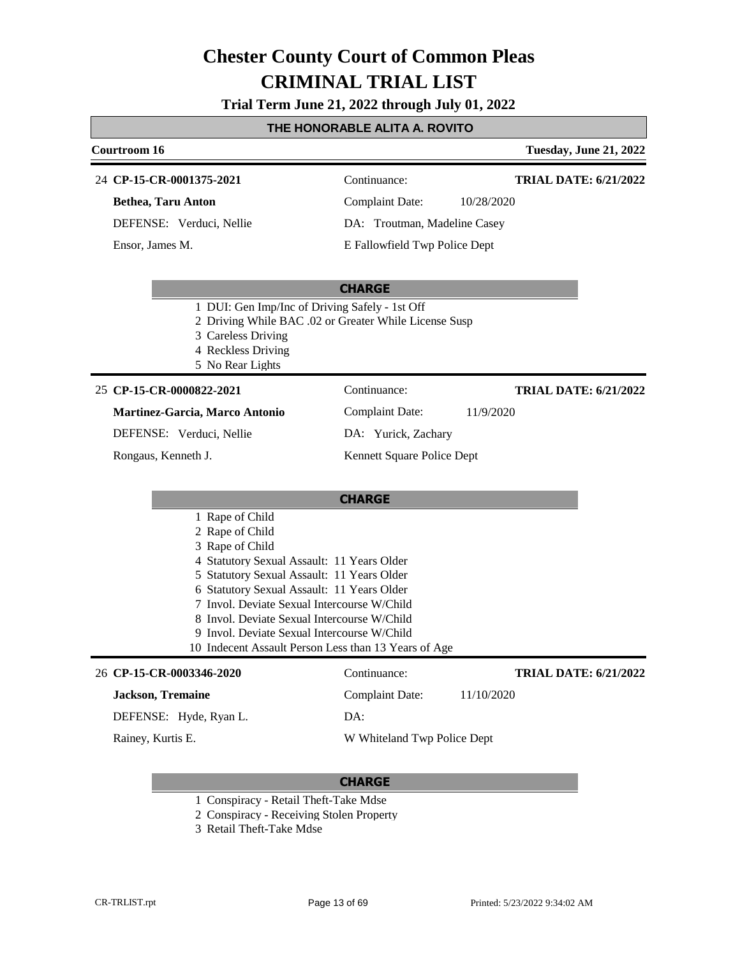**Trial Term June 21, 2022 through July 01, 2022**

### **THE HONORABLE ALITA A. ROVITO**

| Courtroom 16                                                                                                                                                                                                                                                                                                                                                                                         |                               | <b>Tuesday, June 21, 2022</b> |
|------------------------------------------------------------------------------------------------------------------------------------------------------------------------------------------------------------------------------------------------------------------------------------------------------------------------------------------------------------------------------------------------------|-------------------------------|-------------------------------|
| 24 CP-15-CR-0001375-2021                                                                                                                                                                                                                                                                                                                                                                             | Continuance:                  | <b>TRIAL DATE: 6/21/2022</b>  |
| <b>Bethea, Taru Anton</b>                                                                                                                                                                                                                                                                                                                                                                            | <b>Complaint Date:</b>        | 10/28/2020                    |
| DEFENSE: Verduci, Nellie                                                                                                                                                                                                                                                                                                                                                                             | DA: Troutman, Madeline Casey  |                               |
| Ensor, James M.                                                                                                                                                                                                                                                                                                                                                                                      | E Fallowfield Twp Police Dept |                               |
|                                                                                                                                                                                                                                                                                                                                                                                                      | <b>CHARGE</b>                 |                               |
| 1 DUI: Gen Imp/Inc of Driving Safely - 1st Off<br>2 Driving While BAC .02 or Greater While License Susp<br>3 Careless Driving<br>4 Reckless Driving<br>5 No Rear Lights                                                                                                                                                                                                                              |                               |                               |
| 25 CP-15-CR-0000822-2021                                                                                                                                                                                                                                                                                                                                                                             | Continuance:                  | <b>TRIAL DATE: 6/21/2022</b>  |
| Martinez-Garcia, Marco Antonio                                                                                                                                                                                                                                                                                                                                                                       | <b>Complaint Date:</b>        | 11/9/2020                     |
| DEFENSE: Verduci, Nellie                                                                                                                                                                                                                                                                                                                                                                             | DA: Yurick, Zachary           |                               |
| Rongaus, Kenneth J.                                                                                                                                                                                                                                                                                                                                                                                  | Kennett Square Police Dept    |                               |
|                                                                                                                                                                                                                                                                                                                                                                                                      | <b>CHARGE</b>                 |                               |
| 1 Rape of Child<br>2 Rape of Child<br>3 Rape of Child<br>4 Statutory Sexual Assault: 11 Years Older<br>5 Statutory Sexual Assault: 11 Years Older<br>6 Statutory Sexual Assault: 11 Years Older<br>7 Invol. Deviate Sexual Intercourse W/Child<br>8 Invol. Deviate Sexual Intercourse W/Child<br>9 Invol. Deviate Sexual Intercourse W/Child<br>10 Indecent Assault Person Less than 13 Years of Age |                               |                               |
| 26 CP-15-CR-0003346-2020                                                                                                                                                                                                                                                                                                                                                                             | Continuance:                  | <b>TRIAL DATE: 6/21/2022</b>  |
| <b>Jackson</b> , Tremaine                                                                                                                                                                                                                                                                                                                                                                            | <b>Complaint Date:</b>        | 11/10/2020                    |
| DEFENSE: Hyde, Ryan L.                                                                                                                                                                                                                                                                                                                                                                               | DA:                           |                               |
| Rainey, Kurtis E.                                                                                                                                                                                                                                                                                                                                                                                    | W Whiteland Twp Police Dept   |                               |

- 1 Conspiracy Retail Theft-Take Mdse
- 2 Conspiracy Receiving Stolen Property
- 3 Retail Theft-Take Mdse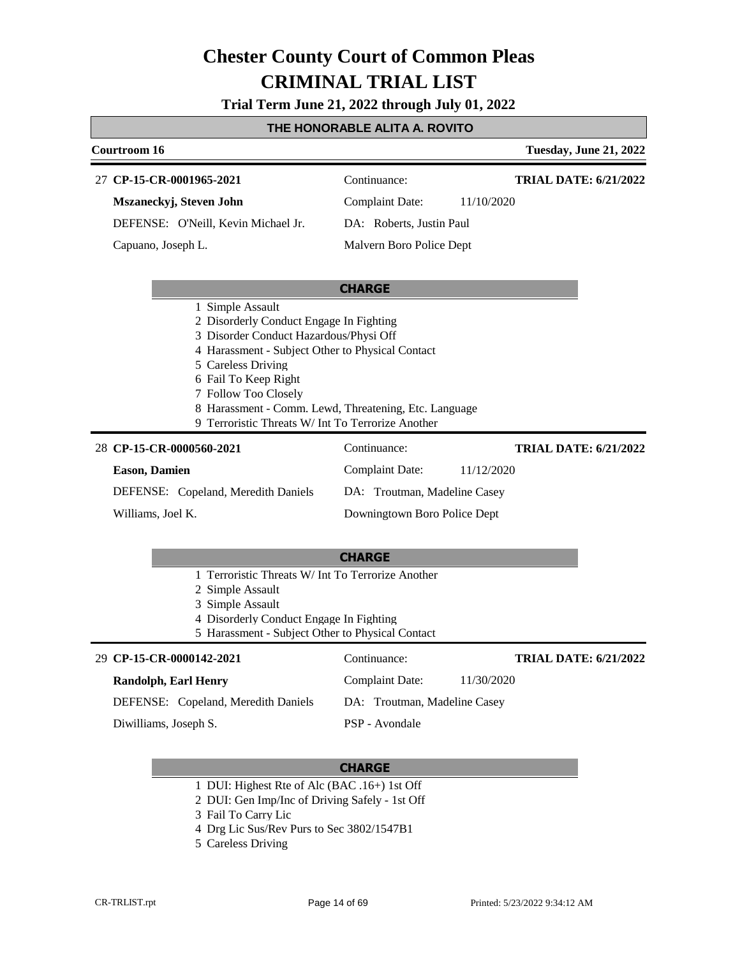**Trial Term June 21, 2022 through July 01, 2022**

#### **THE HONORABLE ALITA A. ROVITO**

| Courtroom 16                        |                          | <b>Tuesday, June 21, 2022</b> |
|-------------------------------------|--------------------------|-------------------------------|
| 27 CP-15-CR-0001965-2021            | Continuance:             | <b>TRIAL DATE: 6/21/2022</b>  |
| Mszaneckyj, Steven John             | Complaint Date:          | 11/10/2020                    |
| DEFENSE: O'Neill, Kevin Michael Jr. | DA: Roberts, Justin Paul |                               |
| Capuano, Joseph L.                  | Malvern Boro Police Dept |                               |
|                                     |                          |                               |
|                                     | <b>CHARGE</b>            |                               |

- 1 Simple Assault
- 2 Disorderly Conduct Engage In Fighting
- 3 Disorder Conduct Hazardous/Physi Off
- 4 Harassment Subject Other to Physical Contact
- 5 Careless Driving
- 6 Fail To Keep Right
- 7 Follow Too Closely
- 8 Harassment Comm. Lewd, Threatening, Etc. Language
- 9 Terroristic Threats W/ Int To Terrorize Another

#### **CP-15-CR-0000560-2021** 28 Continuance: **Eason, Damien** DEFENSE: Copeland, Meredith Daniels Complaint Date: 11/12/2020 DA: Troutman, Madeline Casey Downingtown Boro Police Dept **TRIAL DATE: 6/21/2022** Williams, Joel K.

### **CHARGE**

- 1 Terroristic Threats W/ Int To Terrorize Another
- 2 Simple Assault
- 3 Simple Assault
- 4 Disorderly Conduct Engage In Fighting
- 5 Harassment Subject Other to Physical Contact

#### **CP-15-CR-0000142-2021** 29 Continuance: **Randolph, Earl Henry** DEFENSE: Copeland, Meredith Daniels Complaint Date: 11/30/2020 DA: Troutman, Madeline Casey PSP - Avondale **TRIAL DATE: 6/21/2022** Diwilliams, Joseph S.

- 1 DUI: Highest Rte of Alc (BAC .16+) 1st Off
- 2 DUI: Gen Imp/Inc of Driving Safely 1st Off
- 3 Fail To Carry Lic
- 4 Drg Lic Sus/Rev Purs to Sec 3802/1547B1
- 5 Careless Driving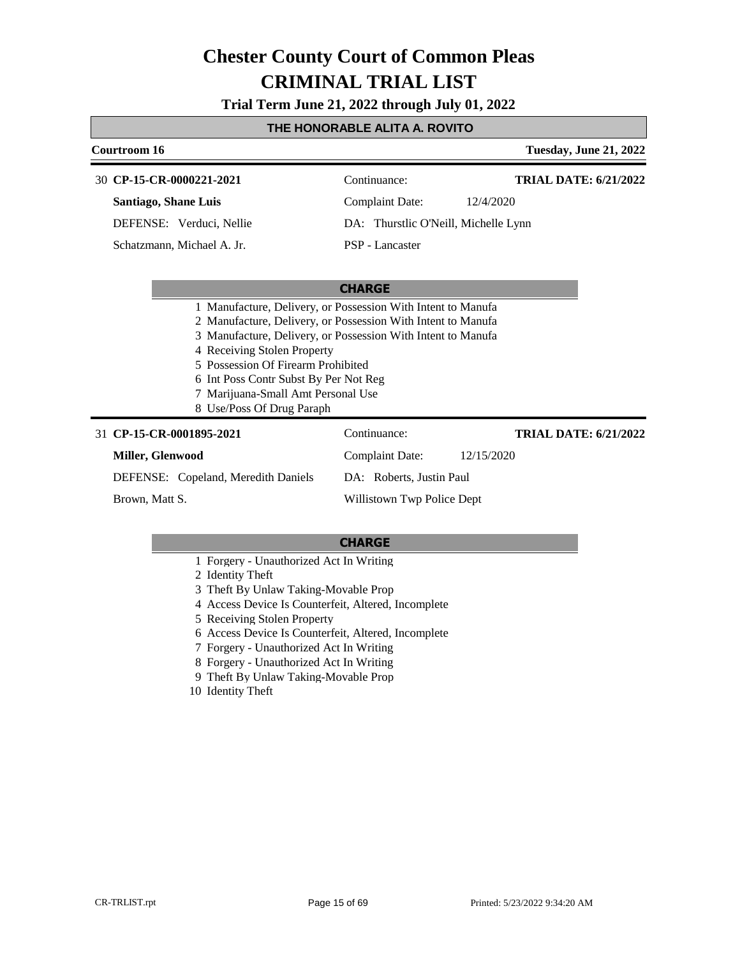**Trial Term June 21, 2022 through July 01, 2022**

### **THE HONORABLE ALITA A. ROVITO**

| Courtroom 16                                                                                                                                                                  | <b>Tuesday, June 21, 2022</b>                                                                                                                                                                |
|-------------------------------------------------------------------------------------------------------------------------------------------------------------------------------|----------------------------------------------------------------------------------------------------------------------------------------------------------------------------------------------|
| 30 CP-15-CR-0000221-2021                                                                                                                                                      | <b>TRIAL DATE: 6/21/2022</b><br>Continuance:                                                                                                                                                 |
| <b>Santiago, Shane Luis</b>                                                                                                                                                   | <b>Complaint Date:</b><br>12/4/2020                                                                                                                                                          |
| DEFENSE: Verduci, Nellie                                                                                                                                                      | DA: Thurstlic O'Neill, Michelle Lynn                                                                                                                                                         |
| Schatzmann, Michael A. Jr.                                                                                                                                                    | PSP - Lancaster                                                                                                                                                                              |
|                                                                                                                                                                               |                                                                                                                                                                                              |
|                                                                                                                                                                               | <b>CHARGE</b>                                                                                                                                                                                |
| 4 Receiving Stolen Property<br>5 Possession Of Firearm Prohibited<br>6 Int Poss Contr Subst By Per Not Reg<br>7 Marijuana-Small Amt Personal Use<br>8 Use/Poss Of Drug Paraph | 1 Manufacture, Delivery, or Possession With Intent to Manufa<br>2 Manufacture, Delivery, or Possession With Intent to Manufa<br>3 Manufacture, Delivery, or Possession With Intent to Manufa |
| 31 CP-15-CR-0001895-2021                                                                                                                                                      | Continuance:<br><b>TRIAL DATE: 6/21/2022</b>                                                                                                                                                 |
| Miller, Glenwood                                                                                                                                                              | <b>Complaint Date:</b><br>12/15/2020                                                                                                                                                         |
| DEFENSE: Copeland, Meredith Daniels                                                                                                                                           | DA: Roberts, Justin Paul                                                                                                                                                                     |
| Brown, Matt S.                                                                                                                                                                | Willistown Twp Police Dept                                                                                                                                                                   |

- 1 Forgery Unauthorized Act In Writing
- 2 Identity Theft
- 3 Theft By Unlaw Taking-Movable Prop
- 4 Access Device Is Counterfeit, Altered, Incomplete
- 5 Receiving Stolen Property
- 6 Access Device Is Counterfeit, Altered, Incomplete
- 7 Forgery Unauthorized Act In Writing
- 8 Forgery Unauthorized Act In Writing
- 9 Theft By Unlaw Taking-Movable Prop
- 10 Identity Theft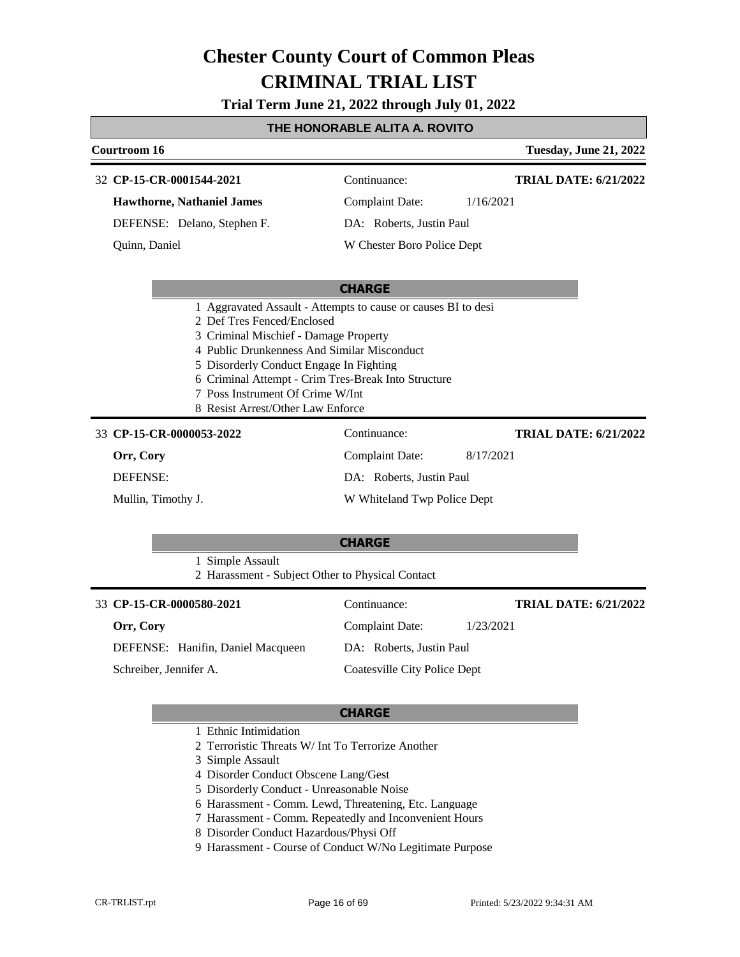**Trial Term June 21, 2022 through July 01, 2022**

#### **THE HONORABLE ALITA A. ROVITO**

### **Courtroom 16 Tuesday, June 21, 2022 CHARGE CP-15-CR-0001544-2021** 32 Continuance: **Hawthorne, Nathaniel James** DEFENSE: Delano, Stephen F. Complaint Date: 1/16/2021 DA: Roberts, Justin Paul W Chester Boro Police Dept **TRIAL DATE: 6/21/2022** Quinn, Daniel 1 Aggravated Assault - Attempts to cause or causes BI to desi 2 Def Tres Fenced/Enclosed 3 Criminal Mischief - Damage Property 4 Public Drunkenness And Similar Misconduct 5 Disorderly Conduct Engage In Fighting 6 Criminal Attempt - Crim Tres-Break Into Structure 7 Poss Instrument Of Crime W/Int 8 Resist Arrest/Other Law Enforce **CHARGE CP-15-CR-0000053-2022** 33 Continuance: **Orr, Cory** DEFENSE: Complaint Date: 8/17/2021 DA: Roberts, Justin Paul W Whiteland Twp Police Dept **TRIAL DATE: 6/21/2022** Mullin, Timothy J. 1 Simple Assault

| 2 Harassment - Subject Other to Physical Contact |                              |                              |
|--------------------------------------------------|------------------------------|------------------------------|
| 33 CP-15-CR-0000580-2021                         | Continuance:                 | <b>TRIAL DATE: 6/21/2022</b> |
| Orr, Cory                                        | <b>Complaint Date:</b>       | 1/23/2021                    |
| DEFENSE: Hanifin, Daniel Macqueen                | DA: Roberts, Justin Paul     |                              |
| Schreiber, Jennifer A.                           | Coatesville City Police Dept |                              |

- 1 Ethnic Intimidation
- 2 Terroristic Threats W/ Int To Terrorize Another
- 3 Simple Assault
- 4 Disorder Conduct Obscene Lang/Gest
- 5 Disorderly Conduct Unreasonable Noise
- 6 Harassment Comm. Lewd, Threatening, Etc. Language
- 7 Harassment Comm. Repeatedly and Inconvenient Hours
- 8 Disorder Conduct Hazardous/Physi Off
- 9 Harassment Course of Conduct W/No Legitimate Purpose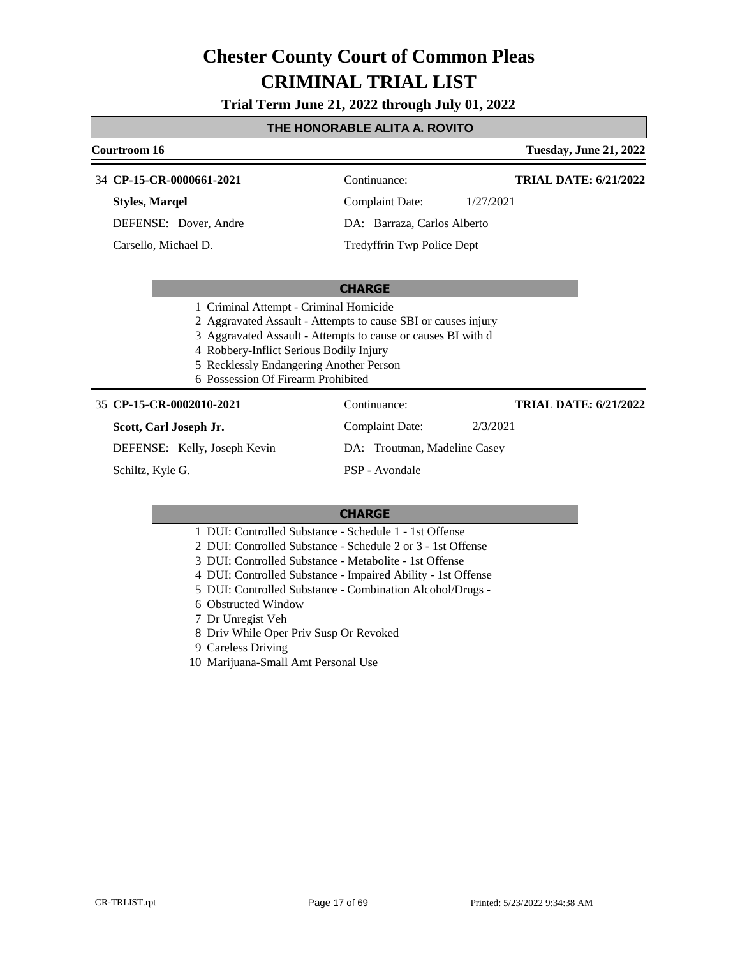**Trial Term June 21, 2022 through July 01, 2022**

### **THE HONORABLE ALITA A. ROVITO**

|                                        | Courtroom 16                 |                                                               |                              |           | <b>Tuesday, June 21, 2022</b> |
|----------------------------------------|------------------------------|---------------------------------------------------------------|------------------------------|-----------|-------------------------------|
|                                        | 34 CP-15-CR-0000661-2021     |                                                               | Continuance:                 |           | <b>TRIAL DATE: 6/21/2022</b>  |
|                                        | <b>Styles, Marqel</b>        |                                                               | <b>Complaint Date:</b>       | 1/27/2021 |                               |
|                                        | DEFENSE: Dover, Andre        |                                                               | DA: Barraza, Carlos Alberto  |           |                               |
|                                        | Carsello, Michael D.         |                                                               | Tredyffrin Twp Police Dept   |           |                               |
|                                        |                              |                                                               |                              |           |                               |
|                                        |                              |                                                               | <b>CHARGE</b>                |           |                               |
| 1 Criminal Attempt - Criminal Homicide |                              |                                                               |                              |           |                               |
|                                        |                              | 2 Aggravated Assault - Attempts to cause SBI or causes injury |                              |           |                               |
|                                        |                              | 3 Aggravated Assault - Attempts to cause or causes BI with d  |                              |           |                               |
|                                        |                              | 4 Robbery-Inflict Serious Bodily Injury                       |                              |           |                               |
|                                        |                              | 5 Recklessly Endangering Another Person                       |                              |           |                               |
|                                        |                              | 6 Possession Of Firearm Prohibited                            |                              |           |                               |
|                                        | 35 CP-15-CR-0002010-2021     |                                                               | Continuance:                 |           | <b>TRIAL DATE: 6/21/2022</b>  |
|                                        | Scott, Carl Joseph Jr.       |                                                               | <b>Complaint Date:</b>       | 2/3/2021  |                               |
|                                        | DEFENSE: Kelly, Joseph Kevin |                                                               | DA: Troutman, Madeline Casey |           |                               |
|                                        | Schiltz, Kyle G.             |                                                               | PSP - Avondale               |           |                               |
|                                        |                              |                                                               |                              |           |                               |

- 1 DUI: Controlled Substance Schedule 1 1st Offense
- 2 DUI: Controlled Substance Schedule 2 or 3 1st Offense
- 3 DUI: Controlled Substance Metabolite 1st Offense
- 4 DUI: Controlled Substance Impaired Ability 1st Offense
- 5 DUI: Controlled Substance Combination Alcohol/Drugs -
- 6 Obstructed Window
- 7 Dr Unregist Veh
- 8 Driv While Oper Priv Susp Or Revoked
- 9 Careless Driving
- 10 Marijuana-Small Amt Personal Use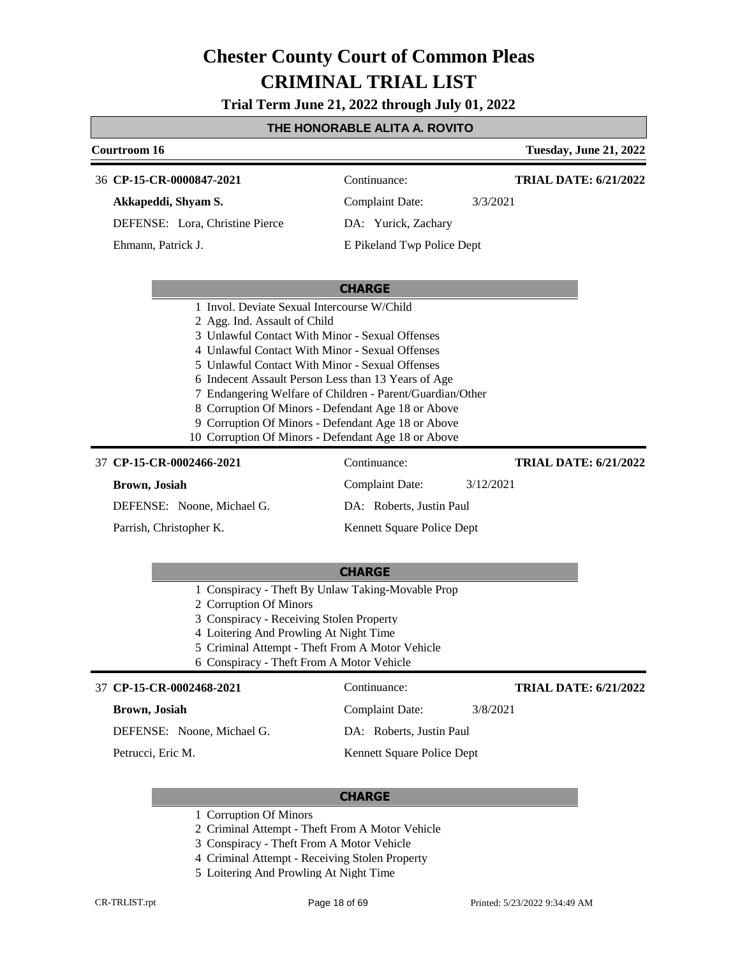**Trial Term June 21, 2022 through July 01, 2022**

### **THE HONORABLE ALITA A. ROVITO**

| <b>Courtroom 16</b>                                                                                                                                       |                                                                                                                                                                                                                                                                                                                                                                                                                                              | <b>Tuesday, June 21, 2022</b> |
|-----------------------------------------------------------------------------------------------------------------------------------------------------------|----------------------------------------------------------------------------------------------------------------------------------------------------------------------------------------------------------------------------------------------------------------------------------------------------------------------------------------------------------------------------------------------------------------------------------------------|-------------------------------|
| 36 CP-15-CR-0000847-2021                                                                                                                                  | Continuance:                                                                                                                                                                                                                                                                                                                                                                                                                                 | <b>TRIAL DATE: 6/21/2022</b>  |
| Akkapeddi, Shyam S.                                                                                                                                       | Complaint Date:                                                                                                                                                                                                                                                                                                                                                                                                                              | 3/3/2021                      |
| DEFENSE: Lora, Christine Pierce                                                                                                                           | DA: Yurick, Zachary                                                                                                                                                                                                                                                                                                                                                                                                                          |                               |
| Ehmann, Patrick J.                                                                                                                                        | E Pikeland Twp Police Dept                                                                                                                                                                                                                                                                                                                                                                                                                   |                               |
|                                                                                                                                                           | <b>CHARGE</b>                                                                                                                                                                                                                                                                                                                                                                                                                                |                               |
| 2 Agg. Ind. Assault of Child                                                                                                                              | 3 Unlawful Contact With Minor - Sexual Offenses<br>4 Unlawful Contact With Minor - Sexual Offenses<br>5 Unlawful Contact With Minor - Sexual Offenses<br>6 Indecent Assault Person Less than 13 Years of Age<br>7 Endangering Welfare of Children - Parent/Guardian/Other<br>8 Corruption Of Minors - Defendant Age 18 or Above<br>9 Corruption Of Minors - Defendant Age 18 or Above<br>10 Corruption Of Minors - Defendant Age 18 or Above |                               |
| 37 CP-15-CR-0002466-2021                                                                                                                                  | Continuance:                                                                                                                                                                                                                                                                                                                                                                                                                                 | <b>TRIAL DATE: 6/21/2022</b>  |
| <b>Brown</b> , Josiah                                                                                                                                     | <b>Complaint Date:</b>                                                                                                                                                                                                                                                                                                                                                                                                                       | 3/12/2021                     |
| DEFENSE: Noone, Michael G.                                                                                                                                | DA: Roberts, Justin Paul                                                                                                                                                                                                                                                                                                                                                                                                                     |                               |
| Parrish, Christopher K.                                                                                                                                   | Kennett Square Police Dept                                                                                                                                                                                                                                                                                                                                                                                                                   |                               |
|                                                                                                                                                           | <b>CHARGE</b>                                                                                                                                                                                                                                                                                                                                                                                                                                |                               |
| 2 Corruption Of Minors<br>3 Conspiracy - Receiving Stolen Property<br>4 Loitering And Prowling At Night Time<br>6 Conspiracy - Theft From A Motor Vehicle | 1 Conspiracy - Theft By Unlaw Taking-Movable Prop<br>5 Criminal Attempt - Theft From A Motor Vehicle                                                                                                                                                                                                                                                                                                                                         |                               |
| 37 CP-15-CR-0002468-2021                                                                                                                                  | Continuance:                                                                                                                                                                                                                                                                                                                                                                                                                                 | <b>TRIAL DATE: 6/21/2022</b>  |

#### **Brown, Josiah**

DEFENSE: Noone, Michael G.

Petrucci, Eric M.

DA: Roberts, Justin Paul

Complaint Date: 3/8/2021

Kennett Square Police Dept

- 1 Corruption Of Minors
- 2 Criminal Attempt Theft From A Motor Vehicle
- 3 Conspiracy Theft From A Motor Vehicle
- 4 Criminal Attempt Receiving Stolen Property
- 5 Loitering And Prowling At Night Time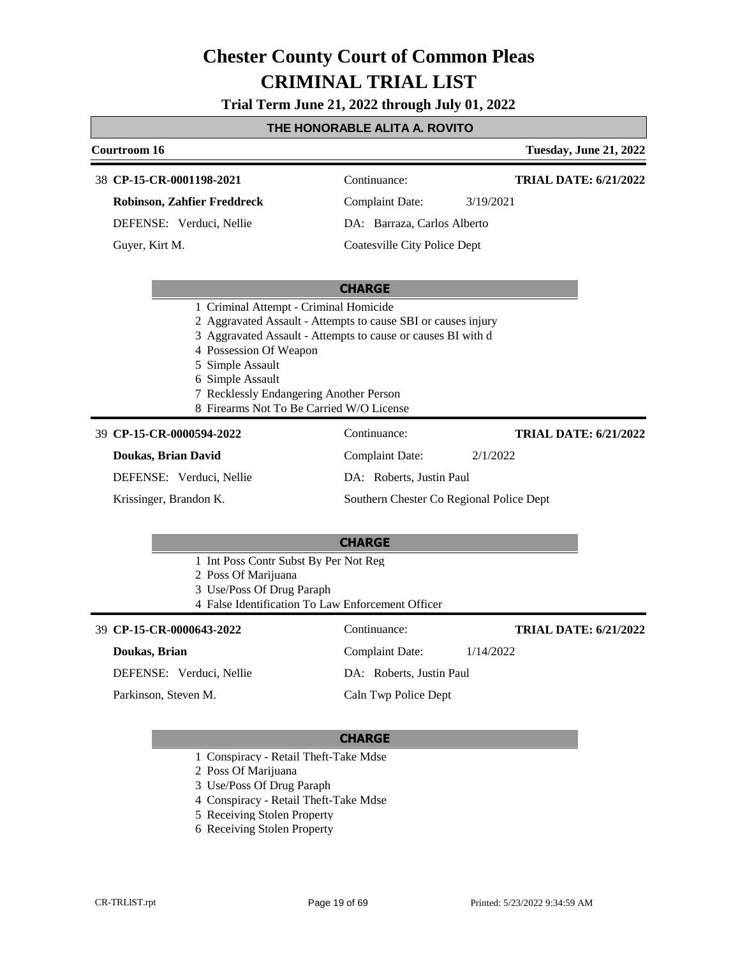**Trial Term June 21, 2022 through July 01, 2022**

#### **THE HONORABLE ALITA A. ROVITO**

### **Courtroom 16 Tuesday, June 21, 2022 CHARGE CP-15-CR-0001198-2021** 38 Continuance: **Robinson, Zahfier Freddreck** DEFENSE: Verduci, Nellie Complaint Date: 3/19/2021 DA: Barraza, Carlos Alberto Coatesville City Police Dept **TRIAL DATE: 6/21/2022** Guyer, Kirt M. 1 Criminal Attempt - Criminal Homicide 2 Aggravated Assault - Attempts to cause SBI or causes injury 3 Aggravated Assault - Attempts to cause or causes BI with d 4 Possession Of Weapon 5 Simple Assault 6 Simple Assault 7 Recklessly Endangering Another Person 8 Firearms Not To Be Carried W/O License **CHARGE CP-15-CR-0000594-2022** 39 Continuance: **Doukas, Brian David** DEFENSE: Verduci, Nellie Complaint Date: 2/1/2022 DA: Roberts, Justin Paul Southern Chester Co Regional Police Dept **TRIAL DATE: 6/21/2022** Krissinger, Brandon K. 1 Int Poss Contr Subst By Per Not Reg 2 Poss Of Marijuana 3 Use/Poss Of Drug Paraph 4 False Identification To Law Enforcement Officer **CP-15-CR-0000643-2022** 39 Continuance: Complaint Date: 1/14/2022 **TRIAL DATE: 6/21/2022**

#### **Doukas, Brian**

DEFENSE: Verduci, Nellie

Parkinson, Steven M.

#### **CHARGE**

DA: Roberts, Justin Paul Caln Twp Police Dept

- 1 Conspiracy Retail Theft-Take Mdse
- 2 Poss Of Marijuana
- 3 Use/Poss Of Drug Paraph
- 4 Conspiracy Retail Theft-Take Mdse
- 5 Receiving Stolen Property
- 6 Receiving Stolen Property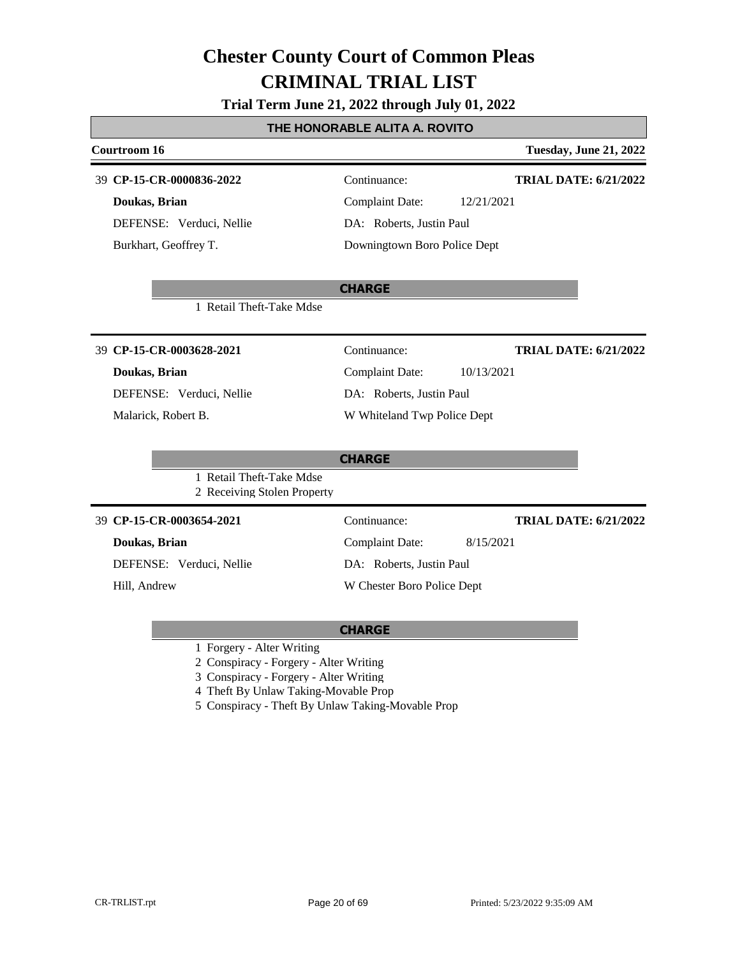### **Trial Term June 21, 2022 through July 01, 2022**

### **THE HONORABLE ALITA A. ROVITO**

| <b>Courtroom 16</b>                                     |                                      | <b>Tuesday, June 21, 2022</b> |
|---------------------------------------------------------|--------------------------------------|-------------------------------|
| 39 CP-15-CR-0000836-2022                                | Continuance:                         | <b>TRIAL DATE: 6/21/2022</b>  |
| Doukas, Brian                                           | <b>Complaint Date:</b><br>12/21/2021 |                               |
| DEFENSE: Verduci, Nellie                                | DA: Roberts, Justin Paul             |                               |
| Burkhart, Geoffrey T.                                   | Downingtown Boro Police Dept         |                               |
|                                                         | <b>CHARGE</b>                        |                               |
| 1 Retail Theft-Take Mdse                                |                                      |                               |
| 39 CP-15-CR-0003628-2021                                | Continuance:                         | <b>TRIAL DATE: 6/21/2022</b>  |
| Doukas, Brian                                           | <b>Complaint Date:</b><br>10/13/2021 |                               |
| DEFENSE: Verduci, Nellie                                | DA: Roberts, Justin Paul             |                               |
| Malarick, Robert B.                                     | W Whiteland Twp Police Dept          |                               |
|                                                         | <b>CHARGE</b>                        |                               |
| 1 Retail Theft-Take Mdse<br>2 Receiving Stolen Property |                                      |                               |
| 39 CP-15-CR-0003654-2021                                | Continuance:                         | <b>TRIAL DATE: 6/21/2022</b>  |
| Doukas, Brian                                           | <b>Complaint Date:</b><br>8/15/2021  |                               |
| DEFENSE: Verduci, Nellie                                | DA: Roberts, Justin Paul             |                               |
| Hill, Andrew                                            | W Chester Boro Police Dept           |                               |
|                                                         |                                      |                               |

### **CHARGE**

1 Forgery - Alter Writing

2 Conspiracy - Forgery - Alter Writing

3 Conspiracy - Forgery - Alter Writing

4 Theft By Unlaw Taking-Movable Prop

5 Conspiracy - Theft By Unlaw Taking-Movable Prop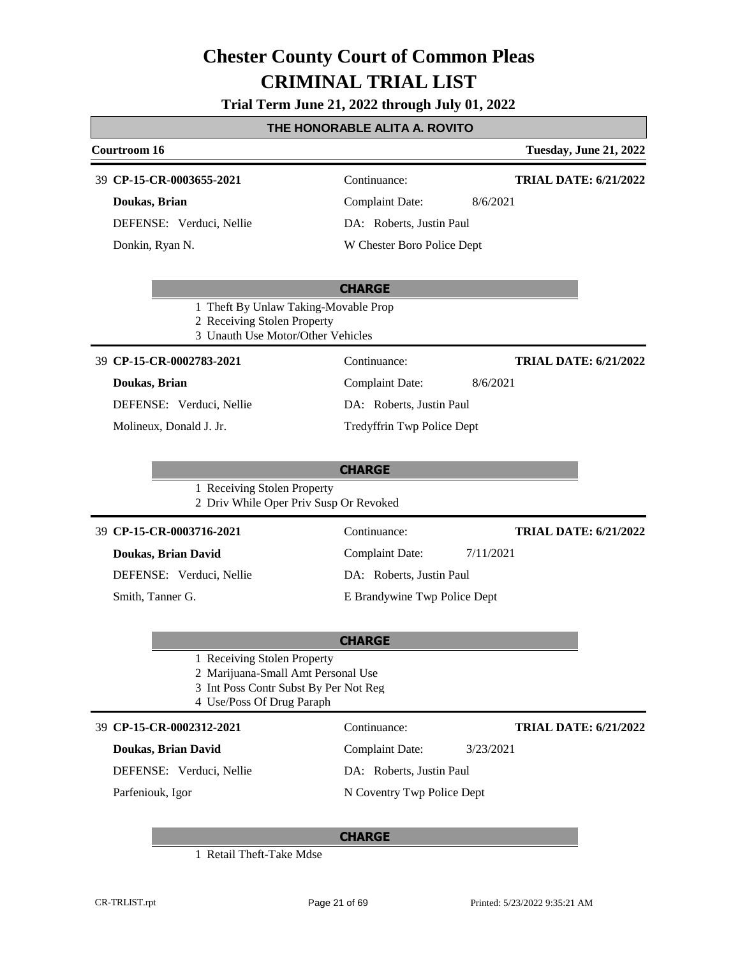## **Trial Term June 21, 2022 through July 01, 2022**

## **THE HONORABLE ALITA A. ROVITO**

| Courtroom 16                                                                                                                            |                              | <b>Tuesday, June 21, 2022</b> |
|-----------------------------------------------------------------------------------------------------------------------------------------|------------------------------|-------------------------------|
| 39 CP-15-CR-0003655-2021                                                                                                                | Continuance:                 | <b>TRIAL DATE: 6/21/2022</b>  |
| Doukas, Brian                                                                                                                           | <b>Complaint Date:</b>       | 8/6/2021                      |
| DEFENSE: Verduci, Nellie                                                                                                                | DA: Roberts, Justin Paul     |                               |
| Donkin, Ryan N.                                                                                                                         | W Chester Boro Police Dept   |                               |
|                                                                                                                                         |                              |                               |
|                                                                                                                                         | <b>CHARGE</b>                |                               |
| 1 Theft By Unlaw Taking-Movable Prop<br>2 Receiving Stolen Property<br>3 Unauth Use Motor/Other Vehicles                                |                              |                               |
| 39 CP-15-CR-0002783-2021                                                                                                                | Continuance:                 | <b>TRIAL DATE: 6/21/2022</b>  |
| Doukas, Brian                                                                                                                           | <b>Complaint Date:</b>       | 8/6/2021                      |
| DEFENSE: Verduci, Nellie                                                                                                                | DA: Roberts, Justin Paul     |                               |
| Molineux, Donald J. Jr.                                                                                                                 | Tredyffrin Twp Police Dept   |                               |
|                                                                                                                                         |                              |                               |
|                                                                                                                                         | <b>CHARGE</b>                |                               |
| 1 Receiving Stolen Property<br>2 Driv While Oper Priv Susp Or Revoked                                                                   |                              |                               |
| 39 CP-15-CR-0003716-2021                                                                                                                | Continuance:                 | <b>TRIAL DATE: 6/21/2022</b>  |
| Doukas, Brian David                                                                                                                     | <b>Complaint Date:</b>       | 7/11/2021                     |
| DEFENSE: Verduci, Nellie                                                                                                                | DA: Roberts, Justin Paul     |                               |
| Smith, Tanner G.                                                                                                                        | E Brandywine Twp Police Dept |                               |
|                                                                                                                                         |                              |                               |
|                                                                                                                                         | <b>CHARGE</b>                |                               |
| 1 Receiving Stolen Property<br>2 Marijuana-Small Amt Personal Use<br>3 Int Poss Contr Subst By Per Not Reg<br>4 Use/Poss Of Drug Paraph |                              |                               |
| 39 CP-15-CR-0002312-2021                                                                                                                | Continuance:                 | <b>TRIAL DATE: 6/21/2022</b>  |
| Doukas, Brian David                                                                                                                     | <b>Complaint Date:</b>       | 3/23/2021                     |
| DEFENSE: Verduci, Nellie                                                                                                                | DA: Roberts, Justin Paul     |                               |
| Parfeniouk, Igor                                                                                                                        | N Coventry Twp Police Dept   |                               |
|                                                                                                                                         | <b>CHARGE</b>                |                               |

1 Retail Theft-Take Mdse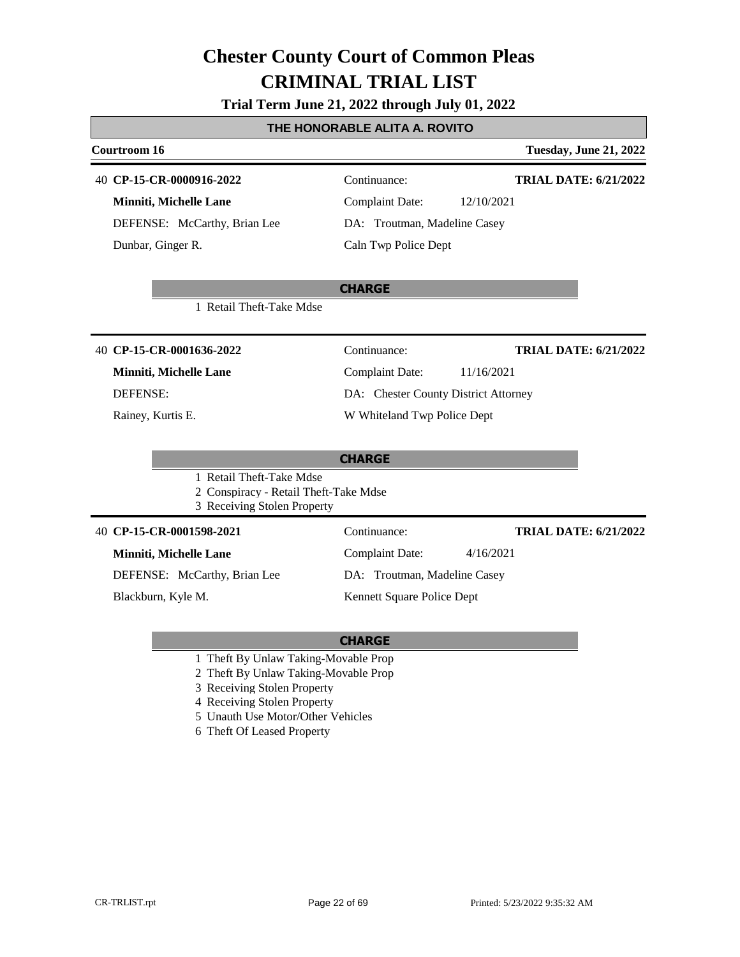### **Trial Term June 21, 2022 through July 01, 2022**

### **THE HONORABLE ALITA A. ROVITO**

| Courtroom 16                                                                                     | Tuesday, June 21, 2022                       |
|--------------------------------------------------------------------------------------------------|----------------------------------------------|
| 40 CP-15-CR-0000916-2022                                                                         | Continuance:<br><b>TRIAL DATE: 6/21/2022</b> |
| <b>Minniti, Michelle Lane</b>                                                                    | <b>Complaint Date:</b><br>12/10/2021         |
| DEFENSE: McCarthy, Brian Lee                                                                     | DA: Troutman, Madeline Casey                 |
| Dunbar, Ginger R.                                                                                | Caln Twp Police Dept                         |
|                                                                                                  | <b>CHARGE</b>                                |
| 1 Retail Theft-Take Mdse                                                                         |                                              |
| 40 CP-15-CR-0001636-2022                                                                         | Continuance:<br><b>TRIAL DATE: 6/21/2022</b> |
| Minniti, Michelle Lane                                                                           | <b>Complaint Date:</b><br>11/16/2021         |
| <b>DEFENSE:</b>                                                                                  | DA: Chester County District Attorney         |
| Rainey, Kurtis E.                                                                                | W Whiteland Twp Police Dept                  |
|                                                                                                  | <b>CHARGE</b>                                |
| 1 Retail Theft-Take Mdse<br>2 Conspiracy - Retail Theft-Take Mdse<br>3 Receiving Stolen Property |                                              |
| 40 CP-15-CR-0001598-2021                                                                         | Continuance:<br><b>TRIAL DATE: 6/21/2022</b> |
| <b>Minniti, Michelle Lane</b>                                                                    | <b>Complaint Date:</b><br>4/16/2021          |
| DEFENSE: McCarthy, Brian Lee                                                                     | DA: Troutman, Madeline Casey                 |
| Blackburn, Kyle M.                                                                               | Kennett Square Police Dept                   |

- 1 Theft By Unlaw Taking-Movable Prop
- 2 Theft By Unlaw Taking-Movable Prop
- 3 Receiving Stolen Property
- 4 Receiving Stolen Property
- 5 Unauth Use Motor/Other Vehicles
- 6 Theft Of Leased Property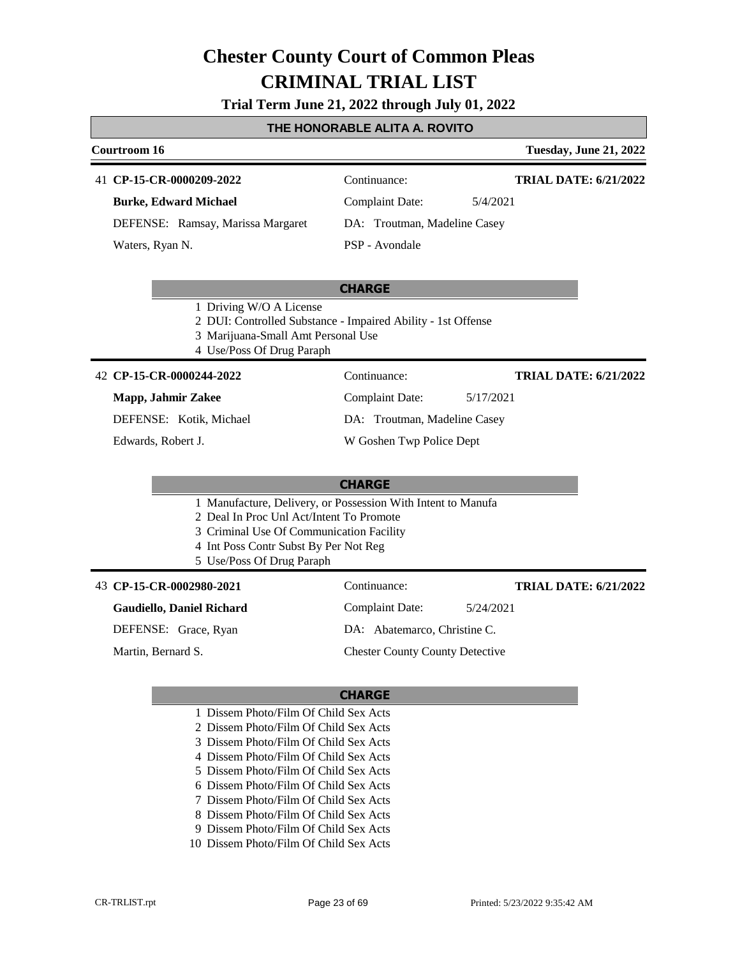#### **Trial Term June 21, 2022 through July 01, 2022**

#### **THE HONORABLE ALITA A. ROVITO**

#### **Courtroom 16 Tuesday, June 21, 2022**

#### 41 **CP-15-CR-0000209-2022** Continuance:

**Burke, Edward Michael**

DEFENSE: Ramsay, Marissa Margaret

Waters, Ryan N.

Complaint Date: 5/4/2021

**TRIAL DATE: 6/21/2022**

**TRIAL DATE: 6/21/2022**

DA: Troutman, Madeline Casey

#### PSP - Avondale

#### **CHARGE**

- 1 Driving W/O A License
- 2 DUI: Controlled Substance Impaired Ability 1st Offense
- 3 Marijuana-Small Amt Personal Use
- 4 Use/Poss Of Drug Paraph

#### **CP-15-CR-0000244-2022** 42 Continuance:

#### **Mapp, Jahmir Zakee**

DEFENSE: Kotik, Michael

Edwards, Robert J.

Complaint Date: 5/17/2021

DA: Troutman, Madeline Casey

W Goshen Twp Police Dept

#### **CHARGE**

- 1 Manufacture, Delivery, or Possession With Intent to Manufa
- 2 Deal In Proc Unl Act/Intent To Promote
- 3 Criminal Use Of Communication Facility
- 4 Int Poss Contr Subst By Per Not Reg
- 5 Use/Poss Of Drug Paraph

#### **CP-15-CR-0002980-2021** 43 Continuance:

#### **Gaudiello, Daniel Richard**

DEFENSE: Grace, Ryan

Martin, Bernard S.

DA: Abatemarco, Christine C.

Chester County County Detective

#### **CHARGE**

- 1 Dissem Photo/Film Of Child Sex Acts
- 2 Dissem Photo/Film Of Child Sex Acts
- 3 Dissem Photo/Film Of Child Sex Acts
- 4 Dissem Photo/Film Of Child Sex Acts
- 5 Dissem Photo/Film Of Child Sex Acts
- 6 Dissem Photo/Film Of Child Sex Acts
- 7 Dissem Photo/Film Of Child Sex Acts
- 8 Dissem Photo/Film Of Child Sex Acts
- 9 Dissem Photo/Film Of Child Sex Acts
- 10 Dissem Photo/Film Of Child Sex Acts

Complaint Date: 5/24/2021

**TRIAL DATE: 6/21/2022**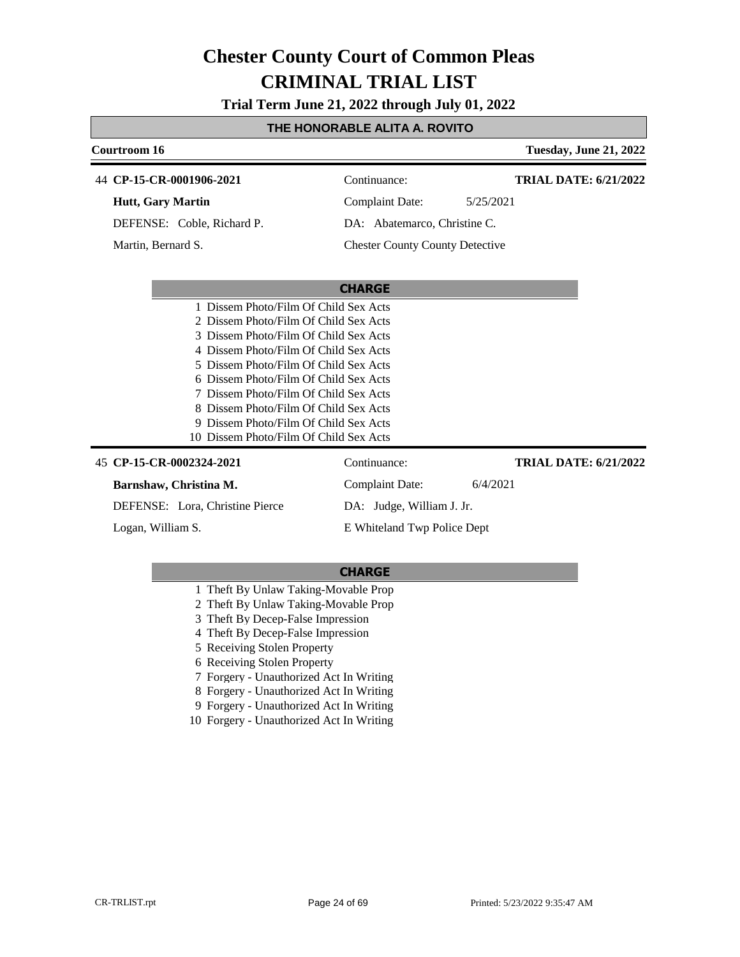**Trial Term June 21, 2022 through July 01, 2022**

### **THE HONORABLE ALITA A. ROVITO**

| Courtroom 16                           |                                        | <b>Tuesday, June 21, 2022</b> |
|----------------------------------------|----------------------------------------|-------------------------------|
| 44 CP-15-CR-0001906-2021               | Continuance:                           | <b>TRIAL DATE: 6/21/2022</b>  |
| <b>Hutt, Gary Martin</b>               | <b>Complaint Date:</b>                 | 5/25/2021                     |
| DEFENSE: Coble, Richard P.             | DA: Abatemarco, Christine C.           |                               |
| Martin, Bernard S.                     | <b>Chester County County Detective</b> |                               |
|                                        |                                        |                               |
|                                        | <b>CHARGE</b>                          |                               |
| 1 Dissem Photo/Film Of Child Sex Acts  |                                        |                               |
| 2 Dissem Photo/Film Of Child Sex Acts  |                                        |                               |
| 3 Dissem Photo/Film Of Child Sex Acts  |                                        |                               |
| 4 Dissem Photo/Film Of Child Sex Acts  |                                        |                               |
| 5 Dissem Photo/Film Of Child Sex Acts  |                                        |                               |
| 6 Dissem Photo/Film Of Child Sex Acts  |                                        |                               |
| 7 Dissem Photo/Film Of Child Sex Acts  |                                        |                               |
| 8 Dissem Photo/Film Of Child Sex Acts  |                                        |                               |
| 9 Dissem Photo/Film Of Child Sex Acts  |                                        |                               |
| 10 Dissem Photo/Film Of Child Sex Acts |                                        |                               |
| 45 CP-15-CR-0002324-2021               | Continuance:                           | <b>TRIAL DATE: 6/21/2022</b>  |
| Barnshaw, Christina M.                 | Complaint Date:                        | 6/4/2021                      |
| DEFENSE: Lora, Christine Pierce        | DA: Judge, William J. Jr.              |                               |

Logan, William S.

**CHARGE**

E Whiteland Twp Police Dept

- 1 Theft By Unlaw Taking-Movable Prop
- 2 Theft By Unlaw Taking-Movable Prop
- 3 Theft By Decep-False Impression
- 4 Theft By Decep-False Impression
- 5 Receiving Stolen Property
- 6 Receiving Stolen Property
- 7 Forgery Unauthorized Act In Writing
- 8 Forgery Unauthorized Act In Writing
- 9 Forgery Unauthorized Act In Writing
- 10 Forgery Unauthorized Act In Writing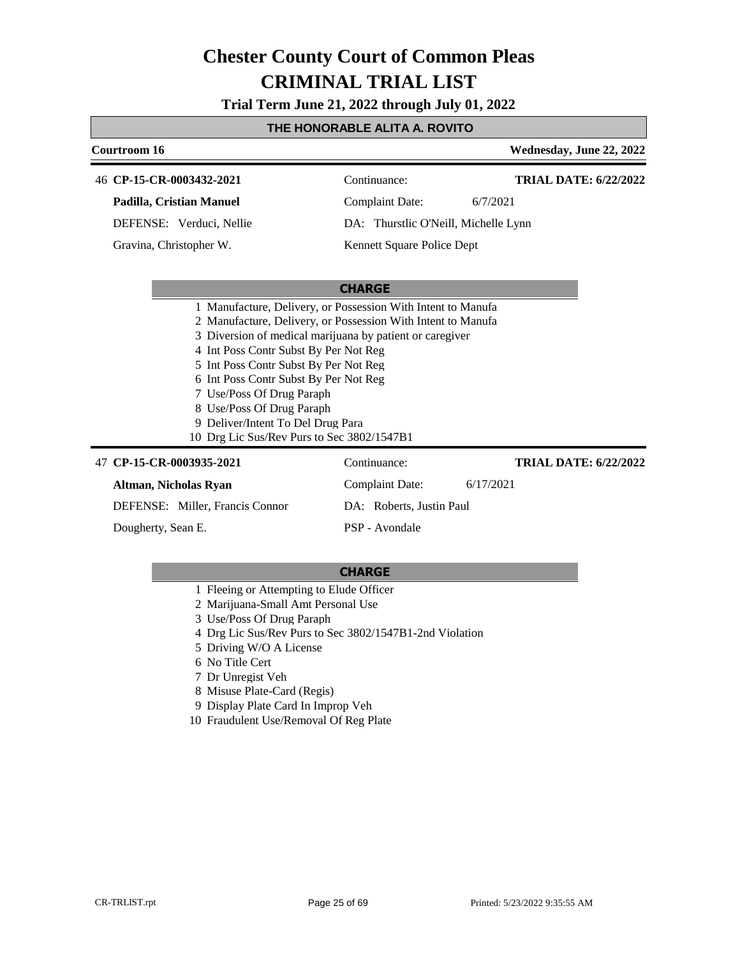**Trial Term June 21, 2022 through July 01, 2022**

### **THE HONORABLE ALITA A. ROVITO**

| Courtroom 16                                                 |                                      | Wednesday, June 22, 2022     |
|--------------------------------------------------------------|--------------------------------------|------------------------------|
| 46 CP-15-CR-0003432-2021                                     | Continuance:                         | <b>TRIAL DATE: 6/22/2022</b> |
| Padilla, Cristian Manuel                                     | <b>Complaint Date:</b>               | 6/7/2021                     |
| DEFENSE: Verduci, Nellie                                     | DA: Thurstlic O'Neill, Michelle Lynn |                              |
| Gravina, Christopher W.                                      | Kennett Square Police Dept           |                              |
|                                                              |                                      |                              |
|                                                              | <b>CHARGE</b>                        |                              |
| 1 Manufacture, Delivery, or Possession With Intent to Manufa |                                      |                              |
| 2 Manufacture, Delivery, or Possession With Intent to Manufa |                                      |                              |
| 3 Diversion of medical marijuana by patient or caregiver     |                                      |                              |
| 4 Int Poss Contr Subst By Per Not Reg                        |                                      |                              |
| 5 Int Poss Contr Subst By Per Not Reg                        |                                      |                              |
| 6 Int Poss Contr Subst By Per Not Reg                        |                                      |                              |
| 7 Use/Poss Of Drug Paraph                                    |                                      |                              |
| 8 Use/Poss Of Drug Paraph                                    |                                      |                              |
| 9 Deliver/Intent To Del Drug Para                            |                                      |                              |
| 10 Drg Lic Sus/Rev Purs to Sec 3802/1547B1                   |                                      |                              |
| 47 CP-15-CR-0003935-2021                                     | Continuance:                         | <b>TRIAL DATE: 6/22/2022</b> |
| Altman, Nicholas Ryan                                        | <b>Complaint Date:</b>               | 6/17/2021                    |
| DEFENSE: Miller, Francis Connor                              | DA: Roberts, Justin Paul             |                              |
| Dougherty, Sean E.                                           | PSP - Avondale                       |                              |

- 1 Fleeing or Attempting to Elude Officer
- 2 Marijuana-Small Amt Personal Use
- 3 Use/Poss Of Drug Paraph
- 4 Drg Lic Sus/Rev Purs to Sec 3802/1547B1-2nd Violation
- 5 Driving W/O A License
- 6 No Title Cert
- 7 Dr Unregist Veh
- 8 Misuse Plate-Card (Regis)
- 9 Display Plate Card In Improp Veh
- 10 Fraudulent Use/Removal Of Reg Plate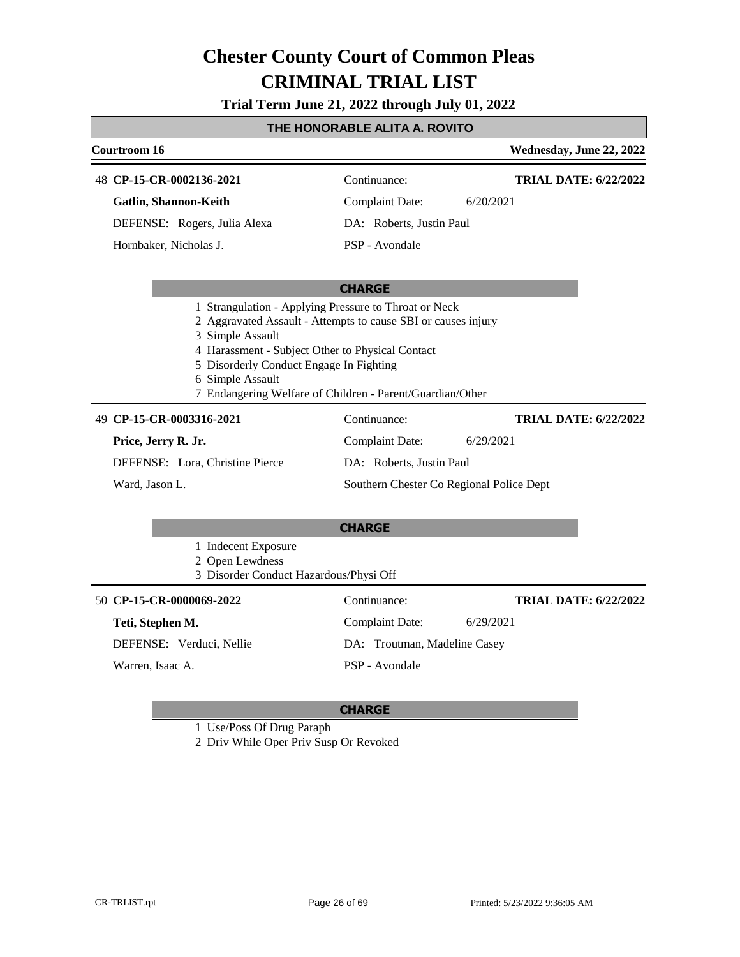**Trial Term June 21, 2022 through July 01, 2022**

### **THE HONORABLE ALITA A. ROVITO**

| Courtroom 16                                                                                                                                                                                                                                                                                                               |                                          | Wednesday, June 22, 2022     |  |
|----------------------------------------------------------------------------------------------------------------------------------------------------------------------------------------------------------------------------------------------------------------------------------------------------------------------------|------------------------------------------|------------------------------|--|
| 48 CP-15-CR-0002136-2021                                                                                                                                                                                                                                                                                                   | Continuance:                             | <b>TRIAL DATE: 6/22/2022</b> |  |
| Gatlin, Shannon-Keith                                                                                                                                                                                                                                                                                                      | <b>Complaint Date:</b><br>6/20/2021      |                              |  |
| DEFENSE: Rogers, Julia Alexa                                                                                                                                                                                                                                                                                               | DA: Roberts, Justin Paul                 |                              |  |
| Hornbaker, Nicholas J.                                                                                                                                                                                                                                                                                                     | PSP - Avondale                           |                              |  |
|                                                                                                                                                                                                                                                                                                                            |                                          |                              |  |
|                                                                                                                                                                                                                                                                                                                            | <b>CHARGE</b>                            |                              |  |
| 1 Strangulation - Applying Pressure to Throat or Neck<br>2 Aggravated Assault - Attempts to cause SBI or causes injury<br>3 Simple Assault<br>4 Harassment - Subject Other to Physical Contact<br>5 Disorderly Conduct Engage In Fighting<br>6 Simple Assault<br>7 Endangering Welfare of Children - Parent/Guardian/Other |                                          |                              |  |
| 49 CP-15-CR-0003316-2021                                                                                                                                                                                                                                                                                                   | Continuance:                             | <b>TRIAL DATE: 6/22/2022</b> |  |
| Price, Jerry R. Jr.                                                                                                                                                                                                                                                                                                        | <b>Complaint Date:</b><br>6/29/2021      |                              |  |
| DEFENSE: Lora, Christine Pierce                                                                                                                                                                                                                                                                                            | DA: Roberts, Justin Paul                 |                              |  |
| Ward, Jason L.                                                                                                                                                                                                                                                                                                             | Southern Chester Co Regional Police Dept |                              |  |
|                                                                                                                                                                                                                                                                                                                            |                                          |                              |  |
|                                                                                                                                                                                                                                                                                                                            | <b>CHARGE</b>                            |                              |  |
| 1 Indecent Exposure<br>2 Open Lewdness<br>3 Disorder Conduct Hazardous/Physi Off                                                                                                                                                                                                                                           |                                          |                              |  |
| 50 CP-15-CR-0000069-2022                                                                                                                                                                                                                                                                                                   | Continuance:                             | <b>TRIAL DATE: 6/22/2022</b> |  |
| Teti, Stephen M.                                                                                                                                                                                                                                                                                                           | 6/29/2021<br><b>Complaint Date:</b>      |                              |  |
| DEFENSE: Verduci, Nellie                                                                                                                                                                                                                                                                                                   | DA: Troutman, Madeline Casey             |                              |  |
| Warren, Isaac A.                                                                                                                                                                                                                                                                                                           | PSP - Avondale                           |                              |  |

#### **CHARGE**

1 Use/Poss Of Drug Paraph

2 Driv While Oper Priv Susp Or Revoked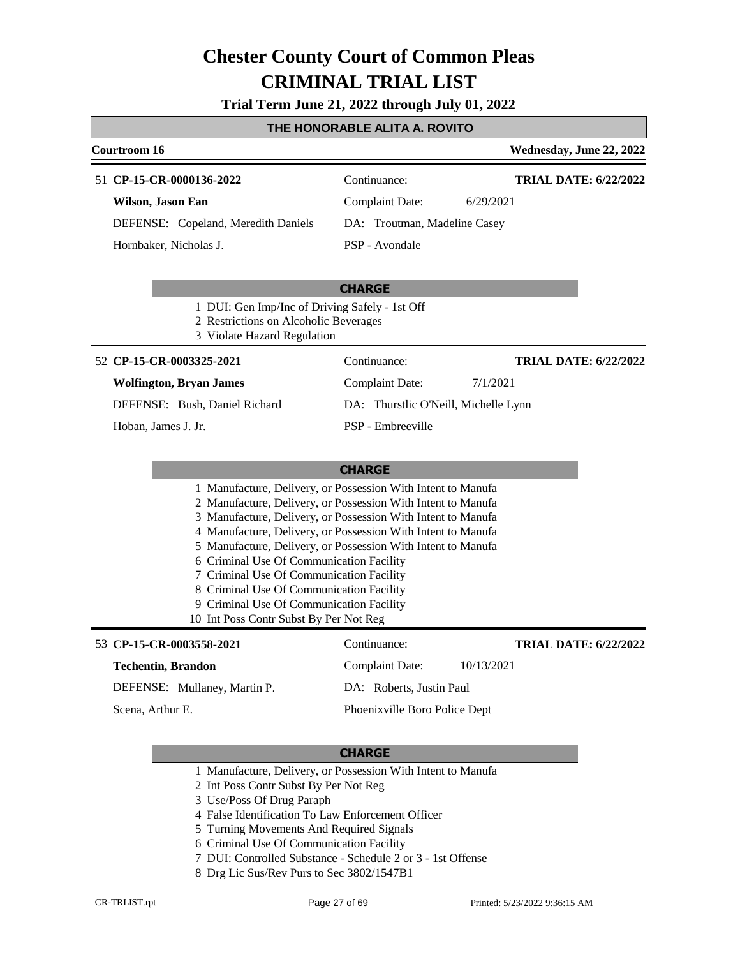### **Trial Term June 21, 2022 through July 01, 2022**

### **THE HONORABLE ALITA A. ROVITO**

| Courtroom 16                                                                                                           |                                                                                                                              | Wednesday, June 22, 2022     |
|------------------------------------------------------------------------------------------------------------------------|------------------------------------------------------------------------------------------------------------------------------|------------------------------|
| 51 CP-15-CR-0000136-2022                                                                                               | Continuance:                                                                                                                 | <b>TRIAL DATE: 6/22/2022</b> |
| Wilson, Jason Ean                                                                                                      | <b>Complaint Date:</b>                                                                                                       | 6/29/2021                    |
| DEFENSE: Copeland, Meredith Daniels                                                                                    | DA: Troutman, Madeline Casey                                                                                                 |                              |
| Hornbaker, Nicholas J.                                                                                                 | PSP - Avondale                                                                                                               |                              |
|                                                                                                                        | <b>CHARGE</b>                                                                                                                |                              |
| 1 DUI: Gen Imp/Inc of Driving Safely - 1st Off<br>2 Restrictions on Alcoholic Beverages<br>3 Violate Hazard Regulation |                                                                                                                              |                              |
| 52 CP-15-CR-0003325-2021                                                                                               | Continuance:                                                                                                                 | <b>TRIAL DATE: 6/22/2022</b> |
| <b>Wolfington, Bryan James</b>                                                                                         | <b>Complaint Date:</b>                                                                                                       | 7/1/2021                     |
| DEFENSE: Bush, Daniel Richard                                                                                          | DA: Thurstlic O'Neill, Michelle Lynn                                                                                         |                              |
| Hoban, James J. Jr.                                                                                                    | <b>PSP</b> - Embreeville                                                                                                     |                              |
|                                                                                                                        |                                                                                                                              |                              |
|                                                                                                                        | <b>CHARGE</b>                                                                                                                |                              |
|                                                                                                                        | 1 Manufacture, Delivery, or Possession With Intent to Manufa<br>2 Manufacture, Delivery, or Possession With Intent to Manufa |                              |
|                                                                                                                        | 3 Manufacture, Delivery, or Possession With Intent to Manufa                                                                 |                              |
|                                                                                                                        | 4 Manufacture, Delivery, or Possession With Intent to Manufa                                                                 |                              |
| 6 Criminal Use Of Communication Facility                                                                               | 5 Manufacture, Delivery, or Possession With Intent to Manufa                                                                 |                              |
| 7 Criminal Use Of Communication Facility                                                                               |                                                                                                                              |                              |
| 8 Criminal Use Of Communication Facility                                                                               |                                                                                                                              |                              |
| 9 Criminal Use Of Communication Facility<br>10 Int Poss Contr Subst By Per Not Reg                                     |                                                                                                                              |                              |
| 53 CP-15-CR-0003558-2021                                                                                               | Continuance:                                                                                                                 | <b>TRIAL DATE: 6/22/2022</b> |
| <b>Techentin, Brandon</b>                                                                                              | <b>Complaint Date:</b>                                                                                                       | 10/13/2021                   |
| DEFENSE: Mullaney, Martin P.                                                                                           | DA: Roberts, Justin Paul                                                                                                     |                              |
| Scena, Arthur E.                                                                                                       | Phoenixville Boro Police Dept                                                                                                |                              |

- 1 Manufacture, Delivery, or Possession With Intent to Manufa
- 2 Int Poss Contr Subst By Per Not Reg
- 3 Use/Poss Of Drug Paraph
- 4 False Identification To Law Enforcement Officer
- 5 Turning Movements And Required Signals
- 6 Criminal Use Of Communication Facility
- 7 DUI: Controlled Substance Schedule 2 or 3 1st Offense
- 8 Drg Lic Sus/Rev Purs to Sec 3802/1547B1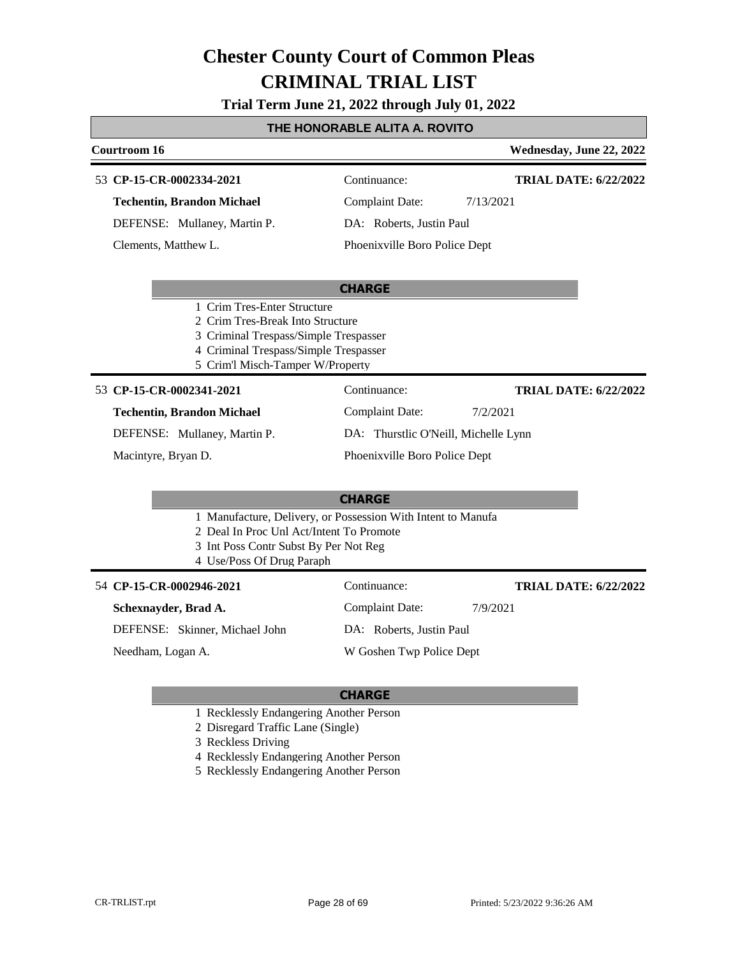**Trial Term June 21, 2022 through July 01, 2022**

#### **THE HONORABLE ALITA A. ROVITO**

### **Courtroom 16 Wednesday, June 22, 2022 CHARGE CP-15-CR-0002334-2021** 53 Continuance: **Techentin, Brandon Michael** DEFENSE: Mullaney, Martin P. Complaint Date: 7/13/2021 DA: Roberts, Justin Paul Phoenixville Boro Police Dept **TRIAL DATE: 6/22/2022** Clements, Matthew L. 1 Crim Tres-Enter Structure 2 Crim Tres-Break Into Structure 3 Criminal Trespass/Simple Trespasser 4 Criminal Trespass/Simple Trespasser 5 Crim'l Misch-Tamper W/Property **CHARGE** 53 **CP-15-CR-0002341-2021** Continuance: **Techentin, Brandon Michael** DEFENSE: Mullaney, Martin P. Complaint Date: 7/2/2021 DA: Thurstlic O'Neill, Michelle Lynn Phoenixville Boro Police Dept **TRIAL DATE: 6/22/2022** Macintyre, Bryan D. 1 Manufacture, Delivery, or Possession With Intent to Manufa 2 Deal In Proc Unl Act/Intent To Promote 3 Int Poss Contr Subst By Per Not Reg 4 Use/Poss Of Drug Paraph

**CP-15-CR-0002946-2021** 54 Continuance:

#### **Schexnayder, Brad A.**

**TRIAL DATE: 6/22/2022**

DEFENSE: Skinner, Michael John

Complaint Date: 7/9/2021 DA: Roberts, Justin Paul

Needham, Logan A.

W Goshen Twp Police Dept

- 1 Recklessly Endangering Another Person
- 2 Disregard Traffic Lane (Single)
- 3 Reckless Driving
- 4 Recklessly Endangering Another Person
- 5 Recklessly Endangering Another Person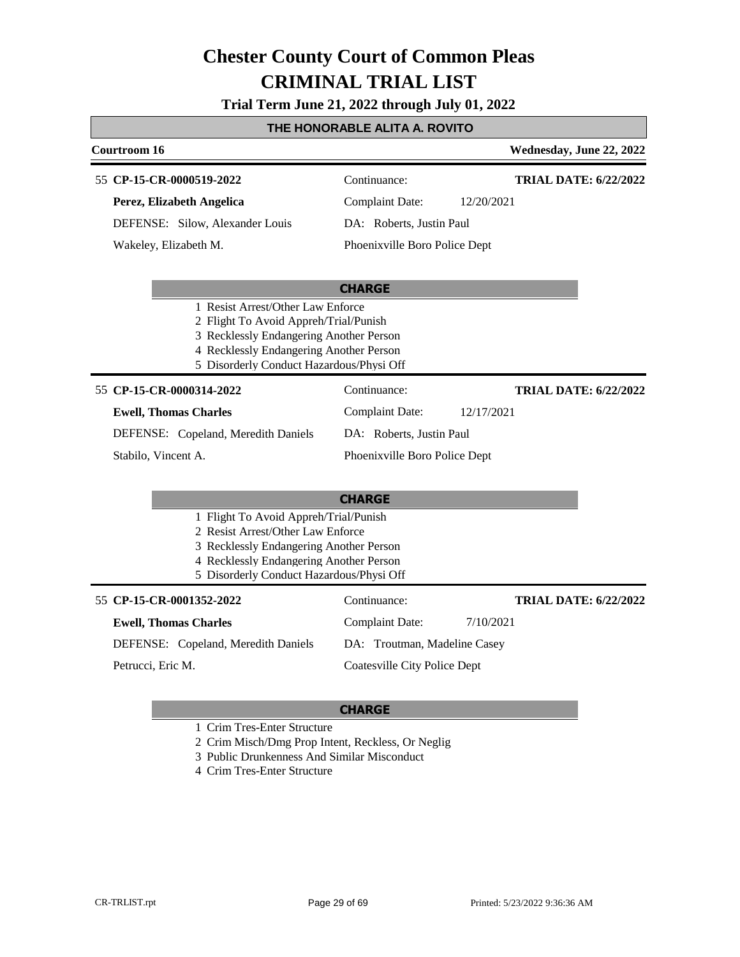**Trial Term June 21, 2022 through July 01, 2022**

### **THE HONORABLE ALITA A. ROVITO**

| Courtroom 16                                                                                                                                                                                                 |                                     | Wednesday, June 22, 2022     |
|--------------------------------------------------------------------------------------------------------------------------------------------------------------------------------------------------------------|-------------------------------------|------------------------------|
| 55 CP-15-CR-0000519-2022                                                                                                                                                                                     | Continuance:                        | <b>TRIAL DATE: 6/22/2022</b> |
| Perez, Elizabeth Angelica                                                                                                                                                                                    | <b>Complaint Date:</b>              | 12/20/2021                   |
| DEFENSE: Silow, Alexander Louis                                                                                                                                                                              | DA: Roberts, Justin Paul            |                              |
| Wakeley, Elizabeth M.                                                                                                                                                                                        | Phoenixville Boro Police Dept       |                              |
|                                                                                                                                                                                                              | <b>CHARGE</b>                       |                              |
| 1 Resist Arrest/Other Law Enforce<br>2 Flight To Avoid Appreh/Trial/Punish<br>3 Recklessly Endangering Another Person<br>4 Recklessly Endangering Another Person<br>5 Disorderly Conduct Hazardous/Physi Off |                                     |                              |
| 55 CP-15-CR-0000314-2022                                                                                                                                                                                     | Continuance:                        | <b>TRIAL DATE: 6/22/2022</b> |
| <b>Ewell, Thomas Charles</b>                                                                                                                                                                                 | <b>Complaint Date:</b>              | 12/17/2021                   |
| DEFENSE: Copeland, Meredith Daniels                                                                                                                                                                          | DA: Roberts, Justin Paul            |                              |
| Stabilo, Vincent A.                                                                                                                                                                                          | Phoenixville Boro Police Dept       |                              |
|                                                                                                                                                                                                              |                                     |                              |
|                                                                                                                                                                                                              | <b>CHARGE</b>                       |                              |
| 1 Flight To Avoid Appreh/Trial/Punish<br>2 Resist Arrest/Other Law Enforce<br>3 Recklessly Endangering Another Person<br>4 Recklessly Endangering Another Person<br>5 Disorderly Conduct Hazardous/Physi Off |                                     |                              |
| 55 CP-15-CR-0001352-2022                                                                                                                                                                                     | Continuance:                        | <b>TRIAL DATE: 6/22/2022</b> |
| <b>Ewell, Thomas Charles</b>                                                                                                                                                                                 | <b>Complaint Date:</b>              | 7/10/2021                    |
| DEFENSE: Copeland, Meredith Daniels                                                                                                                                                                          | DA: Troutman, Madeline Casey        |                              |
| Petrucci, Eric M.                                                                                                                                                                                            | <b>Coatesville City Police Dept</b> |                              |

#### **CHARGE**

1 Crim Tres-Enter Structure

2 Crim Misch/Dmg Prop Intent, Reckless, Or Neglig

3 Public Drunkenness And Similar Misconduct

4 Crim Tres-Enter Structure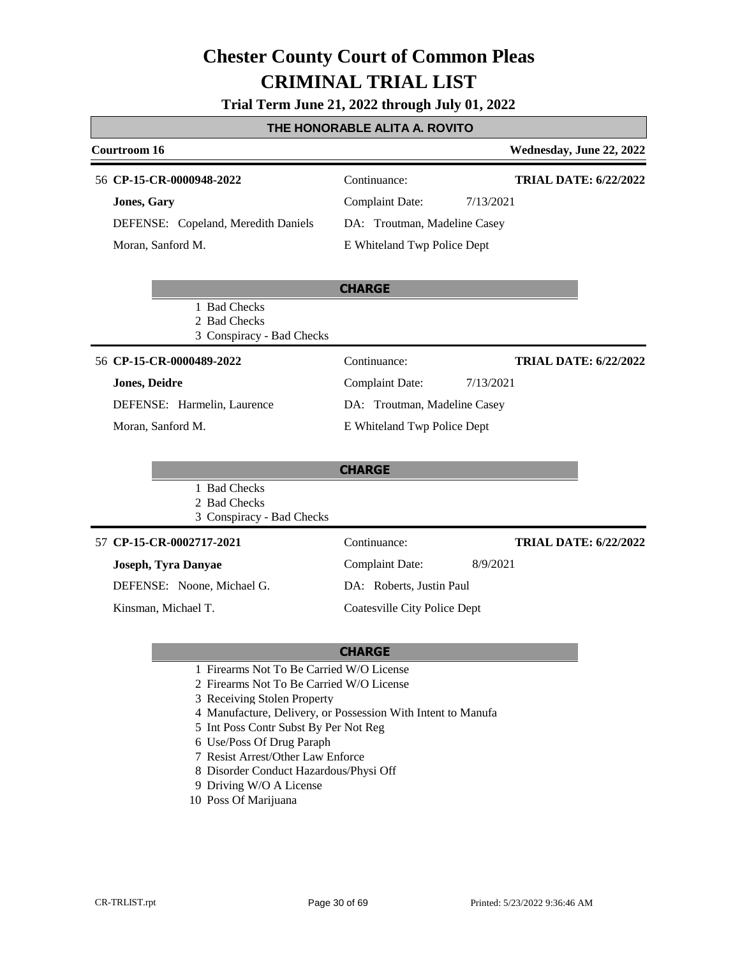### **Trial Term June 21, 2022 through July 01, 2022**

#### **THE HONORABLE ALITA A. ROVITO**

| Courtroom 16                        |                              | Wednesday, June 22, 2022     |
|-------------------------------------|------------------------------|------------------------------|
| 56 CP-15-CR-0000948-2022            | Continuance:                 | <b>TRIAL DATE: 6/22/2022</b> |
| <b>Jones, Gary</b>                  | <b>Complaint Date:</b>       | 7/13/2021                    |
| DEFENSE: Copeland, Meredith Daniels | DA: Troutman, Madeline Casey |                              |
| Moran, Sanford M.                   | E Whiteland Twp Police Dept  |                              |

|                      |                             | <b>CHARGE</b>                |           |                              |
|----------------------|-----------------------------|------------------------------|-----------|------------------------------|
|                      | 1 Bad Checks                |                              |           |                              |
|                      | 2 Bad Checks                |                              |           |                              |
|                      | 3 Conspiracy - Bad Checks   |                              |           |                              |
|                      | 56 CP-15-CR-0000489-2022    | Continuance:                 |           | <b>TRIAL DATE: 6/22/2022</b> |
| <b>Jones, Deidre</b> |                             | Complaint Date:              | 7/13/2021 |                              |
|                      | DEFENSE: Harmelin, Laurence | DA: Troutman, Madeline Casey |           |                              |
|                      | Moran, Sanford M.           | E Whiteland Twp Police Dept  |           |                              |

|                           | <b>CHARGE</b> |                              |
|---------------------------|---------------|------------------------------|
| 1 Bad Checks              |               |                              |
| 2 Bad Checks              |               |                              |
| 3 Conspiracy - Bad Checks |               |                              |
| 57 CP-15-CR-0002717-2021  | Continuance:  | <b>TRIAL DATE: 6/22/2022</b> |
| Locanh True Donnoe        | Complement    | 0/0/201                      |

# 57 CP-

#### **Joseph, Tyra Danyae**

DEFENSE: Noone, Michael G.

Kinsman, Michael T.

Complaint Date: 8/9/2021 DA: Roberts, Justin Paul Coatesville City Police Dept

- **CHARGE** 1 Firearms Not To Be Carried W/O License
- 
- 2 Firearms Not To Be Carried W/O License
- 3 Receiving Stolen Property
- 4 Manufacture, Delivery, or Possession With Intent to Manufa
- 5 Int Poss Contr Subst By Per Not Reg
- 6 Use/Poss Of Drug Paraph
- 7 Resist Arrest/Other Law Enforce
- 8 Disorder Conduct Hazardous/Physi Off
- 9 Driving W/O A License
- 10 Poss Of Marijuana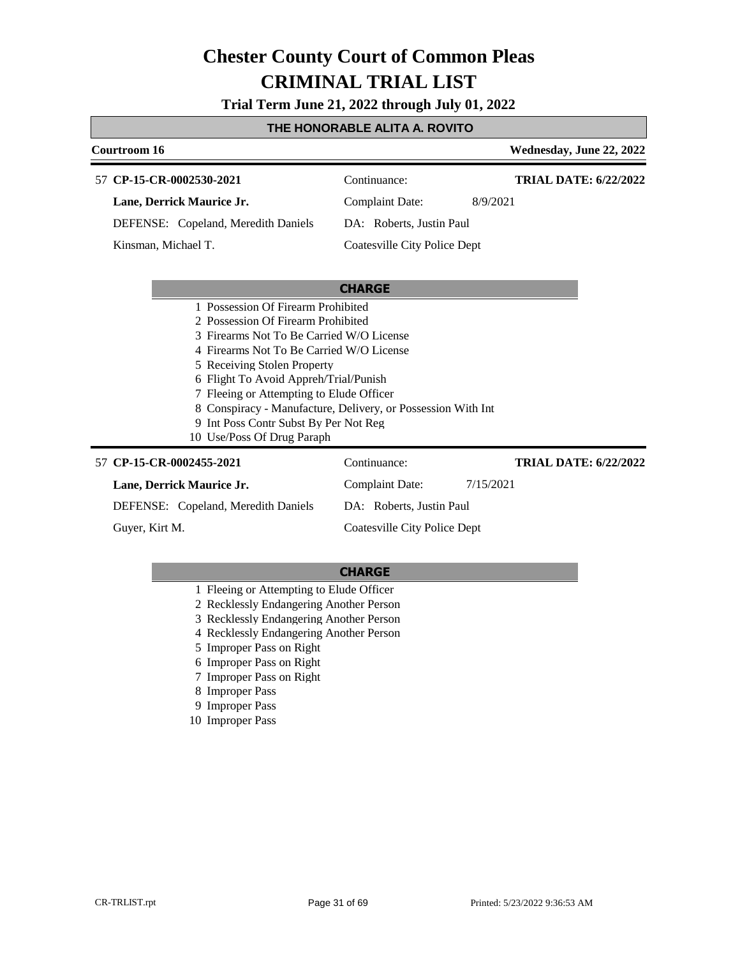**Trial Term June 21, 2022 through July 01, 2022**

### **THE HONORABLE ALITA A. ROVITO**

|                                                                                                                                                                                                                                                                                                                                                                                                                             | Courtroom 16                        |                                     | Wednesday, June 22, 2022     |
|-----------------------------------------------------------------------------------------------------------------------------------------------------------------------------------------------------------------------------------------------------------------------------------------------------------------------------------------------------------------------------------------------------------------------------|-------------------------------------|-------------------------------------|------------------------------|
|                                                                                                                                                                                                                                                                                                                                                                                                                             | 57 CP-15-CR-0002530-2021            | Continuance:                        | <b>TRIAL DATE: 6/22/2022</b> |
|                                                                                                                                                                                                                                                                                                                                                                                                                             | Lane, Derrick Maurice Jr.           | <b>Complaint Date:</b>              | 8/9/2021                     |
| DEFENSE: Copeland, Meredith Daniels                                                                                                                                                                                                                                                                                                                                                                                         |                                     | DA: Roberts, Justin Paul            |                              |
|                                                                                                                                                                                                                                                                                                                                                                                                                             | Kinsman, Michael T.                 | <b>Coatesville City Police Dept</b> |                              |
|                                                                                                                                                                                                                                                                                                                                                                                                                             |                                     |                                     |                              |
|                                                                                                                                                                                                                                                                                                                                                                                                                             |                                     | <b>CHARGE</b>                       |                              |
| 1 Possession Of Firearm Prohibited<br>2 Possession Of Firearm Prohibited<br>3 Firearms Not To Be Carried W/O License<br>4 Firearms Not To Be Carried W/O License<br>5 Receiving Stolen Property<br>6 Flight To Avoid Appreh/Trial/Punish<br>7 Fleeing or Attempting to Elude Officer<br>8 Conspiracy - Manufacture, Delivery, or Possession With Int<br>9 Int Poss Contr Subst By Per Not Reg<br>10 Use/Poss Of Drug Paraph |                                     |                                     |                              |
|                                                                                                                                                                                                                                                                                                                                                                                                                             | 57 CP-15-CR-0002455-2021            | Continuance:                        | <b>TRIAL DATE: 6/22/2022</b> |
|                                                                                                                                                                                                                                                                                                                                                                                                                             | Lane, Derrick Maurice Jr.           | <b>Complaint Date:</b>              | 7/15/2021                    |
|                                                                                                                                                                                                                                                                                                                                                                                                                             | DEFENSE: Copeland, Meredith Daniels | DA: Roberts, Justin Paul            |                              |
|                                                                                                                                                                                                                                                                                                                                                                                                                             | Guver, Kirt M.                      | Coatesville City Police Dept        |                              |

- 1 Fleeing or Attempting to Elude Officer
- 2 Recklessly Endangering Another Person
- 3 Recklessly Endangering Another Person
- 4 Recklessly Endangering Another Person
- 5 Improper Pass on Right
- 6 Improper Pass on Right
- 7 Improper Pass on Right
- 8 Improper Pass
- 9 Improper Pass
- 10 Improper Pass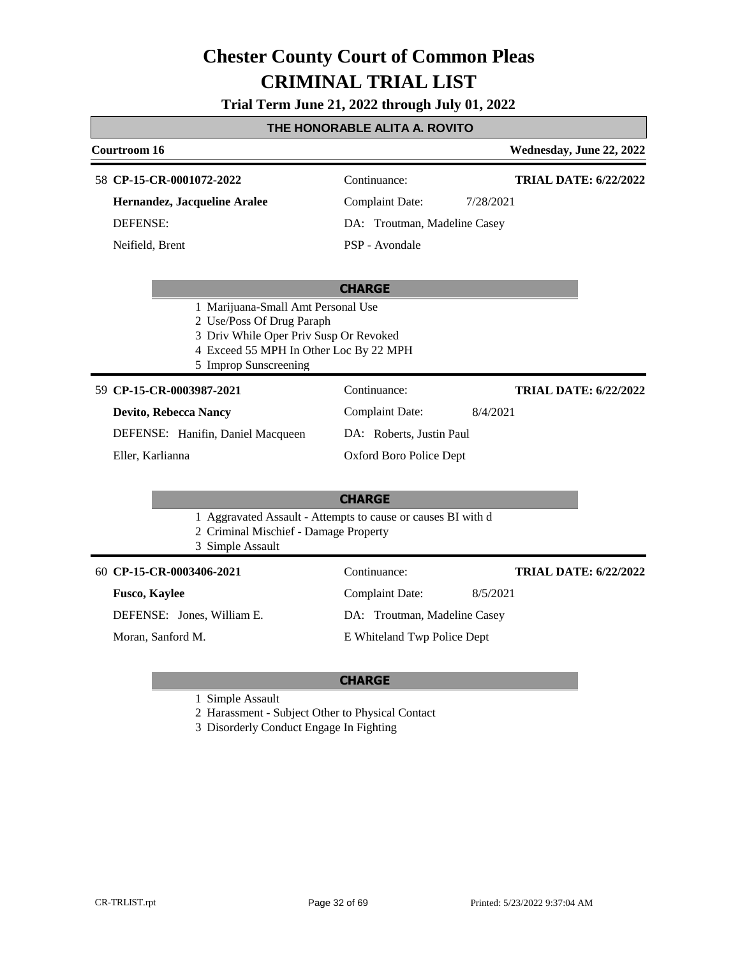### **Trial Term June 21, 2022 through July 01, 2022**

### **THE HONORABLE ALITA A. ROVITO**

| Courtroom 16                                                                                                                                        |                              | Wednesday, June 22, 2022     |
|-----------------------------------------------------------------------------------------------------------------------------------------------------|------------------------------|------------------------------|
| 58 CP-15-CR-0001072-2022                                                                                                                            | Continuance:                 | <b>TRIAL DATE: 6/22/2022</b> |
| Hernandez, Jacqueline Aralee                                                                                                                        | <b>Complaint Date:</b>       | 7/28/2021                    |
| <b>DEFENSE:</b>                                                                                                                                     | DA: Troutman, Madeline Casey |                              |
| Neifield, Brent                                                                                                                                     | PSP - Avondale               |                              |
|                                                                                                                                                     | <b>CHARGE</b>                |                              |
| 1 Marijuana-Small Amt Personal Use<br>2 Use/Poss Of Drug Paraph<br>3 Driv While Oper Priv Susp Or Revoked<br>4 Exceed 55 MPH In Other Loc By 22 MPH |                              |                              |
| 5 Improp Sunscreening                                                                                                                               |                              |                              |
| 59 CP-15-CR-0003987-2021                                                                                                                            | Continuance:                 | <b>TRIAL DATE: 6/22/2022</b> |
| Devito, Rebecca Nancy                                                                                                                               | <b>Complaint Date:</b>       | 8/4/2021                     |
| DEFENSE: Hanifin, Daniel Macqueen                                                                                                                   | DA: Roberts, Justin Paul     |                              |
| Eller, Karlianna                                                                                                                                    | Oxford Boro Police Dept      |                              |
|                                                                                                                                                     | <b>CHARGE</b>                |                              |
| 1 Aggravated Assault - Attempts to cause or causes BI with d<br>2 Criminal Mischief - Damage Property<br>3 Simple Assault                           |                              |                              |
| 60 CP-15-CR-0003406-2021                                                                                                                            | Continuance:                 | <b>TRIAL DATE: 6/22/2022</b> |
| <b>Fusco, Kaylee</b>                                                                                                                                | <b>Complaint Date:</b>       | 8/5/2021                     |
| DEFENSE: Jones, William E.                                                                                                                          | DA: Troutman, Madeline Casey |                              |
| Moran, Sanford M.                                                                                                                                   | E Whiteland Twp Police Dept  |                              |

#### **CHARGE**

1 Simple Assault

2 Harassment - Subject Other to Physical Contact

3 Disorderly Conduct Engage In Fighting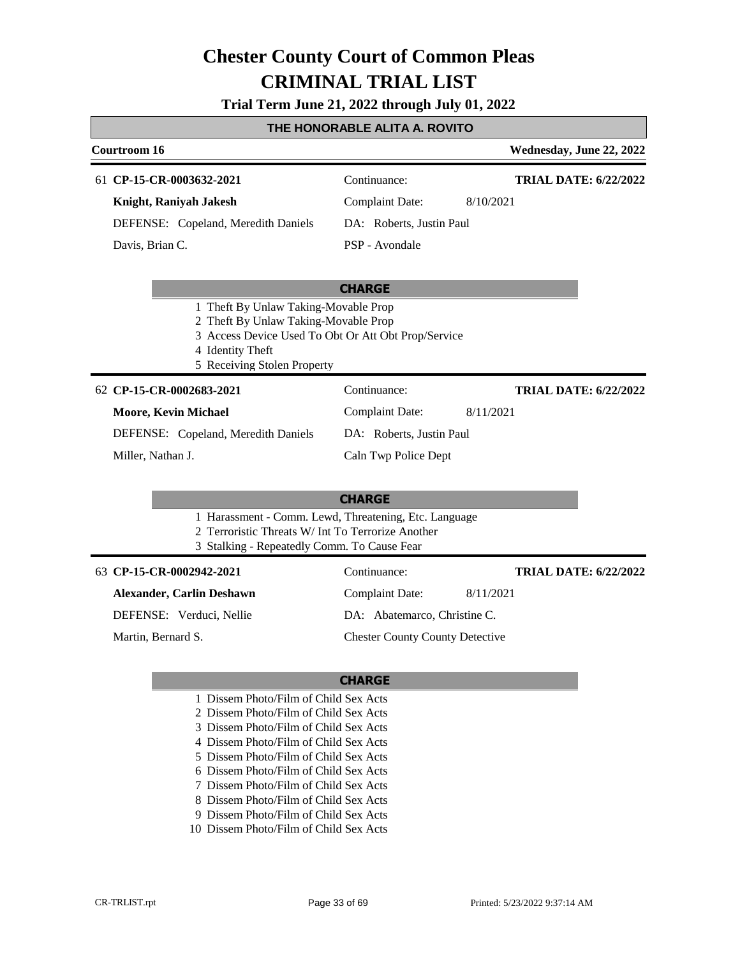#### **Trial Term June 21, 2022 through July 01, 2022**

#### **THE HONORABLE ALITA A. ROVITO**

| Courtroom 16                        |                          | Wednesday, June 22, 2022     |
|-------------------------------------|--------------------------|------------------------------|
| 61 CP-15-CR-0003632-2021            | Continuance:             | <b>TRIAL DATE: 6/22/2022</b> |
| Knight, Raniyah Jakesh              | Complaint Date:          | 8/10/2021                    |
| DEFENSE: Copeland, Meredith Daniels | DA: Roberts, Justin Paul |                              |
| Davis, Brian C.                     | PSP - Avondale           |                              |
|                                     |                          |                              |

#### **CHARGE**

- 1 Theft By Unlaw Taking-Movable Prop
- 2 Theft By Unlaw Taking-Movable Prop
- 3 Access Device Used To Obt Or Att Obt Prop/Service
- 4 Identity Theft
- 5 Receiving Stolen Property

#### **CP-15-CR-0002683-2021** 62 Continuance:

#### **Moore, Kevin Michael**

Complaint Date: 8/11/2021 DA: Roberts, Justin Paul

Caln Twp Police Dept

**TRIAL DATE: 6/22/2022**

DEFENSE: Copeland, Meredith Daniels

Miller, Nathan J.

### **CHARGE**

- 1 Harassment Comm. Lewd, Threatening, Etc. Language
- 2 Terroristic Threats W/ Int To Terrorize Another
- 3 Stalking Repeatedly Comm. To Cause Fear

#### **CP-15-CR-0002942-2021** 63 Continuance:

#### **Alexander, Carlin Deshawn**

DEFENSE: Verduci, Nellie

Martin, Bernard S.

DA: Abatemarco, Christine C. Chester County County Detective

Complaint Date: 8/11/2021

#### **CHARGE**

- 1 Dissem Photo/Film of Child Sex Acts
- 2 Dissem Photo/Film of Child Sex Acts
- 3 Dissem Photo/Film of Child Sex Acts
- 4 Dissem Photo/Film of Child Sex Acts
- 5 Dissem Photo/Film of Child Sex Acts
- 6 Dissem Photo/Film of Child Sex Acts
- 7 Dissem Photo/Film of Child Sex Acts
- 8 Dissem Photo/Film of Child Sex Acts
- 9 Dissem Photo/Film of Child Sex Acts
- 10 Dissem Photo/Film of Child Sex Acts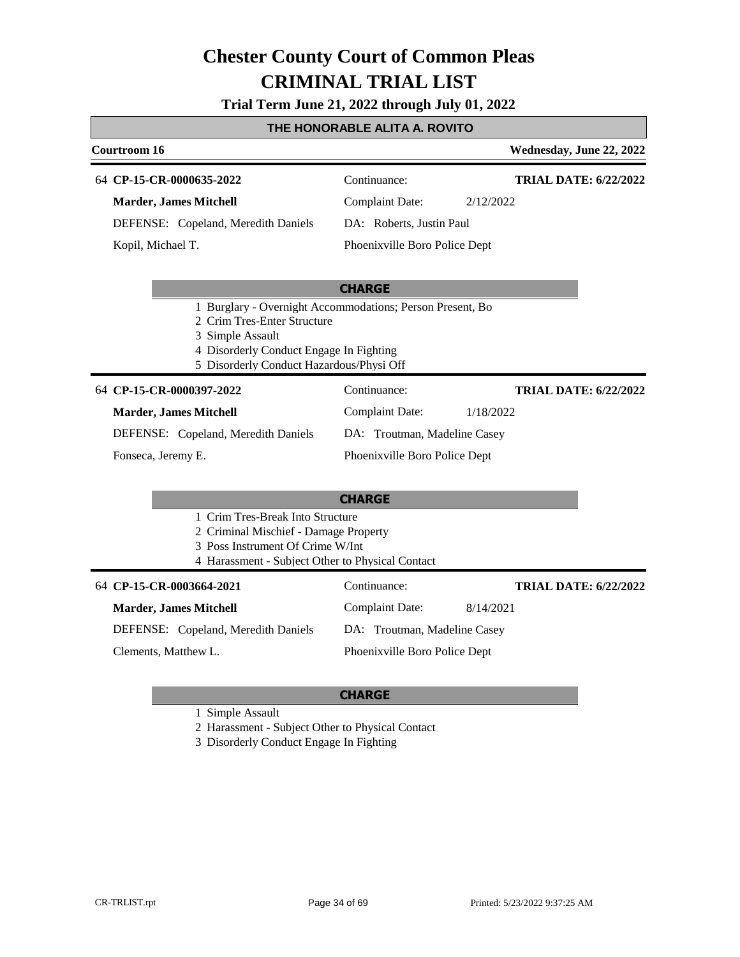**Trial Term June 21, 2022 through July 01, 2022**

#### **THE HONORABLE ALITA A. ROVITO**

#### **Courtroom 16 Wednesday, June 22, 2022 CP-15-CR-0000635-2022** 64 Continuance: **Marder, James Mitchell** DEFENSE: Copeland, Meredith Daniels Complaint Date: 2/12/2022 DA: Roberts, Justin Paul Phoenixville Boro Police Dept **TRIAL DATE: 6/22/2022** Kopil, Michael T.

#### **CHARGE**

- 1 Burglary Overnight Accommodations; Person Present, Bo
- 2 Crim Tres-Enter Structure

3 Simple Assault

- 4 Disorderly Conduct Engage In Fighting
- 5 Disorderly Conduct Hazardous/Physi Off

#### **CP-15-CR-0000397-2022** 64 Continuance:

Fonseca, Jeremy E.

| <b>Marder, James Mitchell</b> |  |  |
|-------------------------------|--|--|
|-------------------------------|--|--|

DEFENSE: Copeland, Meredith Daniels

Complaint Date: 1/18/2022 DA: Troutman, Madeline Casey Phoenixville Boro Police Dept

**TRIAL DATE: 6/22/2022**

**TRIAL DATE: 6/22/2022**

### **CHARGE**

- 1 Crim Tres-Break Into Structure
- 2 Criminal Mischief Damage Property
- 3 Poss Instrument Of Crime W/Int
- 4 Harassment Subject Other to Physical Contact

#### **CP-15-CR-0003664-2021** 64 Continuance:

#### **Marder, James Mitchell**

DEFENSE: Copeland, Meredith Daniels

Clements, Matthew L.

DA: Troutman, Madeline Casey Phoenixville Boro Police Dept

Complaint Date: 8/14/2021

### **CHARGE**

1 Simple Assault

2 Harassment - Subject Other to Physical Contact

3 Disorderly Conduct Engage In Fighting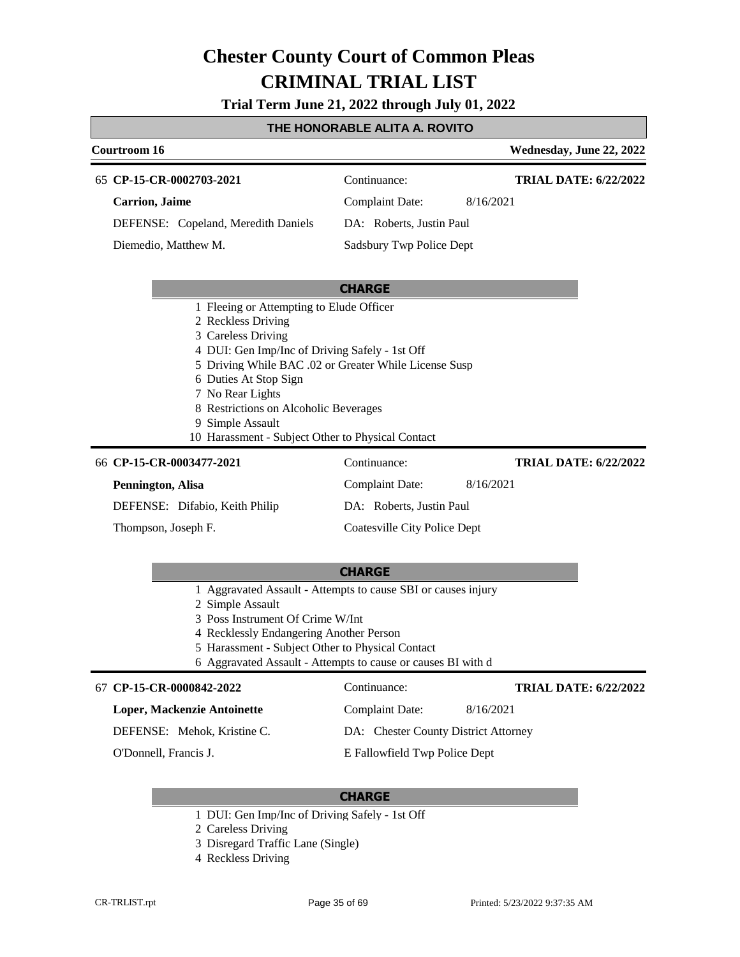**Trial Term June 21, 2022 through July 01, 2022**

#### **THE HONORABLE ALITA A. ROVITO**

| Courtroom 16                                                                                                                                                                                                                                                                                                                                                   | Wednesday, June 22, 2022                     |
|----------------------------------------------------------------------------------------------------------------------------------------------------------------------------------------------------------------------------------------------------------------------------------------------------------------------------------------------------------------|----------------------------------------------|
| 65 CP-15-CR-0002703-2021                                                                                                                                                                                                                                                                                                                                       | Continuance:<br><b>TRIAL DATE: 6/22/2022</b> |
| <b>Carrion</b> , Jaime                                                                                                                                                                                                                                                                                                                                         | <b>Complaint Date:</b><br>8/16/2021          |
| DEFENSE: Copeland, Meredith Daniels                                                                                                                                                                                                                                                                                                                            | DA: Roberts, Justin Paul                     |
| Diemedio, Matthew M.                                                                                                                                                                                                                                                                                                                                           | Sadsbury Twp Police Dept                     |
|                                                                                                                                                                                                                                                                                                                                                                |                                              |
|                                                                                                                                                                                                                                                                                                                                                                | <b>CHARGE</b>                                |
| 1 Fleeing or Attempting to Elude Officer<br>2 Reckless Driving<br>3 Careless Driving<br>4 DUI: Gen Imp/Inc of Driving Safely - 1st Off<br>5 Driving While BAC .02 or Greater While License Susp<br>6 Duties At Stop Sign<br>7 No Rear Lights<br>8 Restrictions on Alcoholic Beverages<br>9 Simple Assault<br>10 Harassment - Subject Other to Physical Contact |                                              |
| 66 CP-15-CR-0003477-2021                                                                                                                                                                                                                                                                                                                                       | Continuance:<br><b>TRIAL DATE: 6/22/2022</b> |
| Pennington, Alisa                                                                                                                                                                                                                                                                                                                                              | <b>Complaint Date:</b><br>8/16/2021          |
| DEFENSE: Difabio, Keith Philip                                                                                                                                                                                                                                                                                                                                 | DA: Roberts, Justin Paul                     |
| Thompson, Joseph F.                                                                                                                                                                                                                                                                                                                                            | Coatesville City Police Dept                 |

#### **CHARGE**

- 1 Aggravated Assault Attempts to cause SBI or causes injury
- 2 Simple Assault
- 3 Poss Instrument Of Crime W/Int
- 4 Recklessly Endangering Another Person
- 5 Harassment Subject Other to Physical Contact
- 6 Aggravated Assault Attempts to cause or causes BI with d

#### **CP-15-CR-0000842-2022** 67 Continuance:

#### **Loper, Mackenzie Antoinette**

DEFENSE: Mehok, Kristine C.

O'Donnell, Francis J.

E Fallowfield Twp Police Dept

Complaint Date: 8/16/2021 DA: Chester County District Attorney

### **CHARGE**

- 1 DUI: Gen Imp/Inc of Driving Safely 1st Off
- 2 Careless Driving
- 3 Disregard Traffic Lane (Single)
- 4 Reckless Driving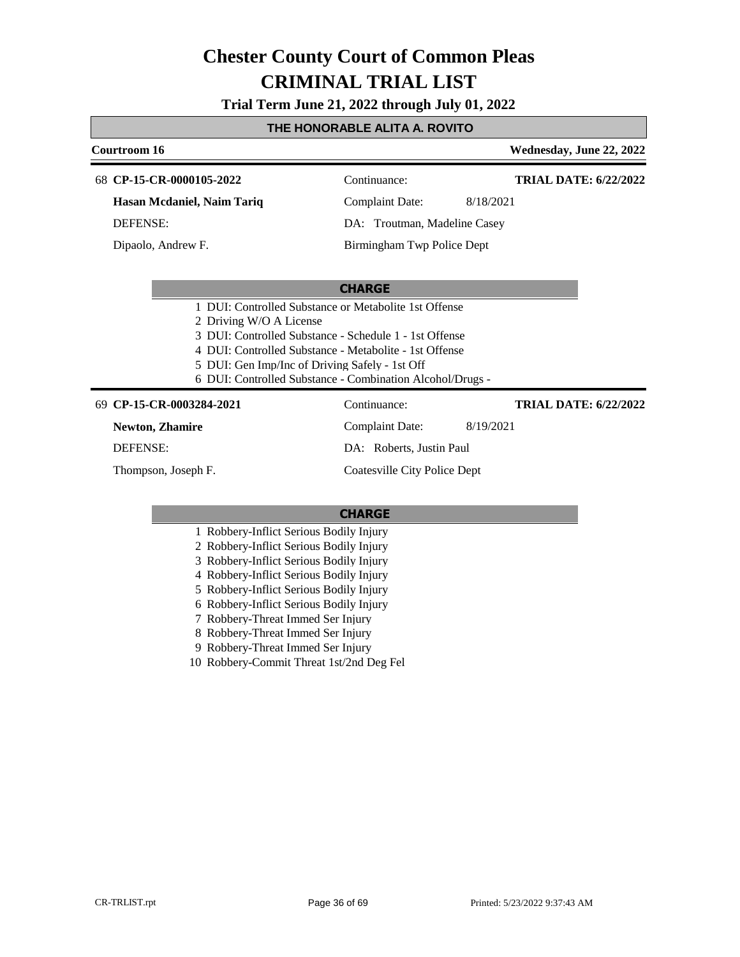**Trial Term June 21, 2022 through July 01, 2022**

### **THE HONORABLE ALITA A. ROVITO**

| Courtroom 16                                                              |                                                                                                                                                                                                                                        | Wednesday, June 22, 2022     |
|---------------------------------------------------------------------------|----------------------------------------------------------------------------------------------------------------------------------------------------------------------------------------------------------------------------------------|------------------------------|
| 68 CP-15-CR-0000105-2022                                                  | Continuance:                                                                                                                                                                                                                           | <b>TRIAL DATE: 6/22/2022</b> |
| Hasan Mcdaniel, Naim Tariq                                                | <b>Complaint Date:</b>                                                                                                                                                                                                                 | 8/18/2021                    |
| <b>DEFENSE:</b>                                                           | DA: Troutman, Madeline Casey                                                                                                                                                                                                           |                              |
| Dipaolo, Andrew F.                                                        | Birmingham Twp Police Dept                                                                                                                                                                                                             |                              |
|                                                                           |                                                                                                                                                                                                                                        |                              |
|                                                                           | <b>CHARGE</b>                                                                                                                                                                                                                          |                              |
| 2 Driving W/O A License<br>5 DUI: Gen Imp/Inc of Driving Safely - 1st Off | 1 DUI: Controlled Substance or Metabolite 1st Offense<br>3 DUI: Controlled Substance - Schedule 1 - 1st Offense<br>4 DUI: Controlled Substance - Metabolite - 1st Offense<br>6 DUI: Controlled Substance - Combination Alcohol/Drugs - |                              |
| 69 CP-15-CR-0003284-2021                                                  | Continuance:                                                                                                                                                                                                                           | <b>TRIAL DATE: 6/22/2022</b> |
| <b>Newton, Zhamire</b>                                                    | <b>Complaint Date:</b>                                                                                                                                                                                                                 | 8/19/2021                    |
| <b>DEFENSE:</b>                                                           | DA: Roberts, Justin Paul                                                                                                                                                                                                               |                              |
| Thompson, Joseph F.                                                       | Coatesville City Police Dept                                                                                                                                                                                                           |                              |
|                                                                           |                                                                                                                                                                                                                                        |                              |
|                                                                           | <b>CHARGE</b>                                                                                                                                                                                                                          |                              |
| 1 Robbery-Inflict Serious Bodily Injury                                   |                                                                                                                                                                                                                                        |                              |

- 1 Robbery-Inflict Serious Bodily Injury
- 2 Robbery-Inflict Serious Bodily Injury
- 3 Robbery-Inflict Serious Bodily Injury
- 4 Robbery-Inflict Serious Bodily Injury
- 5 Robbery-Inflict Serious Bodily Injury
- 6 Robbery-Inflict Serious Bodily Injury
- 7 Robbery-Threat Immed Ser Injury
- 8 Robbery-Threat Immed Ser Injury
- 9 Robbery-Threat Immed Ser Injury
- 10 Robbery-Commit Threat 1st/2nd Deg Fel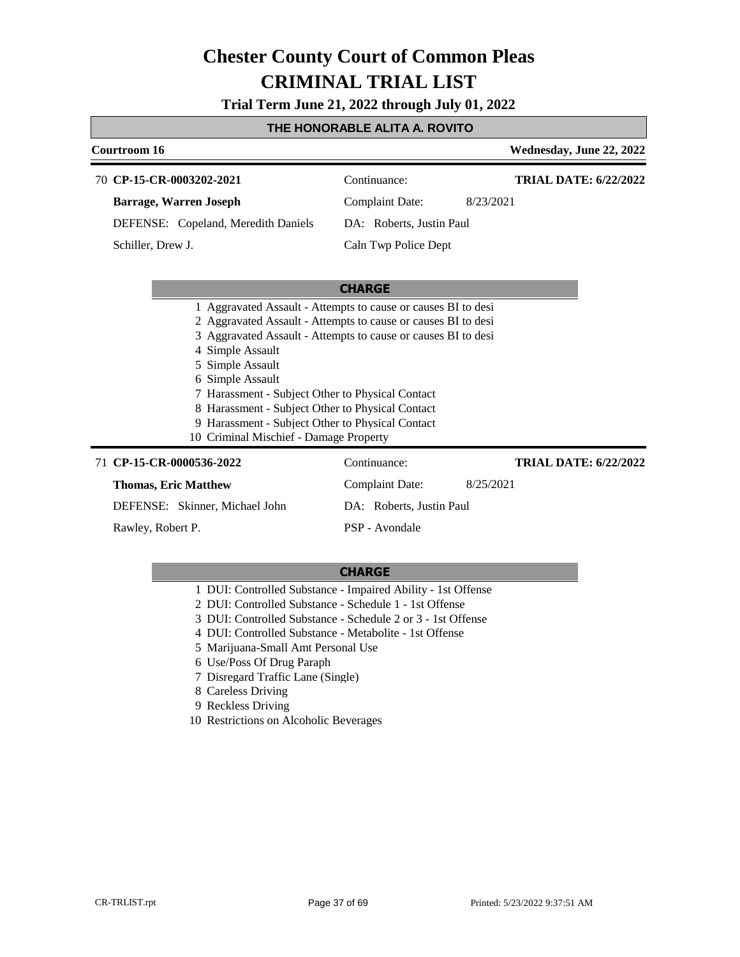**Trial Term June 21, 2022 through July 01, 2022**

#### **THE HONORABLE ALITA A. ROVITO**

| Courtroom 16      |                                                               |                          | Wednesday, June 22, 2022     |
|-------------------|---------------------------------------------------------------|--------------------------|------------------------------|
|                   | 70 CP-15-CR-0003202-2021                                      | Continuance:             | <b>TRIAL DATE: 6/22/2022</b> |
|                   | <b>Barrage, Warren Joseph</b>                                 | Complaint Date:          | 8/23/2021                    |
|                   | DEFENSE: Copeland, Meredith Daniels                           | DA: Roberts, Justin Paul |                              |
| Schiller, Drew J. |                                                               | Caln Twp Police Dept     |                              |
|                   |                                                               |                          |                              |
|                   |                                                               | <b>CHARGE</b>            |                              |
|                   | 1 Aggravated Assault - Attempts to cause or causes BI to desi |                          |                              |
|                   | 2 Aggravated Assault - Attempts to cause or causes BI to desi |                          |                              |
|                   | 3 Aggravated Assault - Attempts to cause or causes BI to desi |                          |                              |
|                   | 4 Simple Assault                                              |                          |                              |
|                   | 5 Simple Assault                                              |                          |                              |
|                   | 6 Simple Assault                                              |                          |                              |

- 7 Harassment Subject Other to Physical Contact
- 8 Harassment Subject Other to Physical Contact
- 9 Harassment Subject Other to Physical Contact
- 10 Criminal Mischief Damage Property

#### 71 **CP-15-CR-0000536-2022** Continuance: **Thomas, Eric Matthew** DEFENSE: Skinner, Michael John Complaint Date: 8/25/2021 DA: Roberts, Justin Paul PSP - Avondale **TRIAL DATE: 6/22/2022** Rawley, Robert P.

- 1 DUI: Controlled Substance Impaired Ability 1st Offense
- 2 DUI: Controlled Substance Schedule 1 1st Offense
- 3 DUI: Controlled Substance Schedule 2 or 3 1st Offense
- 4 DUI: Controlled Substance Metabolite 1st Offense
- 5 Marijuana-Small Amt Personal Use
- 6 Use/Poss Of Drug Paraph
- 7 Disregard Traffic Lane (Single)
- 8 Careless Driving
- 9 Reckless Driving
- 10 Restrictions on Alcoholic Beverages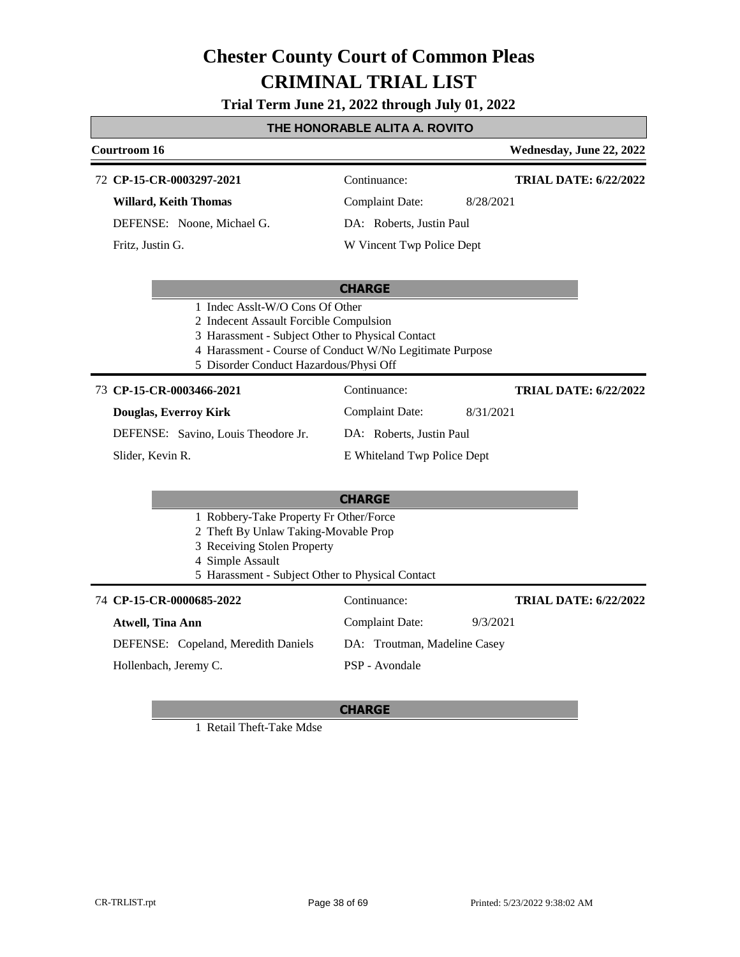**Trial Term June 21, 2022 through July 01, 2022**

### **THE HONORABLE ALITA A. ROVITO**

| Courtroom 16                 |                           | Wednesday, June 22, 2022     |
|------------------------------|---------------------------|------------------------------|
| 72 CP-15-CR-0003297-2021     | Continuance:              | <b>TRIAL DATE: 6/22/2022</b> |
| <b>Willard, Keith Thomas</b> | Complaint Date:           | 8/28/2021                    |
| DEFENSE: Noone, Michael G.   | DA: Roberts, Justin Paul  |                              |
| Fritz, Justin G.             | W Vincent Twp Police Dept |                              |
|                              |                           |                              |

#### **CHARGE**

- 1 Indec Asslt-W/O Cons Of Other
- 2 Indecent Assault Forcible Compulsion
- 3 Harassment Subject Other to Physical Contact
- 4 Harassment Course of Conduct W/No Legitimate Purpose
- 5 Disorder Conduct Hazardous/Physi Off

#### **CP-15-CR-0003466-2021** 73 Continuance:

#### **Douglas, Everroy Kirk**

DEFENSE: Savino, Louis Theodore Jr.

DA: Roberts, Justin Paul

Complaint Date: 8/31/2021

Slider, Kevin R.

## E Whiteland Twp Police Dept

|                                        | <b>CHARGE</b>                                    |                       |
|----------------------------------------|--------------------------------------------------|-----------------------|
| 1 Robbery-Take Property Fr Other/Force |                                                  |                       |
| 2 Theft By Unlaw Taking-Movable Prop   |                                                  |                       |
| 3 Receiving Stolen Property            |                                                  |                       |
| 4 Simple Assault                       |                                                  |                       |
|                                        | 5 Harassment - Subject Other to Physical Contact |                       |
| 74 CP-15-CR-0000685-2022               | Continuance:                                     | <b>TRIAL DATE: 6/</b> |

#### **Atwell, Tina Ann** DEFENSE: Copeland, Meredith Daniels Complaint Date: 9/3/2021 DA: Troutman, Madeline Casey PSP - Avondale **TRIAL DATE: 6/22/2022** Hollenbach, Jeremy C.

#### **CHARGE**

1 Retail Theft-Take Mdse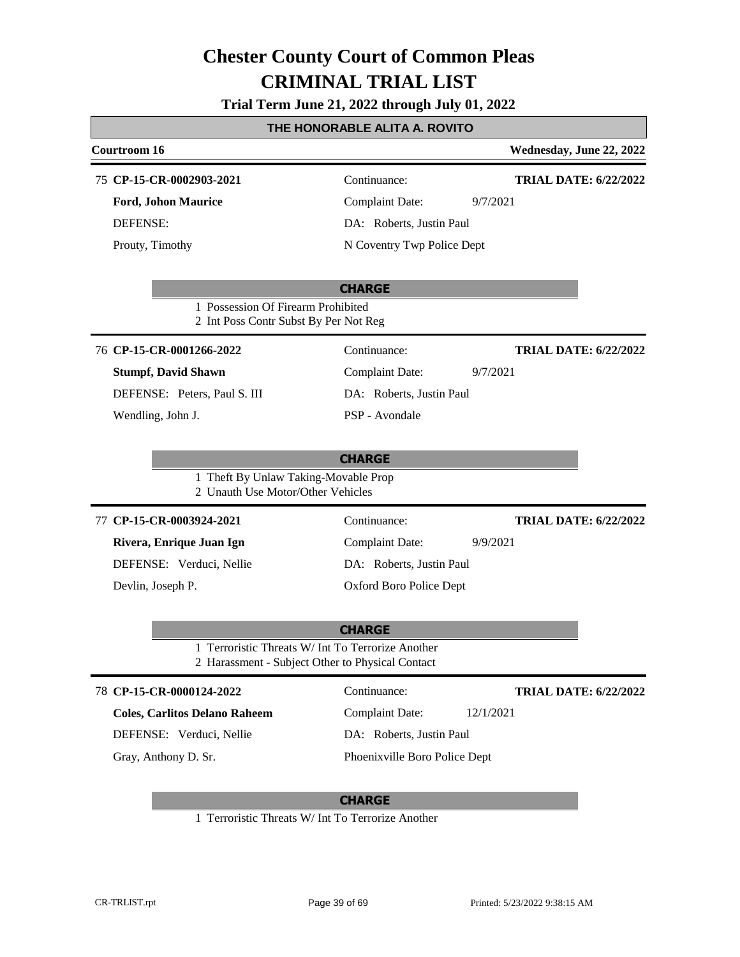**Trial Term June 21, 2022 through July 01, 2022**

### **THE HONORABLE ALITA A. ROVITO**

| <b>Courtroom 16</b>                                                                                   |                               | Wednesday, June 22, 2022     |
|-------------------------------------------------------------------------------------------------------|-------------------------------|------------------------------|
| 75 CP-15-CR-0002903-2021                                                                              | Continuance:                  | <b>TRIAL DATE: 6/22/2022</b> |
| <b>Ford, Johon Maurice</b>                                                                            | <b>Complaint Date:</b>        | 9/7/2021                     |
| <b>DEFENSE:</b>                                                                                       | DA: Roberts, Justin Paul      |                              |
| Prouty, Timothy                                                                                       | N Coventry Twp Police Dept    |                              |
|                                                                                                       |                               |                              |
| 1 Possession Of Firearm Prohibited<br>2 Int Poss Contr Subst By Per Not Reg                           | <b>CHARGE</b>                 |                              |
| 76 CP-15-CR-0001266-2022                                                                              | Continuance:                  | <b>TRIAL DATE: 6/22/2022</b> |
| <b>Stumpf, David Shawn</b>                                                                            | <b>Complaint Date:</b>        | 9/7/2021                     |
| DEFENSE: Peters, Paul S. III                                                                          | DA: Roberts, Justin Paul      |                              |
| Wendling, John J.                                                                                     | PSP - Avondale                |                              |
|                                                                                                       |                               |                              |
| 1 Theft By Unlaw Taking-Movable Prop<br>2 Unauth Use Motor/Other Vehicles                             | <b>CHARGE</b>                 |                              |
| 77 CP-15-CR-0003924-2021                                                                              | Continuance:                  | <b>TRIAL DATE: 6/22/2022</b> |
| Rivera, Enrique Juan Ign                                                                              | <b>Complaint Date:</b>        | 9/9/2021                     |
| DEFENSE: Verduci, Nellie                                                                              | DA: Roberts, Justin Paul      |                              |
| Devlin, Joseph P.                                                                                     | Oxford Boro Police Dept       |                              |
|                                                                                                       |                               |                              |
|                                                                                                       | <b>CHARGE</b>                 |                              |
| 1 Terroristic Threats W/ Int To Terrorize Another<br>2 Harassment - Subject Other to Physical Contact |                               |                              |
| 78 CP-15-CR-0000124-2022                                                                              | Continuance:                  | <b>TRIAL DATE: 6/22/2022</b> |
| <b>Coles, Carlitos Delano Raheem</b>                                                                  | <b>Complaint Date:</b>        | 12/1/2021                    |
| DEFENSE: Verduci, Nellie                                                                              | DA: Roberts, Justin Paul      |                              |
| Gray, Anthony D. Sr.                                                                                  | Phoenixville Boro Police Dept |                              |
|                                                                                                       |                               |                              |

### **CHARGE**

1 Terroristic Threats W/ Int To Terrorize Another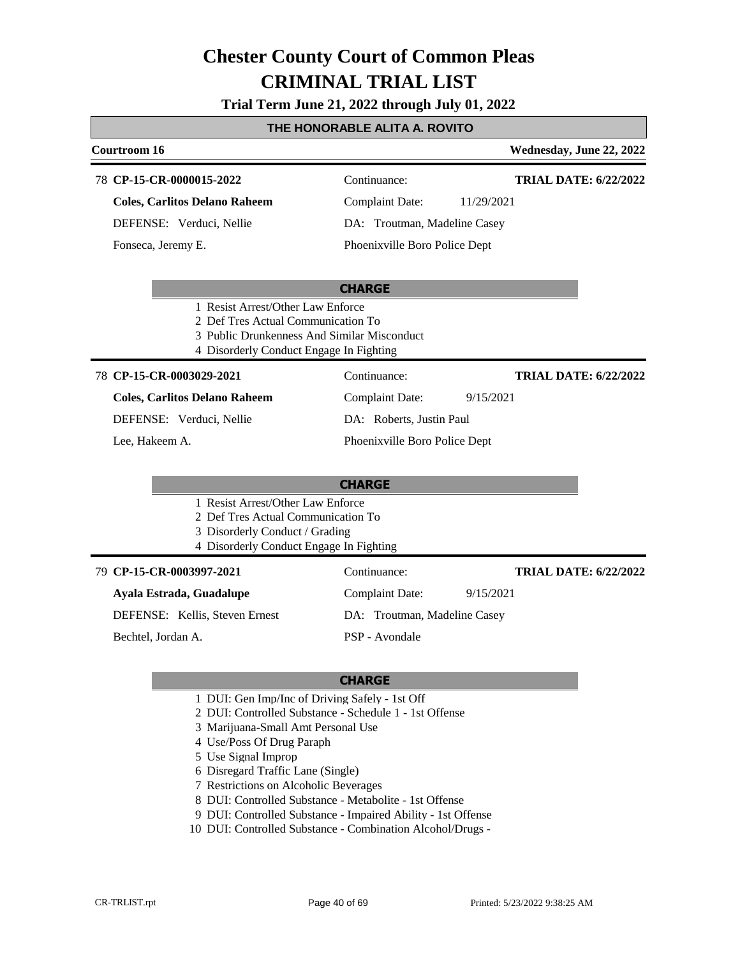**Trial Term June 21, 2022 through July 01, 2022**

### **THE HONORABLE ALITA A. ROVITO**

#### **Courtroom 16 Wednesday, June 22, 2022 CP-15-CR-0000015-2022** 78 Continuance: **Coles, Carlitos Delano Raheem** DEFENSE: Verduci, Nellie Complaint Date: 11/29/2021 DA: Troutman, Madeline Casey Phoenixville Boro Police Dept **TRIAL DATE: 6/22/2022** Fonseca, Jeremy E.

#### **CHARGE**

- 1 Resist Arrest/Other Law Enforce
- 2 Def Tres Actual Communication To
- 3 Public Drunkenness And Similar Misconduct
- 4 Disorderly Conduct Engage In Fighting

#### **CP-15-CR-0003029-2021** 78 Continuance:

**Coles, Carlitos Delano Raheem** DEFENSE: Verduci, Nellie

Lee, Hakeem A.

DA: Roberts, Justin Paul Phoenixville Boro Police Dept

Complaint Date: 9/15/2021

### **CHARGE**

- 1 Resist Arrest/Other Law Enforce
- 2 Def Tres Actual Communication To
- 3 Disorderly Conduct / Grading
- 4 Disorderly Conduct Engage In Fighting

#### **CP-15-CR-0003997-2021** 79 Continuance:

#### **Ayala Estrada, Guadalupe**

DEFENSE: Kellis, Steven Ernest

Bechtel, Jordan A.

## DA: Troutman, Madeline Casey

Complaint Date: 9/15/2021

PSP - Avondale

#### **CHARGE**

- 1 DUI: Gen Imp/Inc of Driving Safely 1st Off
- 2 DUI: Controlled Substance Schedule 1 1st Offense
- 3 Marijuana-Small Amt Personal Use
- 4 Use/Poss Of Drug Paraph
- 5 Use Signal Improp
- 6 Disregard Traffic Lane (Single)
- 7 Restrictions on Alcoholic Beverages
- 8 DUI: Controlled Substance Metabolite 1st Offense
- 9 DUI: Controlled Substance Impaired Ability 1st Offense
- 10 DUI: Controlled Substance Combination Alcohol/Drugs -

**TRIAL DATE: 6/22/2022**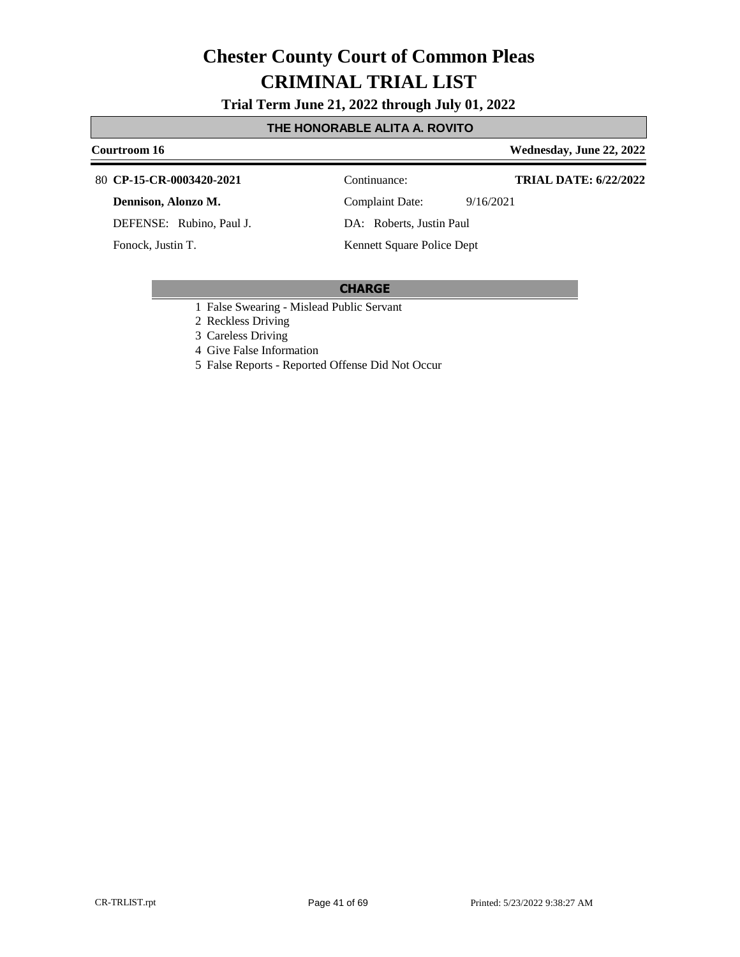**Trial Term June 21, 2022 through July 01, 2022**

### **THE HONORABLE ALITA A. ROVITO**

### **Courtroom 16 Wednesday, June 22, 2022 CP-15-CR-0003420-2021** 80 Continuance: **TRIAL DATE: 6/22/2022**

**Dennison, Alonzo M.**

DEFENSE: Rubino, Paul J.

Fonock, Justin T.

Complaint Date: 9/16/2021

DA: Roberts, Justin Paul

Kennett Square Police Dept

- 1 False Swearing Mislead Public Servant
- 2 Reckless Driving
- 3 Careless Driving
- 4 Give False Information
- 5 False Reports Reported Offense Did Not Occur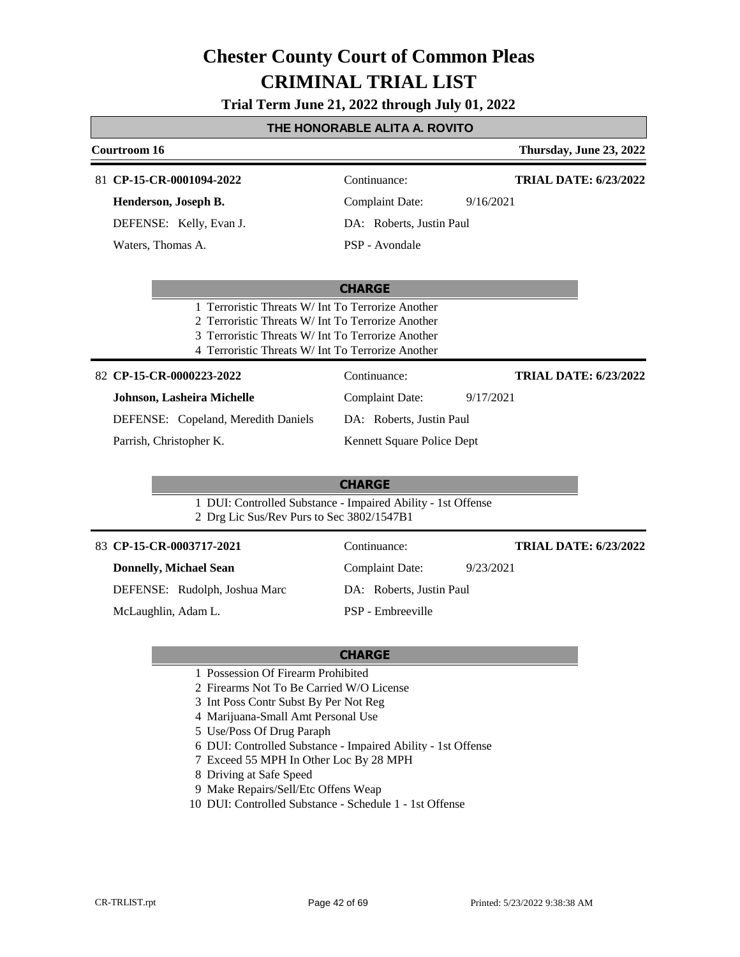**Trial Term June 21, 2022 through July 01, 2022**

#### **THE HONORABLE ALITA A. ROVITO**

| Courtroom 16                                      |                                                    | Thursday, June 23, 2022      |
|---------------------------------------------------|----------------------------------------------------|------------------------------|
| 81 CP-15-CR-0001094-2022                          | Continuance:                                       | <b>TRIAL DATE: 6/23/2022</b> |
| Henderson, Joseph B.                              | Complaint Date:                                    | 9/16/2021                    |
| DEFENSE: Kelly, Evan J.                           | DA: Roberts, Justin Paul                           |                              |
| Waters, Thomas A.                                 | PSP - Avondale                                     |                              |
|                                                   | <b>CHARGE</b>                                      |                              |
| 1 Terroristic Threats W/ Int To Terrorize Another |                                                    |                              |
|                                                   | 2. Terroristic Threats W/ Int To Terrorize Another |                              |
|                                                   | 3 Terroristic Threats W/ Int To Terrorize Another  |                              |

- 
- 4 Terroristic Threats W/ Int To Terrorize Another

**CP-15-CR-0000223-2022** 82 Continuance:

**Johnson, Lasheira Michelle**

DEFENSE: Copeland, Meredith Daniels

Parrish, Christopher K.

Kennett Square Police Dept

DA: Roberts, Justin Paul

Complaint Date: 9/17/2021

#### **CHARGE**

Continuance:

1 DUI: Controlled Substance - Impaired Ability - 1st Offense 2 Drg Lic Sus/Rev Purs to Sec 3802/1547B1

|  |  |  |  | 83 CP-15-CR-0003717-2021 |  |
|--|--|--|--|--------------------------|--|
|--|--|--|--|--------------------------|--|

**Donnelly, Michael Sean** DEFENSE: Rudolph, Joshua Marc

McLaughlin, Adam L.

Complaint Date: 9/23/2021 DA: Roberts, Justin Paul PSP - Embreeville

#### **CHARGE**

- 1 Possession Of Firearm Prohibited
- 2 Firearms Not To Be Carried W/O License
- 3 Int Poss Contr Subst By Per Not Reg
- 4 Marijuana-Small Amt Personal Use
- 5 Use/Poss Of Drug Paraph
- 6 DUI: Controlled Substance Impaired Ability 1st Offense
- 7 Exceed 55 MPH In Other Loc By 28 MPH
- 8 Driving at Safe Speed
- 9 Make Repairs/Sell/Etc Offens Weap
- 10 DUI: Controlled Substance Schedule 1 1st Offense

**TRIAL DATE: 6/23/2022**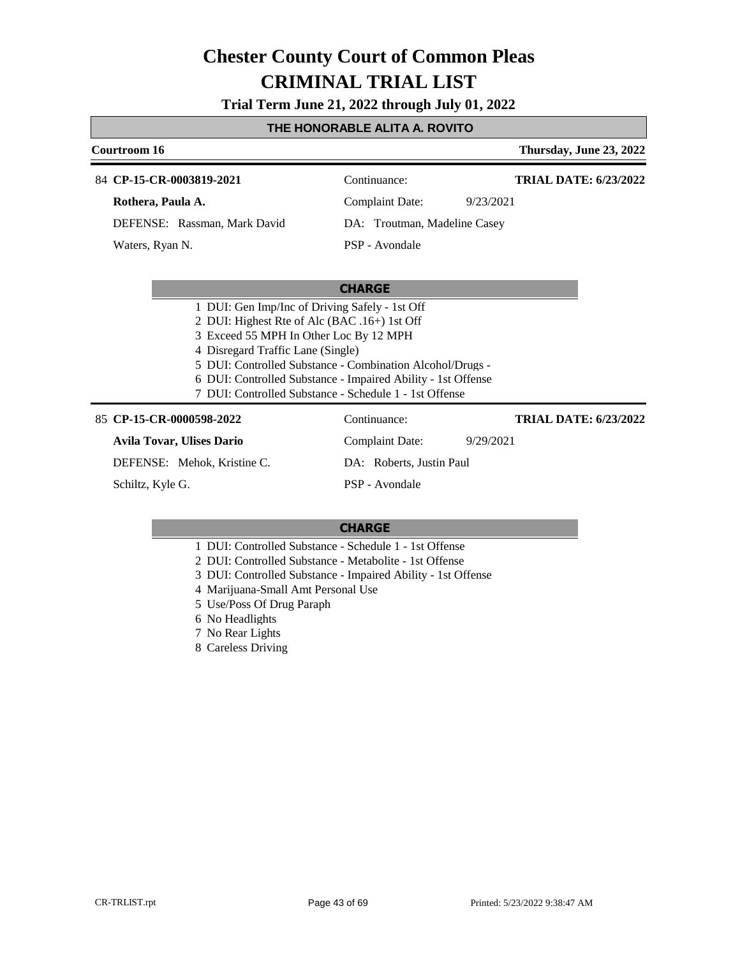**Trial Term June 21, 2022 through July 01, 2022**

#### **THE HONORABLE ALITA A. ROVITO**

| Courtroom 16                 |                              | Thursday, June 23, 2022      |
|------------------------------|------------------------------|------------------------------|
| 84 CP-15-CR-0003819-2021     | Continuance:                 | <b>TRIAL DATE: 6/23/2022</b> |
| Rothera, Paula A.            | Complaint Date:              | 9/23/2021                    |
| DEFENSE: Rassman, Mark David | DA: Troutman, Madeline Casey |                              |
| Waters, Ryan N.              | PSP - Avondale               |                              |

#### **CHARGE**

- 2 DUI: Highest Rte of Alc (BAC .16+) 1st Off
- 3 Exceed 55 MPH In Other Loc By 12 MPH
- 4 Disregard Traffic Lane (Single)
- 5 DUI: Controlled Substance Combination Alcohol/Drugs -
- 6 DUI: Controlled Substance Impaired Ability 1st Offense
- 7 DUI: Controlled Substance Schedule 1 1st Offense

#### 85 **CP-15-CR-0000598-2022** Continuance:

| CP-15-CR-0000598-2022       | Continuance:             | <b>TRIAL DATE: 6/23/2022</b> |
|-----------------------------|--------------------------|------------------------------|
| Avila Tovar, Ulises Dario   | Complaint Date:          | 9/29/2021                    |
| DEFENSE: Mehok, Kristine C. | DA: Roberts, Justin Paul |                              |
| Schiltz, Kyle G.            | PSP - Avondale           |                              |

- 1 DUI: Controlled Substance Schedule 1 1st Offense
- 2 DUI: Controlled Substance Metabolite 1st Offense
- 3 DUI: Controlled Substance Impaired Ability 1st Offense
- 4 Marijuana-Small Amt Personal Use
- 5 Use/Poss Of Drug Paraph
- 6 No Headlights
- 7 No Rear Lights
- 8 Careless Driving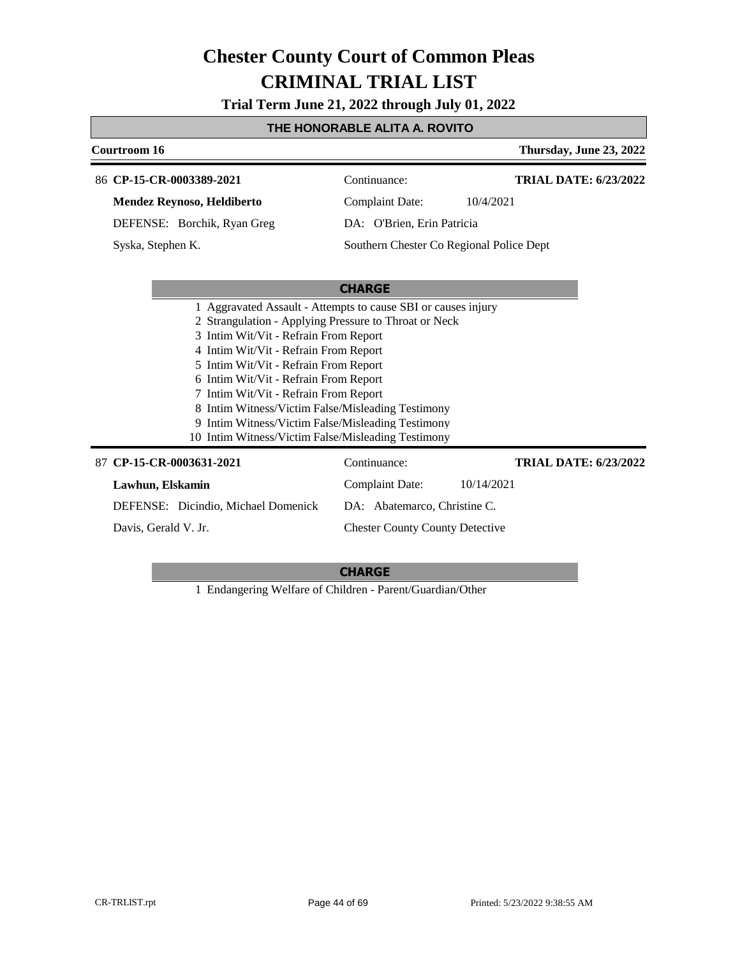**Trial Term June 21, 2022 through July 01, 2022**

### **THE HONORABLE ALITA A. ROVITO**

| Courtroom 16                                                                                                                                                                                                                                                                                                                                                                                                                                                                                        | Thursday, June 23, 2022                      |  |
|-----------------------------------------------------------------------------------------------------------------------------------------------------------------------------------------------------------------------------------------------------------------------------------------------------------------------------------------------------------------------------------------------------------------------------------------------------------------------------------------------------|----------------------------------------------|--|
| 86 CP-15-CR-0003389-2021                                                                                                                                                                                                                                                                                                                                                                                                                                                                            | <b>TRIAL DATE: 6/23/2022</b><br>Continuance: |  |
| Mendez Reynoso, Heldiberto                                                                                                                                                                                                                                                                                                                                                                                                                                                                          | <b>Complaint Date:</b><br>10/4/2021          |  |
| DEFENSE: Borchik, Ryan Greg                                                                                                                                                                                                                                                                                                                                                                                                                                                                         | DA: O'Brien, Erin Patricia                   |  |
| Syska, Stephen K.                                                                                                                                                                                                                                                                                                                                                                                                                                                                                   | Southern Chester Co Regional Police Dept     |  |
|                                                                                                                                                                                                                                                                                                                                                                                                                                                                                                     |                                              |  |
|                                                                                                                                                                                                                                                                                                                                                                                                                                                                                                     | <b>CHARGE</b>                                |  |
| 1 Aggravated Assault - Attempts to cause SBI or causes injury<br>2 Strangulation - Applying Pressure to Throat or Neck<br>3 Intim Wit/Vit - Refrain From Report<br>4 Intim Wit/Vit - Refrain From Report<br>5 Intim Wit/Vit - Refrain From Report<br>6 Intim Wit/Vit - Refrain From Report<br>7 Intim Wit/Vit - Refrain From Report<br>8 Intim Witness/Victim False/Misleading Testimony<br>9 Intim Witness/Victim False/Misleading Testimony<br>10 Intim Witness/Victim False/Misleading Testimony |                                              |  |
| 87 CP-15-CR-0003631-2021                                                                                                                                                                                                                                                                                                                                                                                                                                                                            | Continuance:<br><b>TRIAL DATE: 6/23/2022</b> |  |
| Lawhun, Elskamin                                                                                                                                                                                                                                                                                                                                                                                                                                                                                    | <b>Complaint Date:</b><br>10/14/2021         |  |
| DEFENSE: Dicindio, Michael Domenick                                                                                                                                                                                                                                                                                                                                                                                                                                                                 | DA: Abatemarco, Christine C.                 |  |
| Davis, Gerald V. Jr.                                                                                                                                                                                                                                                                                                                                                                                                                                                                                | <b>Chester County County Detective</b>       |  |

#### **CHARGE**

1 Endangering Welfare of Children - Parent/Guardian/Other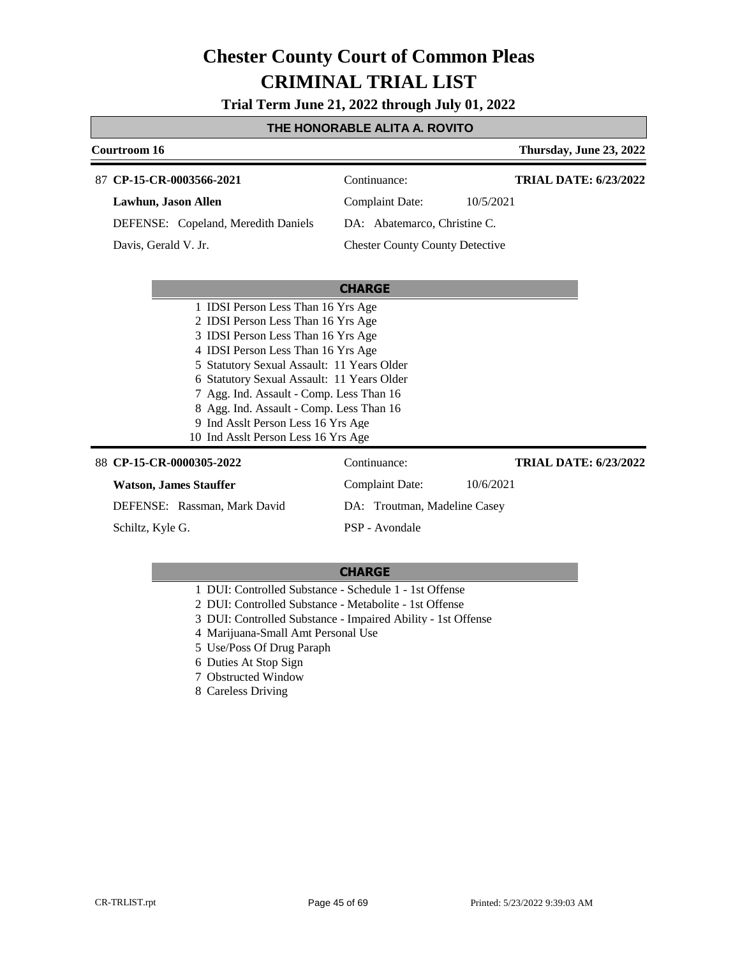**Trial Term June 21, 2022 through July 01, 2022**

### **THE HONORABLE ALITA A. ROVITO**

| Courtroom 16                                                                                                                                                                                                                                                                                                                                                                                                          |                                        | Thursday, June 23, 2022      |
|-----------------------------------------------------------------------------------------------------------------------------------------------------------------------------------------------------------------------------------------------------------------------------------------------------------------------------------------------------------------------------------------------------------------------|----------------------------------------|------------------------------|
| 87 CP-15-CR-0003566-2021                                                                                                                                                                                                                                                                                                                                                                                              | Continuance:                           | <b>TRIAL DATE: 6/23/2022</b> |
| Lawhun, Jason Allen                                                                                                                                                                                                                                                                                                                                                                                                   | <b>Complaint Date:</b>                 | 10/5/2021                    |
| DEFENSE: Copeland, Meredith Daniels                                                                                                                                                                                                                                                                                                                                                                                   | DA: Abatemarco, Christine C.           |                              |
| Davis, Gerald V. Jr.                                                                                                                                                                                                                                                                                                                                                                                                  | <b>Chester County County Detective</b> |                              |
|                                                                                                                                                                                                                                                                                                                                                                                                                       |                                        |                              |
|                                                                                                                                                                                                                                                                                                                                                                                                                       | <b>CHARGE</b>                          |                              |
| 1 IDSI Person Less Than 16 Yrs Age<br>2 IDSI Person Less Than 16 Yrs Age<br>3 IDSI Person Less Than 16 Yrs Age<br>4 IDSI Person Less Than 16 Yrs Age<br>5 Statutory Sexual Assault: 11 Years Older<br>6 Statutory Sexual Assault: 11 Years Older<br>7 Agg. Ind. Assault - Comp. Less Than 16<br>8 Agg. Ind. Assault - Comp. Less Than 16<br>9 Ind Asslt Person Less 16 Yrs Age<br>10 Ind Asslt Person Less 16 Yrs Age |                                        |                              |
| 88 CP-15-CR-0000305-2022                                                                                                                                                                                                                                                                                                                                                                                              | Continuance:                           | <b>TRIAL DATE: 6/23/2022</b> |
| <b>Watson, James Stauffer</b>                                                                                                                                                                                                                                                                                                                                                                                         | <b>Complaint Date:</b>                 | 10/6/2021                    |
| DEFENSE: Rassman, Mark David                                                                                                                                                                                                                                                                                                                                                                                          | DA: Troutman, Madeline Casey           |                              |
| Schiltz, Kyle G.                                                                                                                                                                                                                                                                                                                                                                                                      | PSP - Avondale                         |                              |

- 1 DUI: Controlled Substance Schedule 1 1st Offense
- 2 DUI: Controlled Substance Metabolite 1st Offense
- 3 DUI: Controlled Substance Impaired Ability 1st Offense
- 4 Marijuana-Small Amt Personal Use
- 5 Use/Poss Of Drug Paraph
- 6 Duties At Stop Sign
- 7 Obstructed Window
- 8 Careless Driving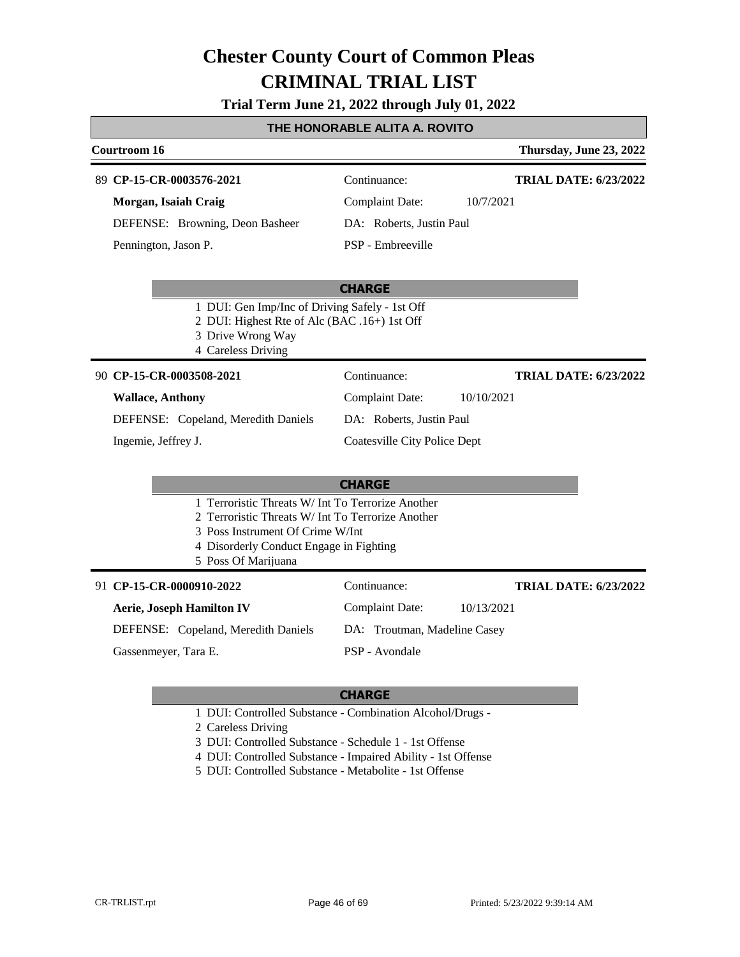**Trial Term June 21, 2022 through July 01, 2022**

### **THE HONORABLE ALITA A. ROVITO**

| <b>Courtroom 16</b>                                                                                                                                                                                          |                                     | Thursday, June 23, 2022      |
|--------------------------------------------------------------------------------------------------------------------------------------------------------------------------------------------------------------|-------------------------------------|------------------------------|
| 89 CP-15-CR-0003576-2021                                                                                                                                                                                     | Continuance:                        | <b>TRIAL DATE: 6/23/2022</b> |
| Morgan, Isaiah Craig                                                                                                                                                                                         | <b>Complaint Date:</b>              | 10/7/2021                    |
| DEFENSE: Browning, Deon Basheer                                                                                                                                                                              | DA: Roberts, Justin Paul            |                              |
| Pennington, Jason P.                                                                                                                                                                                         | PSP - Embreeville                   |                              |
|                                                                                                                                                                                                              | <b>CHARGE</b>                       |                              |
| 1 DUI: Gen Imp/Inc of Driving Safely - 1st Off<br>2 DUI: Highest Rte of Alc (BAC .16+) 1st Off<br>3 Drive Wrong Way<br>4 Careless Driving                                                                    |                                     |                              |
| 90 CP-15-CR-0003508-2021                                                                                                                                                                                     | Continuance:                        | <b>TRIAL DATE: 6/23/2022</b> |
| <b>Wallace, Anthony</b>                                                                                                                                                                                      | <b>Complaint Date:</b>              | 10/10/2021                   |
| DEFENSE: Copeland, Meredith Daniels                                                                                                                                                                          | DA: Roberts, Justin Paul            |                              |
| Ingemie, Jeffrey J.                                                                                                                                                                                          | <b>Coatesville City Police Dept</b> |                              |
|                                                                                                                                                                                                              | <b>CHARGE</b>                       |                              |
| 1 Terroristic Threats W/ Int To Terrorize Another<br>2 Terroristic Threats W/ Int To Terrorize Another<br>3 Poss Instrument Of Crime W/Int<br>4 Disorderly Conduct Engage in Fighting<br>5 Poss Of Marijuana |                                     |                              |
| 91 CP-15-CR-0000910-2022                                                                                                                                                                                     | Continuance:                        | <b>TRIAL DATE: 6/23/2022</b> |
| <b>Aerie, Joseph Hamilton IV</b>                                                                                                                                                                             | <b>Complaint Date:</b>              | 10/13/2021                   |
| DEFENSE: Copeland, Meredith Daniels                                                                                                                                                                          | DA: Troutman, Madeline Casey        |                              |
| Gassenmeyer, Tara E.                                                                                                                                                                                         | PSP - Avondale                      |                              |

- 1 DUI: Controlled Substance Combination Alcohol/Drugs -
- 2 Careless Driving
- 3 DUI: Controlled Substance Schedule 1 1st Offense
- 4 DUI: Controlled Substance Impaired Ability 1st Offense
- 5 DUI: Controlled Substance Metabolite 1st Offense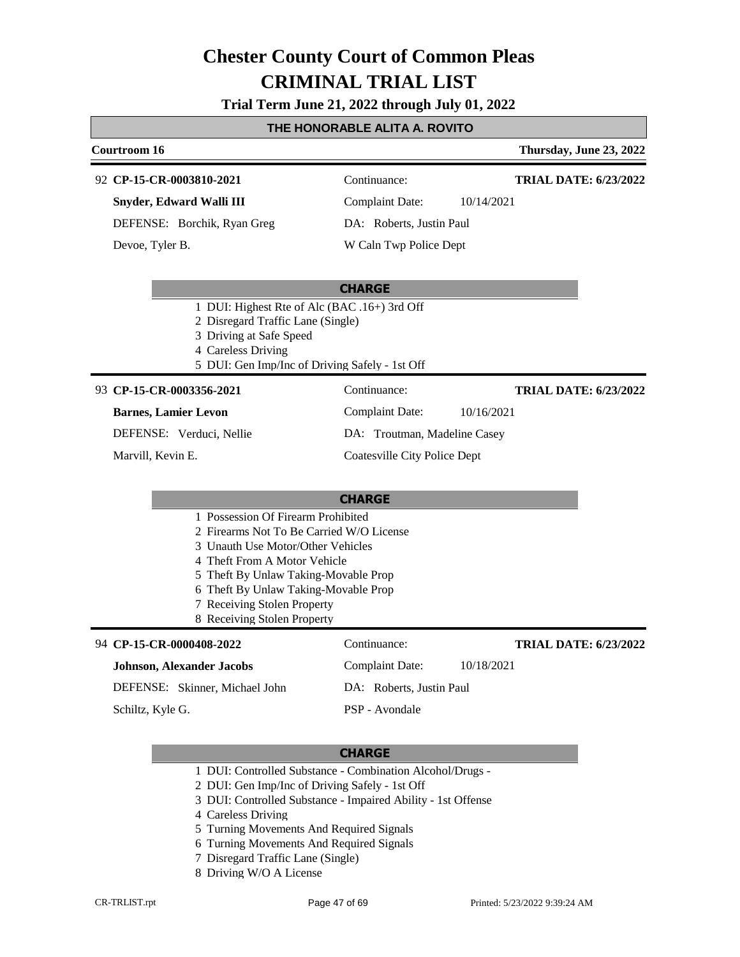**Trial Term June 21, 2022 through July 01, 2022**

### **THE HONORABLE ALITA A. ROVITO**

#### **Courtroom 16 Thursday, June 23, 2022 CP-15-CR-0003810-2021** 92 Continuance: **Snyder, Edward Walli III** Complaint Date: 10/14/2021 **TRIAL DATE: 6/23/2022**

DEFENSE: Borchik, Ryan Greg

Devoe, Tyler B.

DA: Roberts, Justin Paul

### W Caln Twp Police Dept

### **CHARGE**

- 1 DUI: Highest Rte of Alc (BAC .16+) 3rd Off
- 2 Disregard Traffic Lane (Single)
- 3 Driving at Safe Speed
- 4 Careless Driving
- 5 DUI: Gen Imp/Inc of Driving Safely 1st Off

#### **CP-15-CR-0003356-2021** 93 Continuance:

#### **Barnes, Lamier Levon**

DEFENSE: Verduci, Nellie

Marvill, Kevin E.

#### **TRIAL DATE: 6/23/2022**

Complaint Date: 10/16/2021 DA: Troutman, Madeline Casey

Coatesville City Police Dept

### **CHARGE**

- 1 Possession Of Firearm Prohibited
- 2 Firearms Not To Be Carried W/O License
- 3 Unauth Use Motor/Other Vehicles
- 4 Theft From A Motor Vehicle
- 5 Theft By Unlaw Taking-Movable Prop
- 6 Theft By Unlaw Taking-Movable Prop
- 7 Receiving Stolen Property
- 8 Receiving Stolen Property

#### **CP-15-CR-0000408-2022** 94 Continuance:

#### **Johnson, Alexander Jacobs**

DEFENSE: Skinner, Michael John

Schiltz, Kyle G.

### **CHARGE**

PSP - Avondale

- 1 DUI: Controlled Substance Combination Alcohol/Drugs -
- 2 DUI: Gen Imp/Inc of Driving Safely 1st Off
- 3 DUI: Controlled Substance Impaired Ability 1st Offense
- 4 Careless Driving
- 5 Turning Movements And Required Signals
- 6 Turning Movements And Required Signals
- 7 Disregard Traffic Lane (Single)
- 8 Driving W/O A License

Complaint Date: 10/18/2021 DA: Roberts, Justin Paul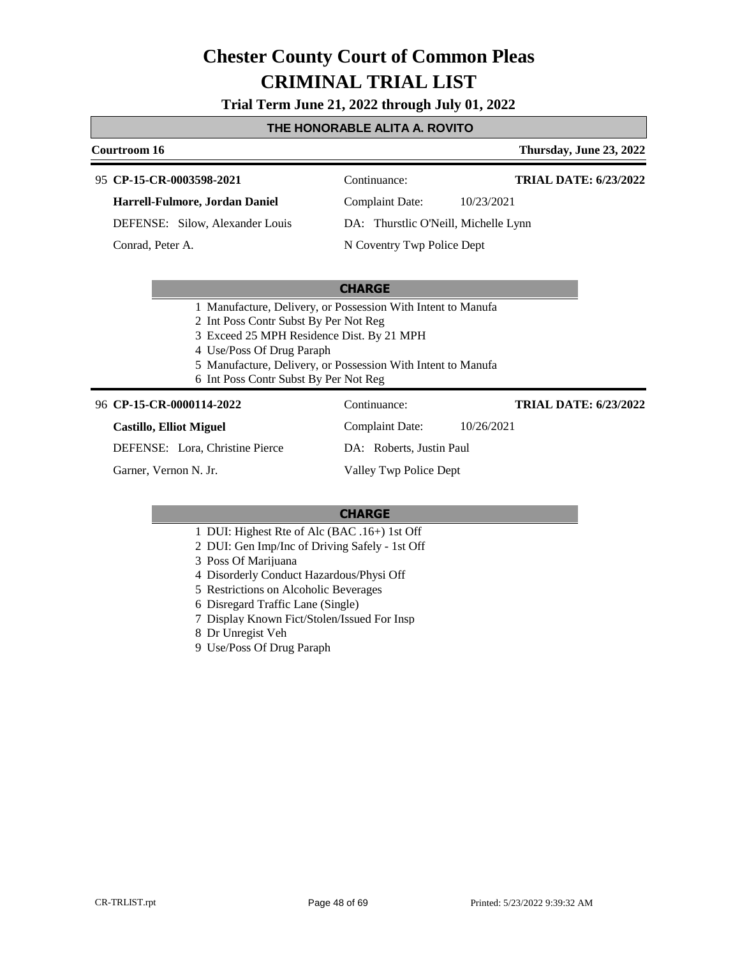**Trial Term June 21, 2022 through July 01, 2022**

#### **THE HONORABLE ALITA A. ROVITO**

#### **Courtroom 16 Thursday, June 23, 2022 CP-15-CR-0003598-2021** 95 Continuance: **Harrell-Fulmore, Jordan Daniel** DEFENSE: Silow, Alexander Louis Complaint Date: 10/23/2021 DA: Thurstlic O'Neill, Michelle Lynn N Coventry Twp Police Dept **TRIAL DATE: 6/23/2022** Conrad, Peter A.

#### **CHARGE**

- 1 Manufacture, Delivery, or Possession With Intent to Manufa
- 2 Int Poss Contr Subst By Per Not Reg
- 3 Exceed 25 MPH Residence Dist. By 21 MPH
- 4 Use/Poss Of Drug Paraph
- 5 Manufacture, Delivery, or Possession With Intent to Manufa
- 6 Int Poss Contr Subst By Per Not Reg

#### 96 **CP-15-CR-0000114-2022** Continuance:

#### **Castillo, Elliot Miguel**

DEFENSE: Lora, Christine Pierce

Garner, Vernon N. Jr.

DA: Roberts, Justin Paul Valley Twp Police Dept

Complaint Date: 10/26/2021

#### **CHARGE**

- 1 DUI: Highest Rte of Alc (BAC .16+) 1st Off
- 2 DUI: Gen Imp/Inc of Driving Safely 1st Off
- 3 Poss Of Marijuana
- 4 Disorderly Conduct Hazardous/Physi Off
- 5 Restrictions on Alcoholic Beverages
- 6 Disregard Traffic Lane (Single)
- 7 Display Known Fict/Stolen/Issued For Insp
- 8 Dr Unregist Veh
- 9 Use/Poss Of Drug Paraph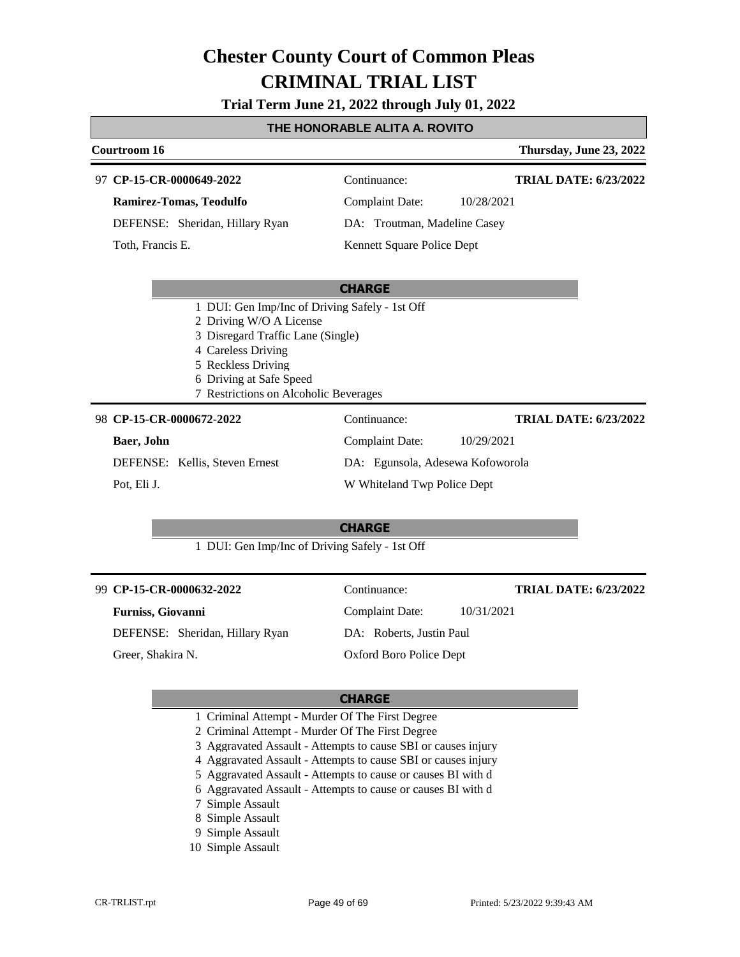**Trial Term June 21, 2022 through July 01, 2022**

#### **THE HONORABLE ALITA A. ROVITO**

|                                                | Courtroom 16     |                                   |                              |            | Thursday, June 23, 2022      |
|------------------------------------------------|------------------|-----------------------------------|------------------------------|------------|------------------------------|
|                                                |                  | 97 CP-15-CR-0000649-2022          | Continuance:                 |            | <b>TRIAL DATE: 6/23/2022</b> |
|                                                |                  | Ramirez-Tomas, Teodulfo           | Complaint Date:              | 10/28/2021 |                              |
|                                                |                  | DEFENSE: Sheridan, Hillary Ryan   | DA: Troutman, Madeline Casey |            |                              |
|                                                | Toth, Francis E. |                                   | Kennett Square Police Dept   |            |                              |
|                                                |                  |                                   |                              |            |                              |
|                                                |                  |                                   | <b>CHARGE</b>                |            |                              |
| 1 DUI: Gen Imp/Inc of Driving Safely - 1st Off |                  |                                   |                              |            |                              |
|                                                |                  | 2 Driving W/O A License           |                              |            |                              |
|                                                |                  | 3 Disregard Traffic Lane (Single) |                              |            |                              |
|                                                |                  | 4 Careless Driving                |                              |            |                              |
|                                                |                  | 5 Reckless Driving                |                              |            |                              |

## 7 Restrictions on Alcoholic Beverages

| 98 CP-15-CR-0000672-2022 |
|--------------------------|
|                          |

6 Driving at Safe Speed

| Baer, John                     | Complaint Date:<br>10/29/2021    |  |
|--------------------------------|----------------------------------|--|
| DEFENSE: Kellis, Steven Ernest | DA: Egunsola, Adesewa Kofoworola |  |
| Pot. Eli J.                    | W Whiteland Twp Police Dept      |  |

Continuance:

#### **CHARGE**

1 DUI: Gen Imp/Inc of Driving Safely - 1st Off

| 99 CP-15-CR-0000632-2022 |                                 | Continuance:             | <b>TRIAL DATE: 6/23/2022</b> |
|--------------------------|---------------------------------|--------------------------|------------------------------|
|                          | <b>Furniss, Giovanni</b>        | Complaint Date:          | 10/31/2021                   |
|                          | DEFENSE: Sheridan, Hillary Ryan | DA: Roberts, Justin Paul |                              |
|                          | Greer, Shakira N.               | Oxford Boro Police Dept  |                              |

#### **CHARGE**

- 1 Criminal Attempt Murder Of The First Degree
- 2 Criminal Attempt Murder Of The First Degree
- 3 Aggravated Assault Attempts to cause SBI or causes injury
- 4 Aggravated Assault Attempts to cause SBI or causes injury
- 5 Aggravated Assault Attempts to cause or causes BI with d
- 6 Aggravated Assault Attempts to cause or causes BI with d
- 7 Simple Assault
- 8 Simple Assault
- 9 Simple Assault
- 10 Simple Assault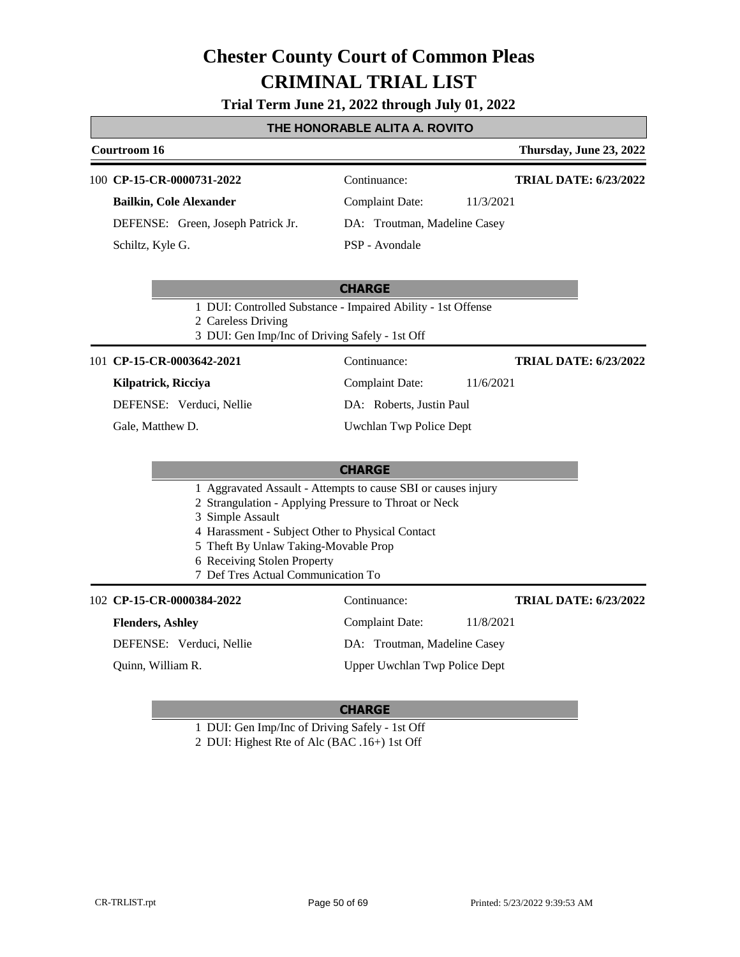**Trial Term June 21, 2022 through July 01, 2022**

### **THE HONORABLE ALITA A. ROVITO**

| Courtroom 16                                                                                                                            |                              | Thursday, June 23, 2022      |
|-----------------------------------------------------------------------------------------------------------------------------------------|------------------------------|------------------------------|
| 100 CP-15-CR-0000731-2022                                                                                                               | Continuance:                 | <b>TRIAL DATE: 6/23/2022</b> |
| <b>Bailkin, Cole Alexander</b>                                                                                                          | Complaint Date:              | 11/3/2021                    |
| DEFENSE: Green, Joseph Patrick Jr.                                                                                                      | DA: Troutman, Madeline Casey |                              |
| Schiltz, Kyle G.                                                                                                                        | PSP - Avondale               |                              |
|                                                                                                                                         | <b>CHARGE</b>                |                              |
| 1 DUI: Controlled Substance - Impaired Ability - 1st Offense<br>$\bigcap_{i=1}^n$ $\bigcap_{i=1}^n$ $\bigcap_{i=1}^n$ $\bigcap_{i=1}^n$ |                              |                              |

2 Careless Driving

3 DUI: Gen Imp/Inc of Driving Safely - 1st Off

101 **CP-15-CR-0003642-2021** Continuance:

**Kilpatrick, Ricciya**

DEFENSE: Verduci, Nellie

Gale, Matthew D.

Complaint Date: 11/6/2021 DA: Roberts, Justin Paul

**TRIAL DATE: 6/23/2022**

Uwchlan Twp Police Dept

|                                                                                                                               | <b>CHARGE</b>                                                                                                                                                              |                              |
|-------------------------------------------------------------------------------------------------------------------------------|----------------------------------------------------------------------------------------------------------------------------------------------------------------------------|------------------------------|
| 3 Simple Assault<br>5 Theft By Unlaw Taking-Movable Prop<br>6 Receiving Stolen Property<br>7 Def Tres Actual Communication To | 1 Aggravated Assault - Attempts to cause SBI or causes injury<br>2 Strangulation - Applying Pressure to Throat or Neck<br>4 Harassment - Subject Other to Physical Contact |                              |
| 102 CP-15-CR-0000384-2022                                                                                                     | Continuance:                                                                                                                                                               | <b>TRIAL DATE: 6/23/2022</b> |
| <b>Flenders, Ashley</b>                                                                                                       | Complaint Date:                                                                                                                                                            | 11/8/2021                    |
| DEFENSE: Verduci, Nellie                                                                                                      | DA: Troutman, Madeline Casey                                                                                                                                               |                              |
| Quinn, William R.                                                                                                             | Upper Uwchlan Twp Police Dept                                                                                                                                              |                              |

#### **CHARGE**

1 DUI: Gen Imp/Inc of Driving Safely - 1st Off

2 DUI: Highest Rte of Alc (BAC .16+) 1st Off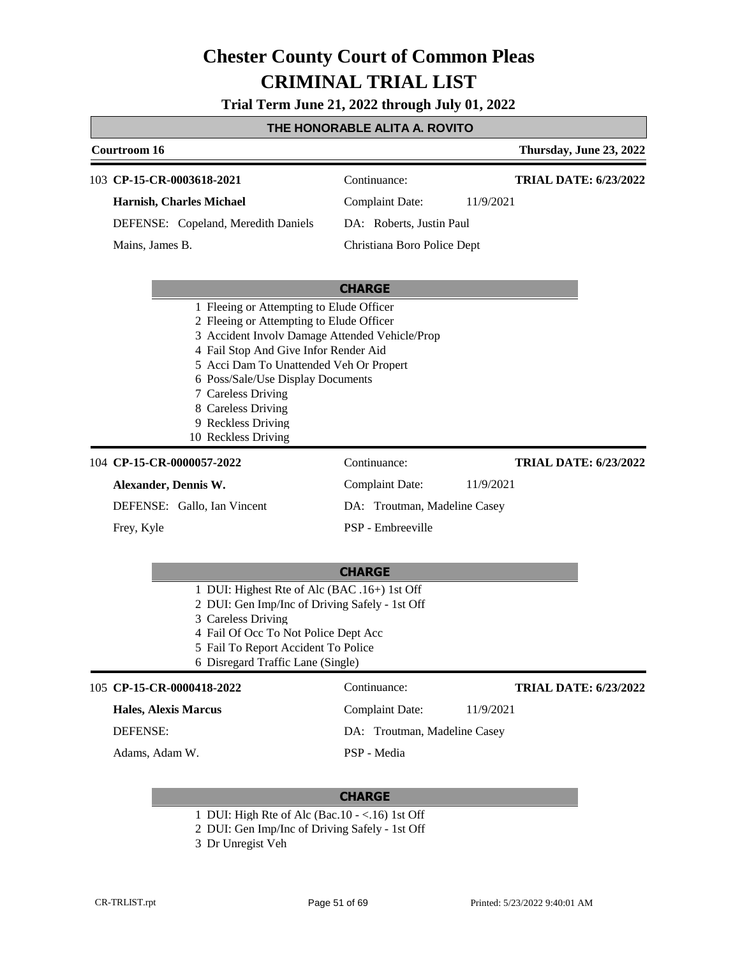**Trial Term June 21, 2022 through July 01, 2022**

### **THE HONORABLE ALITA A. ROVITO**

|                                                                                                                                                                                                                                                                                                                                                          | Courtroom 16                                                                                                                                                  |                                                       |                                        |           | Thursday, June 23, 2022      |
|----------------------------------------------------------------------------------------------------------------------------------------------------------------------------------------------------------------------------------------------------------------------------------------------------------------------------------------------------------|---------------------------------------------------------------------------------------------------------------------------------------------------------------|-------------------------------------------------------|----------------------------------------|-----------|------------------------------|
|                                                                                                                                                                                                                                                                                                                                                          |                                                                                                                                                               | 103 CP-15-CR-0003618-2021<br>Harnish, Charles Michael | Continuance:<br><b>Complaint Date:</b> | 11/9/2021 | <b>TRIAL DATE: 6/23/2022</b> |
|                                                                                                                                                                                                                                                                                                                                                          |                                                                                                                                                               | DEFENSE: Copeland, Meredith Daniels                   | DA: Roberts, Justin Paul               |           |                              |
|                                                                                                                                                                                                                                                                                                                                                          | Mains, James B.                                                                                                                                               |                                                       | Christiana Boro Police Dept            |           |                              |
|                                                                                                                                                                                                                                                                                                                                                          |                                                                                                                                                               |                                                       | <b>CHARGE</b>                          |           |                              |
| 1 Fleeing or Attempting to Elude Officer<br>2 Fleeing or Attempting to Elude Officer<br>3 Accident Involv Damage Attended Vehicle/Prop<br>4 Fail Stop And Give Infor Render Aid<br>5 Acci Dam To Unattended Veh Or Propert<br>6 Poss/Sale/Use Display Documents<br>7 Careless Driving<br>8 Careless Driving<br>9 Reckless Driving<br>10 Reckless Driving |                                                                                                                                                               |                                                       |                                        |           |                              |
|                                                                                                                                                                                                                                                                                                                                                          |                                                                                                                                                               | 104 CP-15-CR-0000057-2022                             | Continuance:                           |           | <b>TRIAL DATE: 6/23/2022</b> |
|                                                                                                                                                                                                                                                                                                                                                          | Alexander, Dennis W.                                                                                                                                          |                                                       | <b>Complaint Date:</b>                 | 11/9/2021 |                              |
|                                                                                                                                                                                                                                                                                                                                                          |                                                                                                                                                               | DEFENSE: Gallo, Ian Vincent                           | DA: Troutman, Madeline Casey           |           |                              |
|                                                                                                                                                                                                                                                                                                                                                          | Frey, Kyle                                                                                                                                                    |                                                       | PSP - Embreeville                      |           |                              |
|                                                                                                                                                                                                                                                                                                                                                          | <b>CHARGE</b>                                                                                                                                                 |                                                       |                                        |           |                              |
|                                                                                                                                                                                                                                                                                                                                                          | 1 DUI: Highest Rte of Alc (BAC .16+) 1st Off<br>$\alpha$ DIH $\alpha$ I $\pi$ $\beta$ D <sup>1</sup> $\beta$ $\alpha$ $\beta$ $\beta$ $\beta$ $\beta$ $\beta$ |                                                       |                                        |           |                              |

- 2 DUI: Gen Imp/Inc of Driving Safely 1st Off
- 3 Careless Driving
- 4 Fail Of Occ To Not Police Dept Acc
- 5 Fail To Report Accident To Police
- 6 Disregard Traffic Lane (Single)

### **CP-15-CR-0000418-2022** 105 Continuance: **Hales, Alexis Marcus**

**TRIAL DATE: 6/23/2022**

Complaint Date: 11/9/2021 DA: Troutman, Madeline Casey

DEFENSE:

Adams, Adam W.

PSP - Media

- 1 DUI: High Rte of Alc (Bac.10 <.16) 1st Off
- 2 DUI: Gen Imp/Inc of Driving Safely 1st Off
- 3 Dr Unregist Veh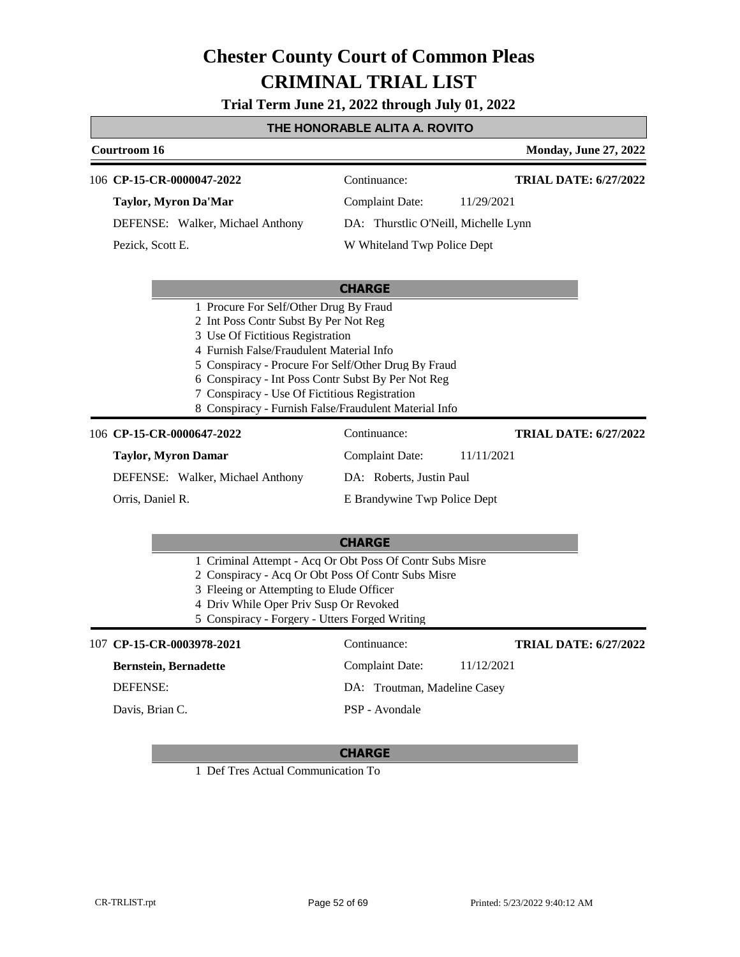**Trial Term June 21, 2022 through July 01, 2022**

### **THE HONORABLE ALITA A. ROVITO**

| THE HUNUMABLE ALITA A. NUVITU                                                                                                                                                                                                |                                                                                                              |                              |  |  |
|------------------------------------------------------------------------------------------------------------------------------------------------------------------------------------------------------------------------------|--------------------------------------------------------------------------------------------------------------|------------------------------|--|--|
| <b>Courtroom 16</b>                                                                                                                                                                                                          |                                                                                                              | <b>Monday, June 27, 2022</b> |  |  |
| 106 CP-15-CR-0000047-2022                                                                                                                                                                                                    | Continuance:                                                                                                 | <b>TRIAL DATE: 6/27/2022</b> |  |  |
| <b>Taylor, Myron Da'Mar</b>                                                                                                                                                                                                  | <b>Complaint Date:</b>                                                                                       | 11/29/2021                   |  |  |
| DEFENSE: Walker, Michael Anthony                                                                                                                                                                                             | DA: Thurstlic O'Neill, Michelle Lynn                                                                         |                              |  |  |
| Pezick, Scott E.                                                                                                                                                                                                             | W Whiteland Twp Police Dept                                                                                  |                              |  |  |
|                                                                                                                                                                                                                              |                                                                                                              |                              |  |  |
|                                                                                                                                                                                                                              | <b>CHARGE</b>                                                                                                |                              |  |  |
| 2 Int Poss Contr Subst By Per Not Reg<br>3 Use Of Fictitious Registration<br>4 Furnish False/Fraudulent Material Info<br>6 Conspiracy - Int Poss Contr Subst By Per Not Reg<br>7 Conspiracy - Use Of Fictitious Registration | 5 Conspiracy - Procure For Self/Other Drug By Fraud<br>8 Conspiracy - Furnish False/Fraudulent Material Info |                              |  |  |
| 106 CP-15-CR-0000647-2022                                                                                                                                                                                                    | Continuance:                                                                                                 | <b>TRIAL DATE: 6/27/2022</b> |  |  |
| <b>Taylor, Myron Damar</b>                                                                                                                                                                                                   | <b>Complaint Date:</b>                                                                                       | 11/11/2021                   |  |  |
| DEFENSE: Walker, Michael Anthony                                                                                                                                                                                             | DA: Roberts, Justin Paul                                                                                     |                              |  |  |
| Orris, Daniel R.                                                                                                                                                                                                             | E Brandywine Twp Police Dept                                                                                 |                              |  |  |
|                                                                                                                                                                                                                              | <b>CHARGE</b>                                                                                                |                              |  |  |
| 2 Conspiracy - Acq Or Obt Poss Of Contr Subs Misre<br>3 Fleeing or Attempting to Elude Officer<br>4 Driv While Oper Priv Susp Or Revoked<br>5 Conspiracy - Forgery - Utters Forged Writing                                   | 1 Criminal Attempt - Acq Or Obt Poss Of Contr Subs Misre                                                     |                              |  |  |
| 107 CP-15-CR-0003978-2021                                                                                                                                                                                                    | Continuance:                                                                                                 | <b>TRIAL DATE: 6/27/2022</b> |  |  |
| $\mathbf{r}$ is the contract of $\mathbf{r}$                                                                                                                                                                                 | $\cdots$                                                                                                     | 1 1 <i>1</i> 1 0 1 0 0 1     |  |  |

#### **Bernstein, Bernadette** DEFENSE: Complaint Date: 11/12/2021 DA: Troutman, Madeline Casey PSP - Avondale Davis, Brian C.

#### **CHARGE**

1 Def Tres Actual Communication To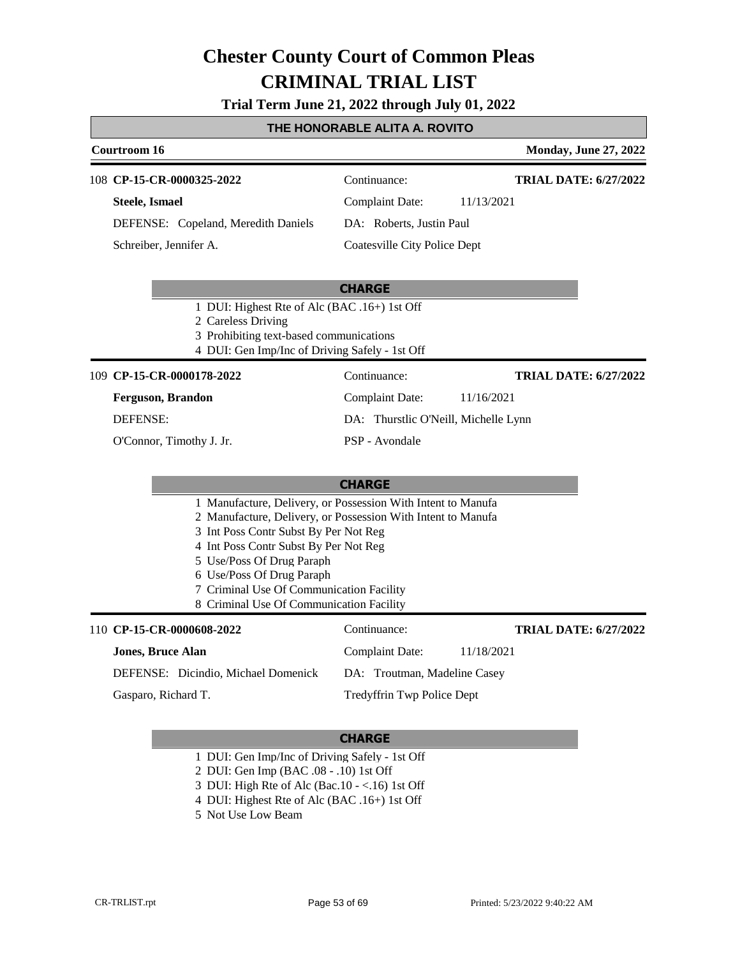**Trial Term June 21, 2022 through July 01, 2022**

### **THE HONORABLE ALITA A. ROVITO**

|                        | Courtroom 16                        | <b>Monday, June 27, 2022</b> |                              |
|------------------------|-------------------------------------|------------------------------|------------------------------|
|                        | 108 CP-15-CR-0000325-2022           | Continuance:                 | <b>TRIAL DATE: 6/27/2022</b> |
|                        | Steele, Ismael                      | Complaint Date:              | 11/13/2021                   |
|                        | DEFENSE: Copeland, Meredith Daniels | DA: Roberts, Justin Paul     |                              |
| Schreiber, Jennifer A. |                                     | Coatesville City Police Dept |                              |

#### **CHARGE**

1 DUI: Highest Rte of Alc (BAC .16+) 1st Off

2 Careless Driving

- 3 Prohibiting text-based communications
- 4 DUI: Gen Imp/Inc of Driving Safely 1st Off

**CP-15-CR-0000178-2022** 109 Continuance:

**Ferguson, Brandon**

DEFENSE:

O'Connor, Timothy J. Jr.

DA: Thurstlic O'Neill, Michelle Lynn PSP - Avondale

Complaint Date: 11/16/2021

#### **CHARGE** 1 Manufacture, Delivery, or Possession With Intent to Manufa 2 Manufacture, Delivery, or Possession With Intent to Manufa 3 Int Poss Contr Subst By Per Not Reg 4 Int Poss Contr Subst By Per Not Reg 5 Use/Poss Of Drug Paraph 6 Use/Poss Of Drug Paraph 7 Criminal Use Of Communication Facility 8 Criminal Use Of Communication Facility 110 **CP-15-CR-0000608-2022** Continuance: **Jones, Bruce Alan** DEFENSE: Dicindio, Michael Domenick Complaint Date: 11/18/2021 DA: Troutman, Madeline Casey Tredyffrin Twp Police Dept **TRIAL DATE: 6/27/2022** Gasparo, Richard T.

#### **CHARGE**

- 1 DUI: Gen Imp/Inc of Driving Safely 1st Off
- 2 DUI: Gen Imp (BAC .08 .10) 1st Off
- 3 DUI: High Rte of Alc (Bac.10 <.16) 1st Off
- 4 DUI: Highest Rte of Alc (BAC .16+) 1st Off
- 5 Not Use Low Beam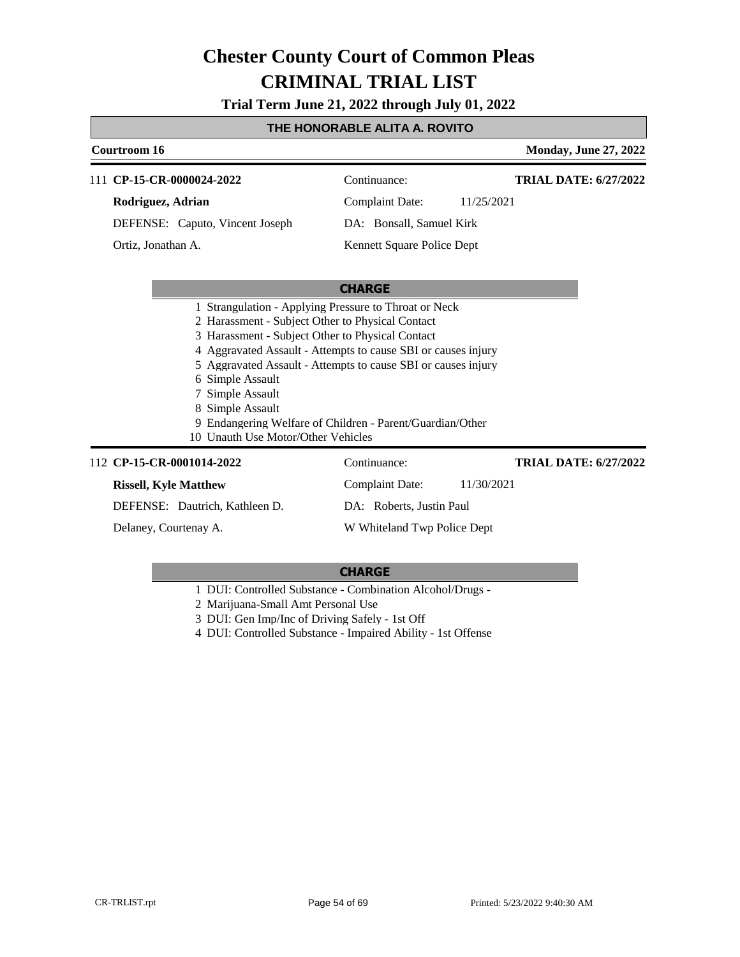**Trial Term June 21, 2022 through July 01, 2022**

#### **THE HONORABLE ALITA A. ROVITO**

### **Courtroom 16 Monday, June 27, 2022 CHARGE** 111 **CP-15-CR-0000024-2022** Continuance: **Rodriguez, Adrian** DEFENSE: Caputo, Vincent Joseph Complaint Date: 11/25/2021 DA: Bonsall, Samuel Kirk Kennett Square Police Dept **TRIAL DATE: 6/27/2022** Ortiz, Jonathan A. 1 Strangulation - Applying Pressure to Throat or Neck

- 2 Harassment Subject Other to Physical Contact
	- 3 Harassment Subject Other to Physical Contact
	- 4 Aggravated Assault Attempts to cause SBI or causes injury
	- 5 Aggravated Assault Attempts to cause SBI or causes injury
	- 6 Simple Assault
	- 7 Simple Assault
	- 8 Simple Assault
	- 9 Endangering Welfare of Children Parent/Guardian/Other
- 10 Unauth Use Motor/Other Vehicles

### 112 **CP-15-CR-0001014-2022** Continuance:

### **Rissell, Kyle Matthew**

DEFENSE: Dautrich, Kathleen D.

Delaney, Courtenay A.

#### **CHARGE**

Complaint Date: 11/30/2021

DA: Roberts, Justin Paul

W Whiteland Twp Police Dept

1 DUI: Controlled Substance - Combination Alcohol/Drugs -

2 Marijuana-Small Amt Personal Use

- 3 DUI: Gen Imp/Inc of Driving Safely 1st Off
- 4 DUI: Controlled Substance Impaired Ability 1st Offense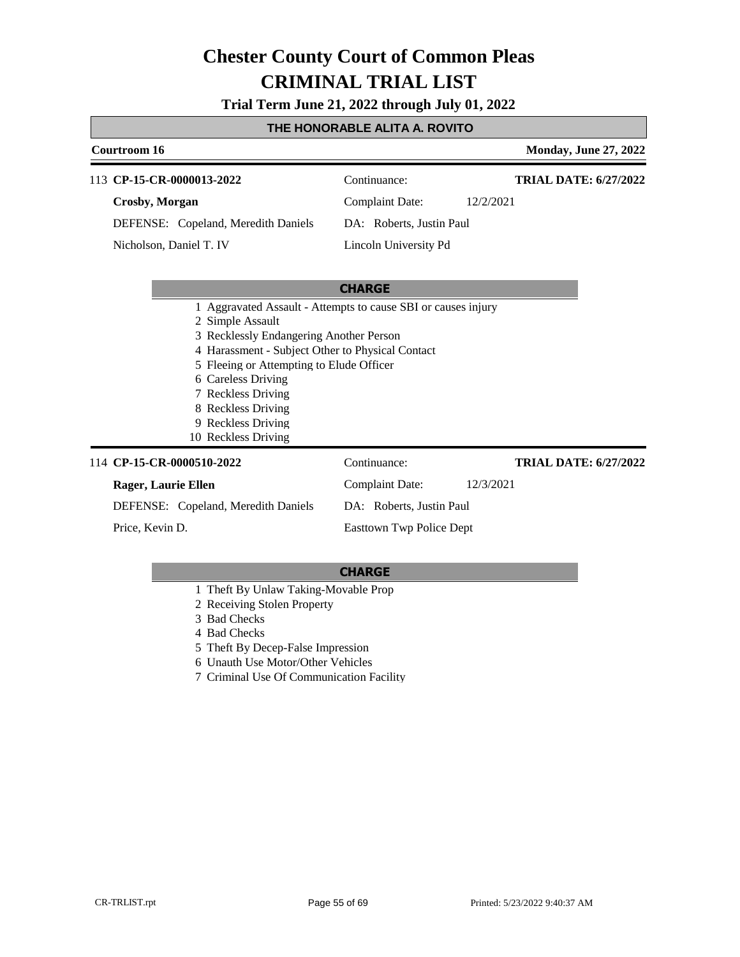**Trial Term June 21, 2022 through July 01, 2022**

#### **THE HONORABLE ALITA A. ROVITO**

### **Courtroom 16 Monday, June 27, 2022 CHARGE** 113 **CP-15-CR-0000013-2022** Continuance: **Crosby, Morgan** DEFENSE: Copeland, Meredith Daniels Complaint Date: 12/2/2021 DA: Roberts, Justin Paul Lincoln University Pd **TRIAL DATE: 6/27/2022** Nicholson, Daniel T. IV

|                                     | 1 Aggravated Assault - Attempts to cause SBI or causes injury |                              |  |  |
|-------------------------------------|---------------------------------------------------------------|------------------------------|--|--|
| 2 Simple Assault                    |                                                               |                              |  |  |
|                                     | 3 Recklessly Endangering Another Person                       |                              |  |  |
|                                     | 4 Harassment - Subject Other to Physical Contact              |                              |  |  |
|                                     | 5 Fleeing or Attempting to Elude Officer                      |                              |  |  |
| 6 Careless Driving                  |                                                               |                              |  |  |
| 7 Reckless Driving                  |                                                               |                              |  |  |
| 8 Reckless Driving                  |                                                               |                              |  |  |
| 9 Reckless Driving                  |                                                               |                              |  |  |
| 10 Reckless Driving                 |                                                               |                              |  |  |
| 114 CP-15-CR-0000510-2022           | Continuance:                                                  | <b>TRIAL DATE: 6/27/2022</b> |  |  |
| Rager, Laurie Ellen                 | Complaint Date:                                               | 12/3/2021                    |  |  |
| DEFENSE: Copeland, Meredith Daniels | DA: Roberts, Justin Paul                                      |                              |  |  |
| Price, Kevin D.                     | Easttown Twp Police Dept                                      |                              |  |  |

- 1 Theft By Unlaw Taking-Movable Prop
- 2 Receiving Stolen Property
- 3 Bad Checks
- 4 Bad Checks
- 5 Theft By Decep-False Impression
- 6 Unauth Use Motor/Other Vehicles
- 7 Criminal Use Of Communication Facility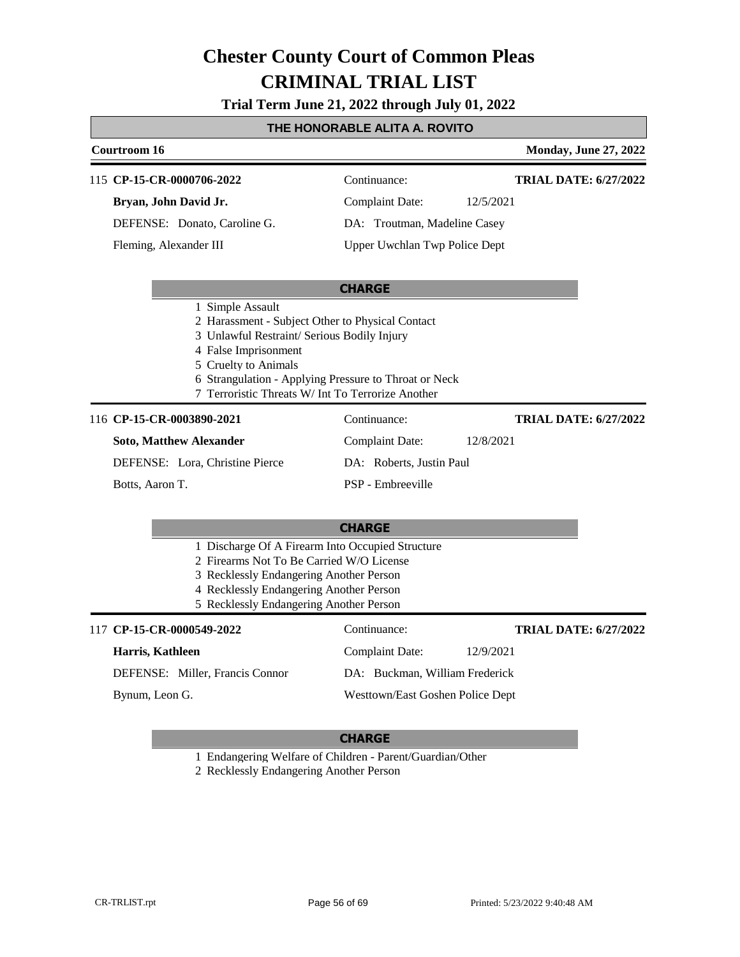**Trial Term June 21, 2022 through July 01, 2022**

### **THE HONORABLE ALITA A. ROVITO**

|                                                                                                                                                                                                                               | Courtroom 16                                                                                                                                                                                                                                                                      |                                  | <b>Monday, June 27, 2022</b> |
|-------------------------------------------------------------------------------------------------------------------------------------------------------------------------------------------------------------------------------|-----------------------------------------------------------------------------------------------------------------------------------------------------------------------------------------------------------------------------------------------------------------------------------|----------------------------------|------------------------------|
|                                                                                                                                                                                                                               | 115 CP-15-CR-0000706-2022                                                                                                                                                                                                                                                         | Continuance:                     | <b>TRIAL DATE: 6/27/2022</b> |
|                                                                                                                                                                                                                               | Bryan, John David Jr.                                                                                                                                                                                                                                                             | <b>Complaint Date:</b>           | 12/5/2021                    |
|                                                                                                                                                                                                                               | DEFENSE: Donato, Caroline G.                                                                                                                                                                                                                                                      | DA: Troutman, Madeline Casey     |                              |
|                                                                                                                                                                                                                               | Fleming, Alexander III                                                                                                                                                                                                                                                            | Upper Uwchlan Twp Police Dept    |                              |
|                                                                                                                                                                                                                               |                                                                                                                                                                                                                                                                                   | <b>CHARGE</b>                    |                              |
|                                                                                                                                                                                                                               | 1 Simple Assault<br>2 Harassment - Subject Other to Physical Contact<br>3 Unlawful Restraint/ Serious Bodily Injury<br>4 False Imprisonment<br>5 Cruelty to Animals<br>6 Strangulation - Applying Pressure to Throat or Neck<br>7 Terroristic Threats W/ Int To Terrorize Another |                                  |                              |
|                                                                                                                                                                                                                               | 116 CP-15-CR-0003890-2021                                                                                                                                                                                                                                                         | Continuance:                     | <b>TRIAL DATE: 6/27/2022</b> |
|                                                                                                                                                                                                                               | <b>Soto, Matthew Alexander</b>                                                                                                                                                                                                                                                    | <b>Complaint Date:</b>           | 12/8/2021                    |
|                                                                                                                                                                                                                               | DEFENSE: Lora, Christine Pierce                                                                                                                                                                                                                                                   | DA: Roberts, Justin Paul         |                              |
|                                                                                                                                                                                                                               | Botts, Aaron T.                                                                                                                                                                                                                                                                   | PSP - Embreeville                |                              |
|                                                                                                                                                                                                                               |                                                                                                                                                                                                                                                                                   | <b>CHARGE</b>                    |                              |
| 1 Discharge Of A Firearm Into Occupied Structure<br>2 Firearms Not To Be Carried W/O License<br>3 Recklessly Endangering Another Person<br>4 Recklessly Endangering Another Person<br>5 Recklessly Endangering Another Person |                                                                                                                                                                                                                                                                                   |                                  |                              |
|                                                                                                                                                                                                                               | 117 CP-15-CR-0000549-2022                                                                                                                                                                                                                                                         | Continuance:                     | <b>TRIAL DATE: 6/27/2022</b> |
|                                                                                                                                                                                                                               | Harris, Kathleen                                                                                                                                                                                                                                                                  | <b>Complaint Date:</b>           | 12/9/2021                    |
|                                                                                                                                                                                                                               | DEFENSE: Miller, Francis Connor                                                                                                                                                                                                                                                   | DA: Buckman, William Frederick   |                              |
|                                                                                                                                                                                                                               | Bynum, Leon G.                                                                                                                                                                                                                                                                    | Westtown/East Goshen Police Dept |                              |

### **CHARGE**

1 Endangering Welfare of Children - Parent/Guardian/Other

2 Recklessly Endangering Another Person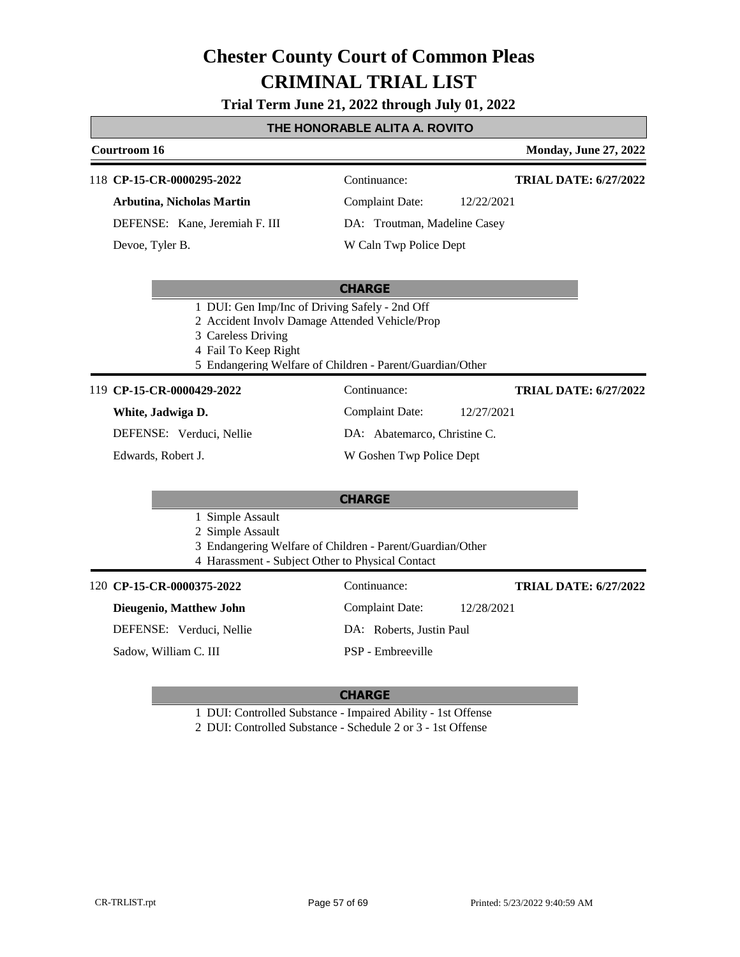**Trial Term June 21, 2022 through July 01, 2022**

### **THE HONORABLE ALITA A. ROVITO**

| Courtroom 16                                   |                                                           | <b>Monday, June 27, 2022</b> |
|------------------------------------------------|-----------------------------------------------------------|------------------------------|
| 118 CP-15-CR-0000295-2022                      | Continuance:                                              | <b>TRIAL DATE: 6/27/2022</b> |
| Arbutina, Nicholas Martin                      | <b>Complaint Date:</b><br>12/22/2021                      |                              |
| DEFENSE: Kane, Jeremiah F. III                 | DA: Troutman, Madeline Casey                              |                              |
| Devoe, Tyler B.                                | W Caln Twp Police Dept                                    |                              |
|                                                |                                                           |                              |
|                                                | <b>CHARGE</b>                                             |                              |
| 1 DUI: Gen Imp/Inc of Driving Safely - 2nd Off |                                                           |                              |
| 2 Accident Involv Damage Attended Vehicle/Prop |                                                           |                              |
| 3 Careless Driving                             |                                                           |                              |
| 4 Fail To Keep Right                           |                                                           |                              |
|                                                | 5 Endangering Welfare of Children - Parent/Guardian/Other |                              |
| CP-15-CR-0000429-2022<br>119                   | Continuance:                                              | <b>TRIAL DATE: 6/27/2022</b> |
| White, Jadwiga D.                              | <b>Complaint Date:</b><br>12/27/2021                      |                              |
| DEFENSE: Verduci, Nellie                       | DA: Abatemarco, Christine C.                              |                              |
| Edwards, Robert J.                             | W Goshen Twp Police Dept                                  |                              |
|                                                |                                                           |                              |

#### **CHARGE**

- 1 Simple Assault
- 2 Simple Assault
- 3 Endangering Welfare of Children Parent/Guardian/Other
- 4 Harassment Subject Other to Physical Contact

#### **CP-15-CR-0000375-2022** 120 Continuance:

**Dieugenio, Matthew John**

DEFENSE: Verduci, Nellie

Sadow, William C. III

**TRIAL DATE: 6/27/2022**

Complaint Date: 12/28/2021 DA: Roberts, Justin Paul

PSP - Embreeville

#### **CHARGE**

1 DUI: Controlled Substance - Impaired Ability - 1st Offense

2 DUI: Controlled Substance - Schedule 2 or 3 - 1st Offense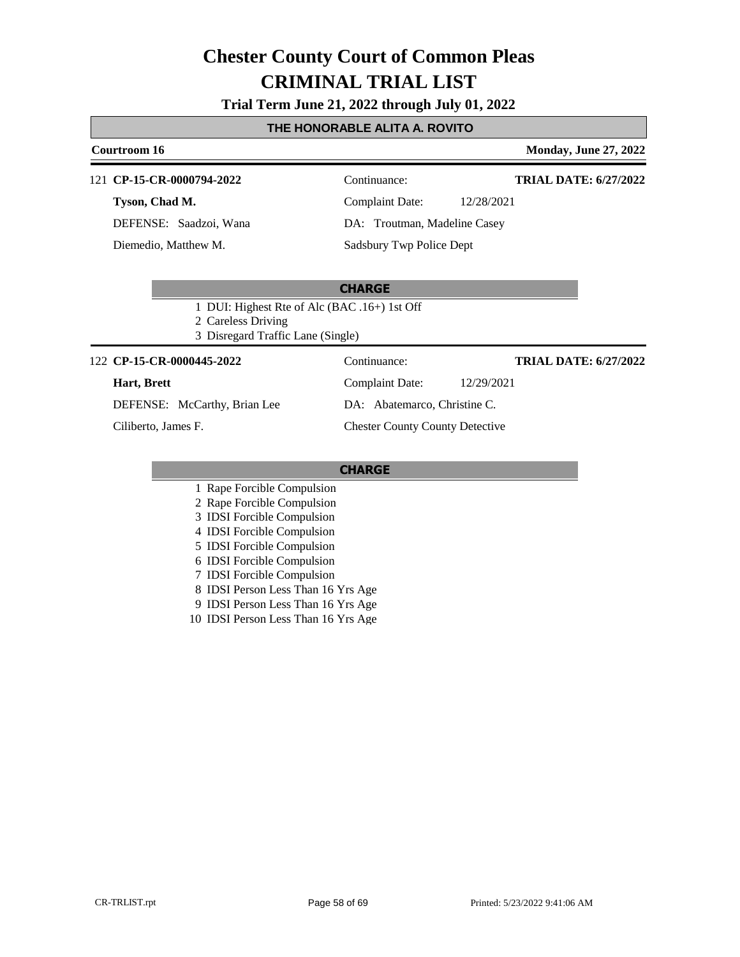#### **Trial Term June 21, 2022 through July 01, 2022**

### **THE HONORABLE ALITA A. ROVITO**

### **Courtroom 16 Monday, June 27, 2022** 121 **CP-15-CR-0000794-2022** Continuance: **TRIAL DATE: 6/27/2022**

**Tyson, Chad M.**

DEFENSE: Saadzoi, Wana Diemedio, Matthew M.

Complaint Date: 12/28/2021 DA: Troutman, Madeline Casey Sadsbury Twp Police Dept

#### **CHARGE**

1 DUI: Highest Rte of Alc (BAC .16+) 1st Off

2 Careless Driving

3 Disregard Traffic Lane (Single)

#### 122 **CP-15-CR-0000445-2022** Continuance:

#### **Hart, Brett**

DEFENSE: McCarthy, Brian Lee

Ciliberto, James F.

**TRIAL DATE: 6/27/2022**

Complaint Date: 12/29/2021 DA: Abatemarco, Christine C.

### Chester County County Detective

#### **CHARGE**

1 Rape Forcible Compulsion

- 2 Rape Forcible Compulsion
- 3 IDSI Forcible Compulsion
- 4 IDSI Forcible Compulsion
- 5 IDSI Forcible Compulsion
- 6 IDSI Forcible Compulsion
- 7 IDSI Forcible Compulsion
- 8 IDSI Person Less Than 16 Yrs Age
- 9 IDSI Person Less Than 16 Yrs Age
- 10 IDSI Person Less Than 16 Yrs Age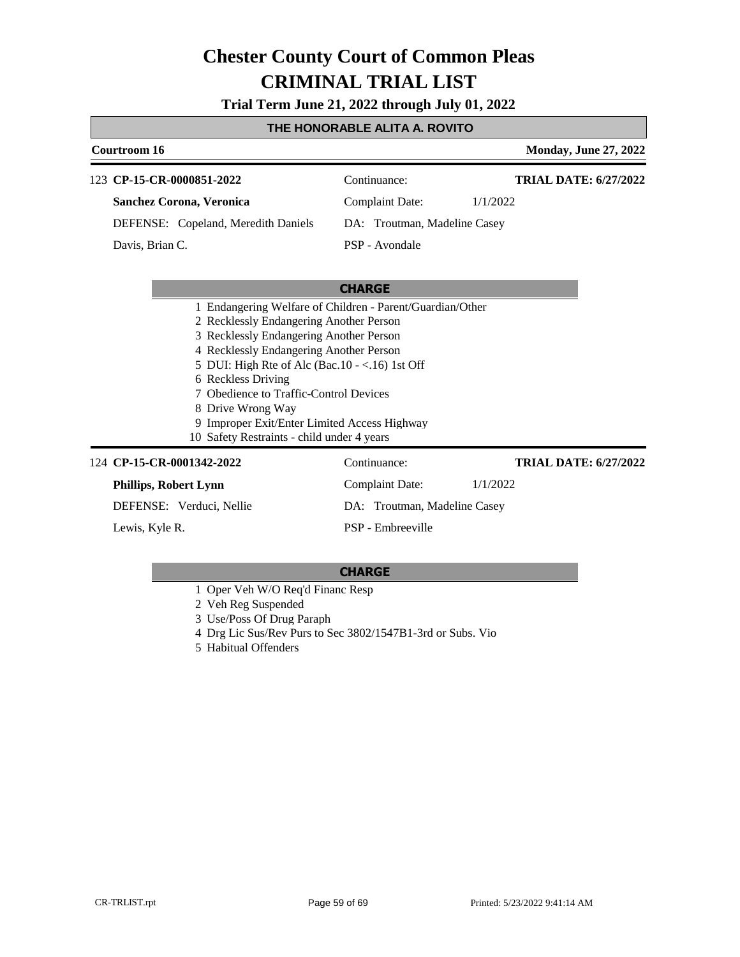**Trial Term June 21, 2022 through July 01, 2022**

#### **THE HONORABLE ALITA A. ROVITO**

|                                                   | Courtroom 16    |                                                           |                              |          | <b>Monday, June 27, 2022</b> |
|---------------------------------------------------|-----------------|-----------------------------------------------------------|------------------------------|----------|------------------------------|
|                                                   |                 | 123 CP-15-CR-0000851-2022                                 | Continuance:                 |          | TRIAL DATE: 6/27/2022        |
|                                                   |                 | Sanchez Corona, Veronica                                  | Complaint Date:              | 1/1/2022 |                              |
|                                                   |                 | DEFENSE: Copeland, Meredith Daniels                       | DA: Troutman, Madeline Casey |          |                              |
|                                                   | Davis, Brian C. |                                                           | PSP - Avondale               |          |                              |
|                                                   |                 |                                                           |                              |          |                              |
|                                                   |                 |                                                           | <b>CHARGE</b>                |          |                              |
|                                                   |                 | 1 Endangering Welfare of Children - Parent/Guardian/Other |                              |          |                              |
|                                                   |                 | 2 Recklessly Endangering Another Person                   |                              |          |                              |
|                                                   |                 | 3 Recklessly Endangering Another Person                   |                              |          |                              |
|                                                   |                 | 4 Recklessly Endangering Another Person                   |                              |          |                              |
| 5 DUI: High Rte of Alc (Bac. $10 - <16$ ) 1st Off |                 |                                                           |                              |          |                              |
| 6 Reckless Driving                                |                 |                                                           |                              |          |                              |
|                                                   |                 | 7 Obedience to Traffic-Control Devices                    |                              |          |                              |

8 Drive Wrong Way

- 9 Improper Exit/Enter Limited Access Highway
- 10 Safety Restraints child under 4 years

#### 124 **CP-15-CR-0001342-2022** Continuance: **Phillips, Robert Lynn** DEFENSE: Verduci, Nellie Complaint Date: 1/1/2022 DA: Troutman, Madeline Casey PSP - Embreeville **TRIAL DATE: 6/27/2022** Lewis, Kyle R.

- 1 Oper Veh W/O Req'd Financ Resp
- 2 Veh Reg Suspended
- 3 Use/Poss Of Drug Paraph
- 4 Drg Lic Sus/Rev Purs to Sec 3802/1547B1-3rd or Subs. Vio
- 5 Habitual Offenders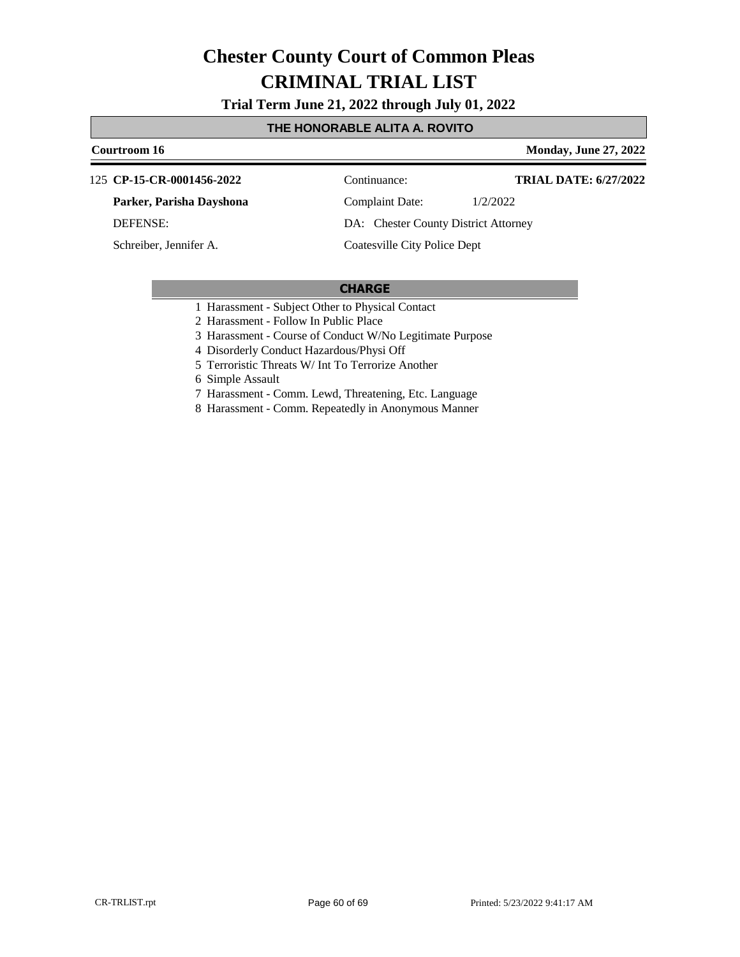**Trial Term June 21, 2022 through July 01, 2022**

#### **THE HONORABLE ALITA A. ROVITO**

#### **Courtroom 16 Monday, June 27, 2022 CP-15-CR-0001456-2022** 125 Continuance: **Parker, Parisha Dayshona** DEFENSE: Complaint Date: 1/2/2022 DA: Chester County District Attorney **TRIAL DATE: 6/27/2022**

Schreiber, Jennifer A.

Coatesville City Police Dept

#### **CHARGE**

1 Harassment - Subject Other to Physical Contact

2 Harassment - Follow In Public Place

3 Harassment - Course of Conduct W/No Legitimate Purpose

4 Disorderly Conduct Hazardous/Physi Off

5 Terroristic Threats W/ Int To Terrorize Another

6 Simple Assault

- 7 Harassment Comm. Lewd, Threatening, Etc. Language
- 8 Harassment Comm. Repeatedly in Anonymous Manner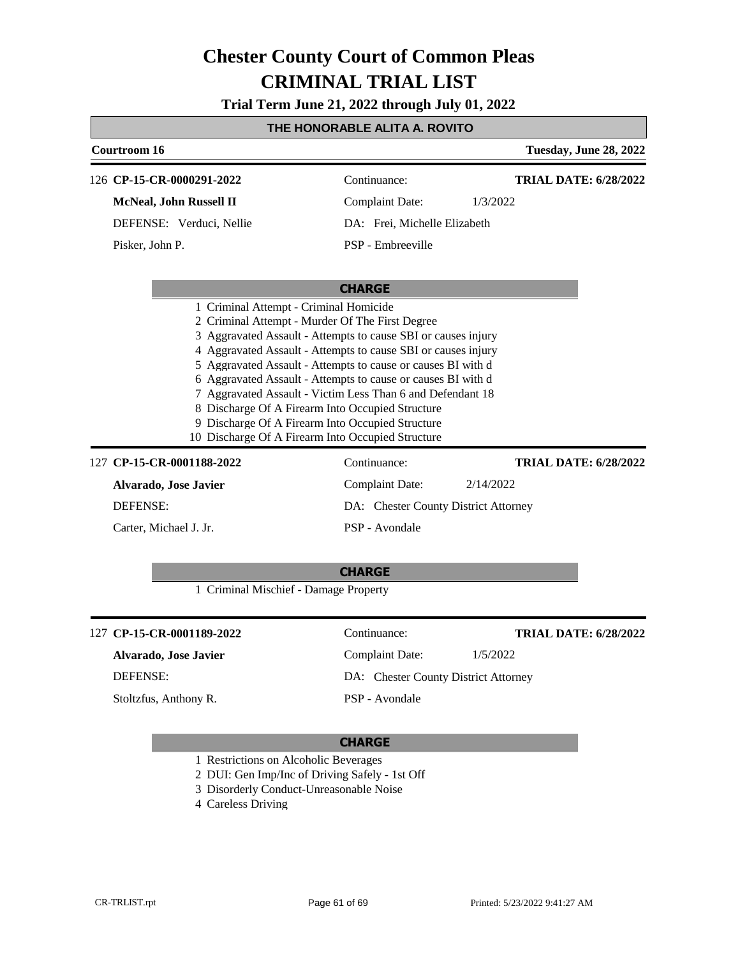**Trial Term June 21, 2022 through July 01, 2022**

### **THE HONORABLE ALITA A. ROVITO**

| Courtroom 16    |                                       |                                                                                                                                                                                                                                                                                                                                                                                                                                                                                                                                              | Tuesday, June 28, 2022       |
|-----------------|---------------------------------------|----------------------------------------------------------------------------------------------------------------------------------------------------------------------------------------------------------------------------------------------------------------------------------------------------------------------------------------------------------------------------------------------------------------------------------------------------------------------------------------------------------------------------------------------|------------------------------|
|                 | 126 CP-15-CR-0000291-2022             | Continuance:                                                                                                                                                                                                                                                                                                                                                                                                                                                                                                                                 | <b>TRIAL DATE: 6/28/2022</b> |
|                 | McNeal, John Russell II               | <b>Complaint Date:</b>                                                                                                                                                                                                                                                                                                                                                                                                                                                                                                                       | 1/3/2022                     |
|                 | DEFENSE: Verduci, Nellie              | DA: Frei, Michelle Elizabeth                                                                                                                                                                                                                                                                                                                                                                                                                                                                                                                 |                              |
| Pisker, John P. |                                       | PSP - Embreeville                                                                                                                                                                                                                                                                                                                                                                                                                                                                                                                            |                              |
|                 |                                       | <b>CHARGE</b>                                                                                                                                                                                                                                                                                                                                                                                                                                                                                                                                |                              |
|                 |                                       | 2 Criminal Attempt - Murder Of The First Degree<br>3 Aggravated Assault - Attempts to cause SBI or causes injury<br>4 Aggravated Assault - Attempts to cause SBI or causes injury<br>5 Aggravated Assault - Attempts to cause or causes BI with d<br>6 Aggravated Assault - Attempts to cause or causes BI with d<br>7 Aggravated Assault - Victim Less Than 6 and Defendant 18<br>8 Discharge Of A Firearm Into Occupied Structure<br>9 Discharge Of A Firearm Into Occupied Structure<br>10 Discharge Of A Firearm Into Occupied Structure |                              |
|                 | 127 CP-15-CR-0001188-2022             | Continuance:                                                                                                                                                                                                                                                                                                                                                                                                                                                                                                                                 | <b>TRIAL DATE: 6/28/2022</b> |
|                 | Alvarado, Jose Javier                 | <b>Complaint Date:</b>                                                                                                                                                                                                                                                                                                                                                                                                                                                                                                                       | 2/14/2022                    |
| <b>DEFENSE:</b> |                                       | DA: Chester County District Attorney                                                                                                                                                                                                                                                                                                                                                                                                                                                                                                         |                              |
|                 | Carter, Michael J. Jr.                | PSP - Avondale                                                                                                                                                                                                                                                                                                                                                                                                                                                                                                                               |                              |
|                 | 1 Criminal Mischief - Damage Property | <b>CHARGE</b>                                                                                                                                                                                                                                                                                                                                                                                                                                                                                                                                |                              |
|                 | 127 CP-15-CR-0001189-2022             | Continuance:                                                                                                                                                                                                                                                                                                                                                                                                                                                                                                                                 | <b>TRIAL DATE: 6/28/2022</b> |
|                 | Alvarado, Jose Javier                 | <b>Complaint Date:</b>                                                                                                                                                                                                                                                                                                                                                                                                                                                                                                                       | 1/5/2022                     |
| <b>DEFENSE:</b> |                                       | DA: Chester County District Attorney                                                                                                                                                                                                                                                                                                                                                                                                                                                                                                         |                              |
|                 | Stoltzfus, Anthony R.                 | PSP - Avondale                                                                                                                                                                                                                                                                                                                                                                                                                                                                                                                               |                              |
|                 |                                       |                                                                                                                                                                                                                                                                                                                                                                                                                                                                                                                                              |                              |

#### **CHARGE**

1 Restrictions on Alcoholic Beverages

- 2 DUI: Gen Imp/Inc of Driving Safely 1st Off
- 3 Disorderly Conduct-Unreasonable Noise
- 4 Careless Driving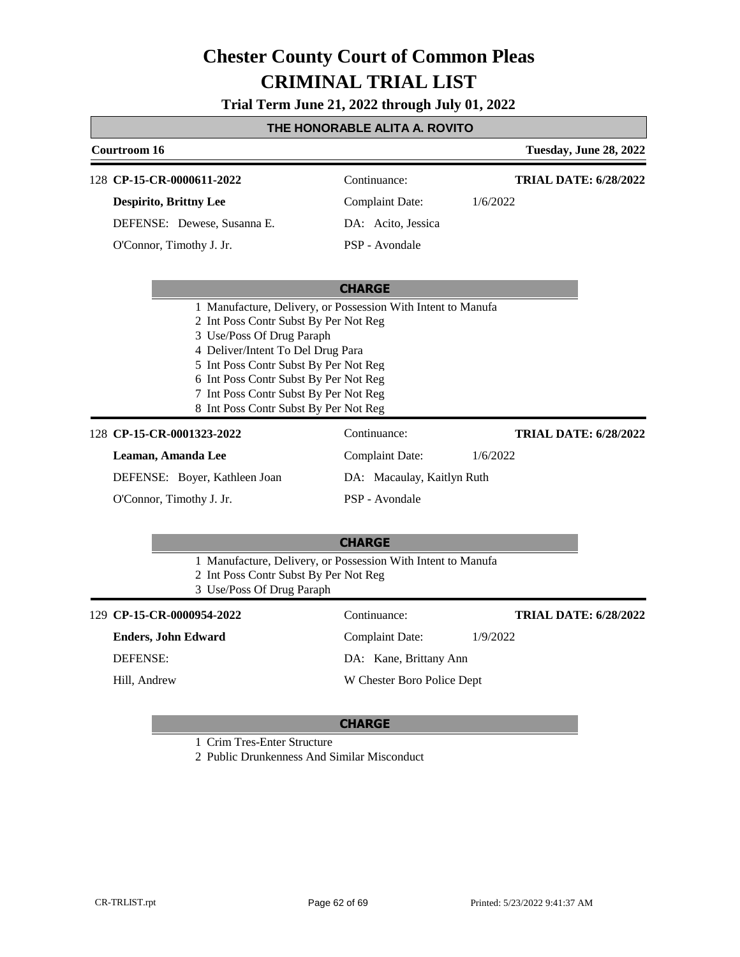**Trial Term June 21, 2022 through July 01, 2022**

### **THE HONORABLE ALITA A. ROVITO**

| Courtroom 16                                                                                                                                                                                                                                                                                                                                |                            | Tuesday, June 28, 2022       |
|---------------------------------------------------------------------------------------------------------------------------------------------------------------------------------------------------------------------------------------------------------------------------------------------------------------------------------------------|----------------------------|------------------------------|
| 128 CP-15-CR-0000611-2022                                                                                                                                                                                                                                                                                                                   | Continuance:               | <b>TRIAL DATE: 6/28/2022</b> |
| <b>Despirito, Brittny Lee</b>                                                                                                                                                                                                                                                                                                               | <b>Complaint Date:</b>     | 1/6/2022                     |
| DEFENSE: Dewese, Susanna E.                                                                                                                                                                                                                                                                                                                 | DA: Acito, Jessica         |                              |
| O'Connor, Timothy J. Jr.                                                                                                                                                                                                                                                                                                                    | PSP - Avondale             |                              |
|                                                                                                                                                                                                                                                                                                                                             | <b>CHARGE</b>              |                              |
| 1 Manufacture, Delivery, or Possession With Intent to Manufa<br>2 Int Poss Contr Subst By Per Not Reg<br>3 Use/Poss Of Drug Paraph<br>4 Deliver/Intent To Del Drug Para<br>5 Int Poss Contr Subst By Per Not Reg<br>6 Int Poss Contr Subst By Per Not Reg<br>7 Int Poss Contr Subst By Per Not Reg<br>8 Int Poss Contr Subst By Per Not Reg |                            |                              |
| 128 CP-15-CR-0001323-2022                                                                                                                                                                                                                                                                                                                   | Continuance:               | <b>TRIAL DATE: 6/28/2022</b> |
| Leaman, Amanda Lee                                                                                                                                                                                                                                                                                                                          | <b>Complaint Date:</b>     | 1/6/2022                     |
| DEFENSE: Boyer, Kathleen Joan                                                                                                                                                                                                                                                                                                               | DA: Macaulay, Kaitlyn Ruth |                              |
| O'Connor, Timothy J. Jr.                                                                                                                                                                                                                                                                                                                    | PSP - Avondale             |                              |
|                                                                                                                                                                                                                                                                                                                                             | <b>CHARGE</b>              |                              |
| 1 Manufacture, Delivery, or Possession With Intent to Manufa<br>2 Int Poss Contr Subst By Per Not Reg<br>3 Use/Poss Of Drug Paraph                                                                                                                                                                                                          |                            |                              |
| 129 CP-15-CR-0000954-2022                                                                                                                                                                                                                                                                                                                   | Continuance:               | <b>TRIAL DATE: 6/28/2022</b> |
| <b>Enders, John Edward</b>                                                                                                                                                                                                                                                                                                                  | <b>Complaint Date:</b>     | 1/9/2022                     |
| <b>DEFENSE:</b>                                                                                                                                                                                                                                                                                                                             | DA: Kane, Brittany Ann     |                              |
| Hill, Andrew                                                                                                                                                                                                                                                                                                                                | W Chester Boro Police Dept |                              |
|                                                                                                                                                                                                                                                                                                                                             |                            |                              |

### **CHARGE**

1 Crim Tres-Enter Structure

2 Public Drunkenness And Similar Misconduct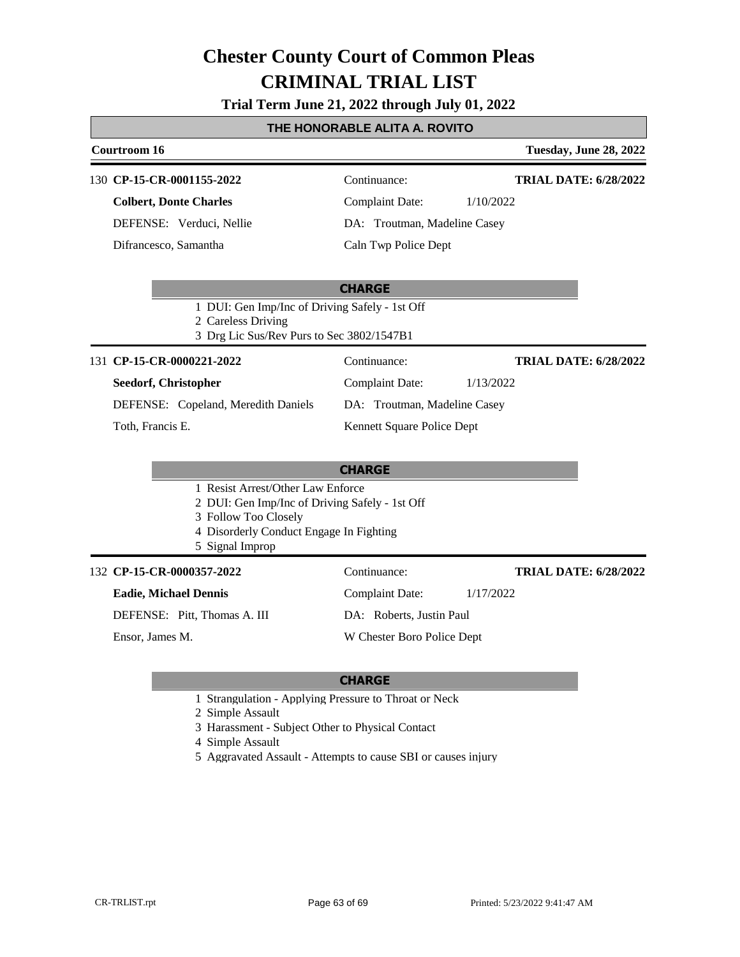### **Trial Term June 21, 2022 through July 01, 2022**

### **THE HONORABLE ALITA A. ROVITO**

|                                                                                                                   | Courtroom 16                                   |                              | Tuesday, June 28, 2022       |  |
|-------------------------------------------------------------------------------------------------------------------|------------------------------------------------|------------------------------|------------------------------|--|
|                                                                                                                   | 130 CP-15-CR-0001155-2022                      | Continuance:                 | <b>TRIAL DATE: 6/28/2022</b> |  |
|                                                                                                                   | <b>Colbert, Donte Charles</b>                  | <b>Complaint Date:</b>       | 1/10/2022                    |  |
|                                                                                                                   | DEFENSE: Verduci, Nellie                       | DA: Troutman, Madeline Casey |                              |  |
|                                                                                                                   | Difrancesco, Samantha                          | Caln Twp Police Dept         |                              |  |
|                                                                                                                   |                                                | <b>CHARGE</b>                |                              |  |
| 1 DUI: Gen Imp/Inc of Driving Safely - 1st Off<br>2 Careless Driving<br>3 Drg Lic Sus/Rev Purs to Sec 3802/1547B1 |                                                |                              |                              |  |
|                                                                                                                   | 131 CP-15-CR-0000221-2022                      | Continuance:                 | <b>TRIAL DATE: 6/28/2022</b> |  |
|                                                                                                                   | Seedorf, Christopher                           | <b>Complaint Date:</b>       | 1/13/2022                    |  |
|                                                                                                                   | DEFENSE: Copeland, Meredith Daniels            | DA: Troutman, Madeline Casey |                              |  |
|                                                                                                                   | Toth, Francis E.                               | Kennett Square Police Dept   |                              |  |
|                                                                                                                   |                                                | <b>CHARGE</b>                |                              |  |
|                                                                                                                   | 1 Resist Arrest/Other Law Enforce              |                              |                              |  |
|                                                                                                                   | 2 DUI: Gen Imp/Inc of Driving Safely - 1st Off |                              |                              |  |
|                                                                                                                   | 3 Follow Too Closely                           |                              |                              |  |
|                                                                                                                   | 4 Disorderly Conduct Engage In Fighting        |                              |                              |  |

5 Signal Improp

#### **CP-15-CR-0000357-2022** 132 Continuance:

#### **Eadie, Michael Dennis**

DEFENSE: Pitt, Thomas A. III

Ensor, James M.

Complaint Date: 1/17/2022 DA: Roberts, Justin Paul

W Chester Boro Police Dept

#### **CHARGE**

- 1 Strangulation Applying Pressure to Throat or Neck
- 2 Simple Assault
- 3 Harassment Subject Other to Physical Contact
- 4 Simple Assault
- 5 Aggravated Assault Attempts to cause SBI or causes injury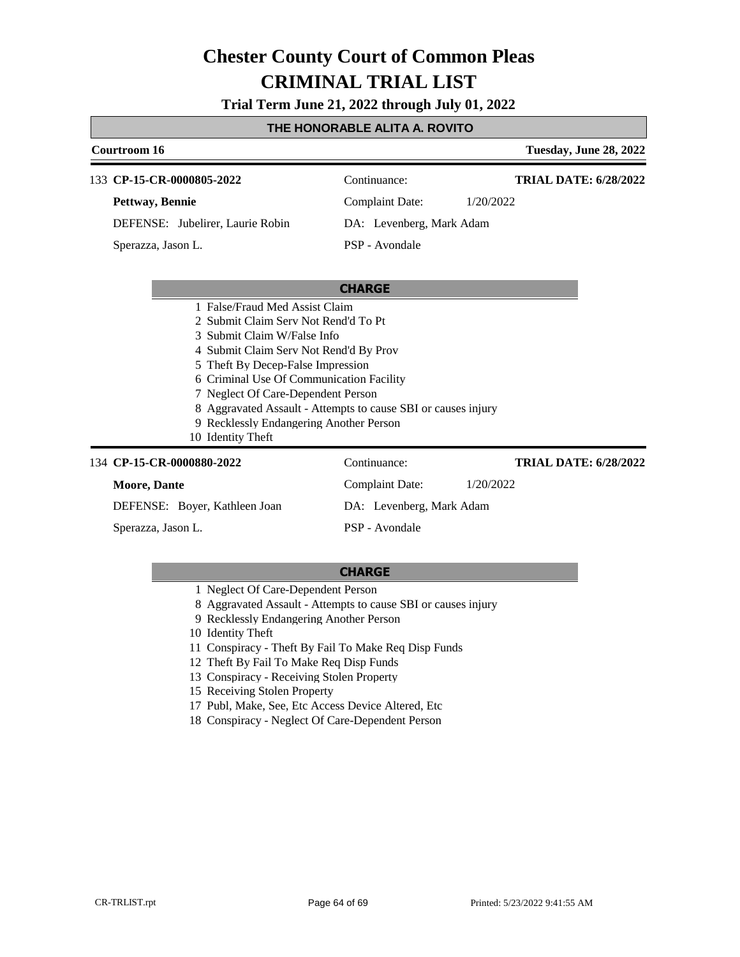**Trial Term June 21, 2022 through July 01, 2022**

### **THE HONORABLE ALITA A. ROVITO**

| Courtroom 16                                                  |                          | Tuesday, June 28, 2022       |  |
|---------------------------------------------------------------|--------------------------|------------------------------|--|
| 133 CP-15-CR-0000805-2022                                     | Continuance:             | <b>TRIAL DATE: 6/28/2022</b> |  |
| Pettway, Bennie                                               | Complaint Date:          | 1/20/2022                    |  |
| DEFENSE: Jubelirer, Laurie Robin                              | DA: Levenberg, Mark Adam |                              |  |
| Sperazza, Jason L.                                            | PSP - Avondale           |                              |  |
|                                                               |                          |                              |  |
|                                                               | <b>CHARGE</b>            |                              |  |
| 1 False/Fraud Med Assist Claim                                |                          |                              |  |
| 2 Submit Claim Serv Not Rend'd To Pt                          |                          |                              |  |
| 3 Submit Claim W/False Info                                   |                          |                              |  |
| 4 Submit Claim Serv Not Rend'd By Prov                        |                          |                              |  |
| 5 Theft By Decep-False Impression                             |                          |                              |  |
| 6 Criminal Use Of Communication Facility                      |                          |                              |  |
| 7 Neglect Of Care-Dependent Person                            |                          |                              |  |
| 8 Aggravated Assault - Attempts to cause SBI or causes injury |                          |                              |  |

- 9 Recklessly Endangering Another Person
- 10 Identity Theft

| 134 CP-15-CR-0000880-2022     | Continuance:             | <b>TRIAL DATE: 6/28/2022</b> |
|-------------------------------|--------------------------|------------------------------|
| <b>Moore, Dante</b>           | Complaint Date:          | 1/20/2022                    |
| DEFENSE: Boyer, Kathleen Joan | DA: Levenberg, Mark Adam |                              |
| Sperazza, Jason L.            | PSP - Avondale           |                              |

- 1 Neglect Of Care-Dependent Person
- 8 Aggravated Assault Attempts to cause SBI or causes injury
- 9 Recklessly Endangering Another Person
- 10 Identity Theft
- 11 Conspiracy Theft By Fail To Make Req Disp Funds
- 12 Theft By Fail To Make Req Disp Funds
- 13 Conspiracy Receiving Stolen Property
- 15 Receiving Stolen Property
- 17 Publ, Make, See, Etc Access Device Altered, Etc
- 18 Conspiracy Neglect Of Care-Dependent Person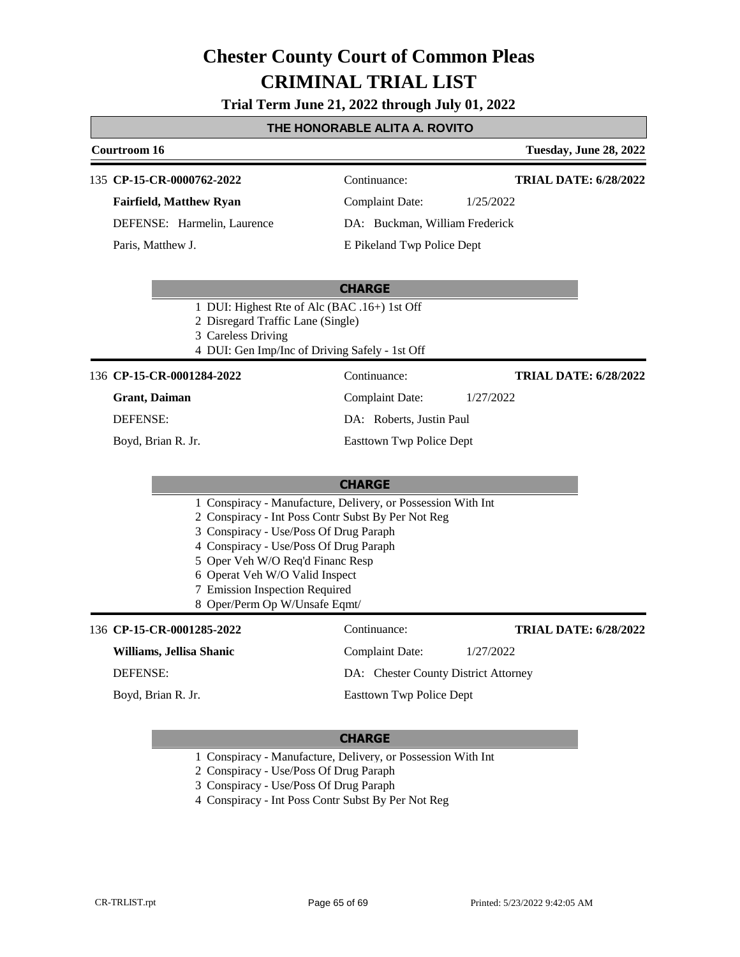**Trial Term June 21, 2022 through July 01, 2022**

#### **THE HONORABLE ALITA A. ROVITO**

### **Courtroom 16 Tuesday, June 28, 2022 CHARGE** 135 **CP-15-CR-0000762-2022** Continuance: **Fairfield, Matthew Ryan** DEFENSE: Harmelin, Laurence Complaint Date: 1/25/2022 DA: Buckman, William Frederick E Pikeland Twp Police Dept **TRIAL DATE: 6/28/2022** Paris, Matthew J. 1 DUI: Highest Rte of Alc (BAC .16+) 1st Off 2 Disregard Traffic Lane (Single) 3 Careless Driving 4 DUI: Gen Imp/Inc of Driving Safely - 1st Off **CHARGE** 136 **CP-15-CR-0001284-2022** Continuance: **Grant, Daiman** DEFENSE: Complaint Date: 1/27/2022 DA: Roberts, Justin Paul Easttown Twp Police Dept **TRIAL DATE: 6/28/2022** Boyd, Brian R. Jr. 1 Conspiracy - Manufacture, Delivery, or Possession With Int 2 Conspiracy - Int Poss Contr Subst By Per Not Reg 3 Conspiracy - Use/Poss Of Drug Paraph 4 Conspiracy - Use/Poss Of Drug Paraph 5 Oper Veh W/O Req'd Financ Resp 6 Operat Veh W/O Valid Inspect 7 Emission Inspection Required 8 Oper/Perm Op W/Unsafe Eqmt/ 136 **CP-15-CR-0001285-2022** Continuance: **Williams, Jellisa Shanic** DEFENSE: Complaint Date: 1/27/2022 DA: Chester County District Attorney Easttown Twp Police Dept **TRIAL DATE: 6/28/2022** Boyd, Brian R. Jr.

#### **CHARGE**

1 Conspiracy - Manufacture, Delivery, or Possession With Int

- 2 Conspiracy Use/Poss Of Drug Paraph
- 3 Conspiracy Use/Poss Of Drug Paraph
- 4 Conspiracy Int Poss Contr Subst By Per Not Reg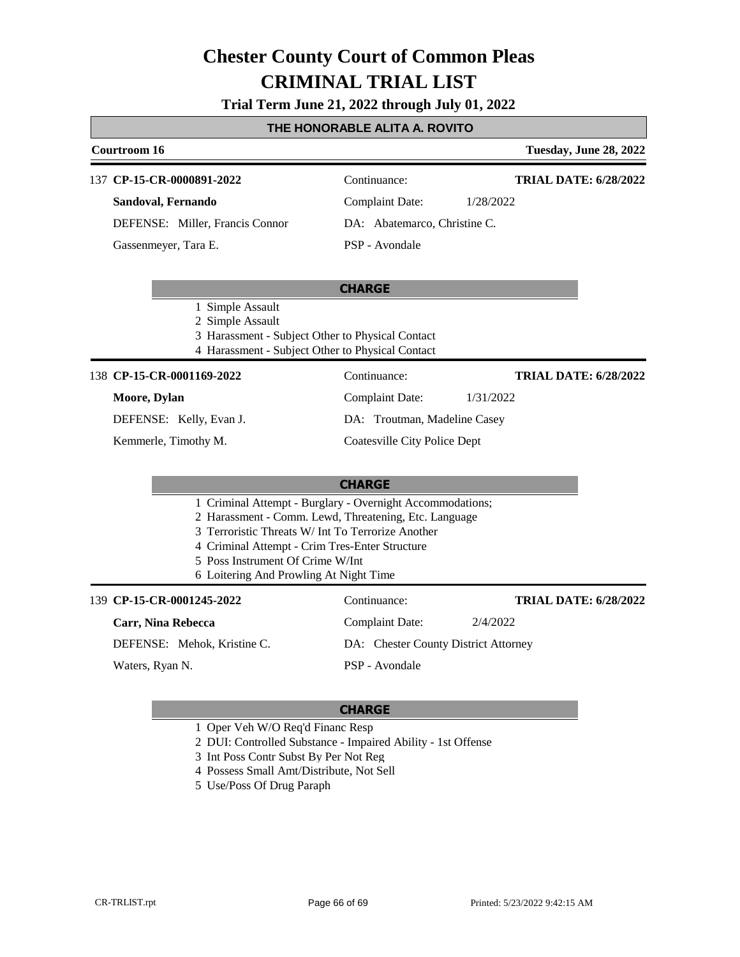#### **Trial Term June 21, 2022 through July 01, 2022**

#### **THE HONORABLE ALITA A. ROVITO**

### **Courtroom 16 Tuesday, June 28, 2022 CHARGE** 137 **CP-15-CR-0000891-2022** Continuance: **Sandoval, Fernando** DEFENSE: Miller, Francis Connor Complaint Date: 1/28/2022 DA: Abatemarco, Christine C. PSP - Avondale **TRIAL DATE: 6/28/2022** Gassenmeyer, Tara E. 1 Simple Assault 2 Simple Assault

- 3 Harassment Subject Other to Physical Contact
- 4 Harassment Subject Other to Physical Contact

#### 138 **CP-15-CR-0001169-2022** Continuance:

#### **Moore, Dylan**

DEFENSE: Kelly, Evan J.

Kemmerle, Timothy M.

**TRIAL DATE: 6/28/2022**

**TRIAL DATE: 6/28/2022**

Complaint Date: 1/31/2022 DA: Troutman, Madeline Casey

Complaint Date: 2/4/2022 DA: Chester County District Attorney

#### Coatesville City Police Dept

#### **CHARGE**

- 1 Criminal Attempt Burglary Overnight Accommodations;
- 2 Harassment Comm. Lewd, Threatening, Etc. Language
- 3 Terroristic Threats W/ Int To Terrorize Another
- 4 Criminal Attempt Crim Tres-Enter Structure
- 5 Poss Instrument Of Crime W/Int
- 6 Loitering And Prowling At Night Time

#### **CP-15-CR-0001245-2022** 139 Continuance:

#### **Carr, Nina Rebecca**

DEFENSE: Mehok, Kristine C.

Waters, Ryan N.

# PSP - Avondale

- 1 Oper Veh W/O Req'd Financ Resp
- 2 DUI: Controlled Substance Impaired Ability 1st Offense
- 3 Int Poss Contr Subst By Per Not Reg
- 4 Possess Small Amt/Distribute, Not Sell
- 5 Use/Poss Of Drug Paraph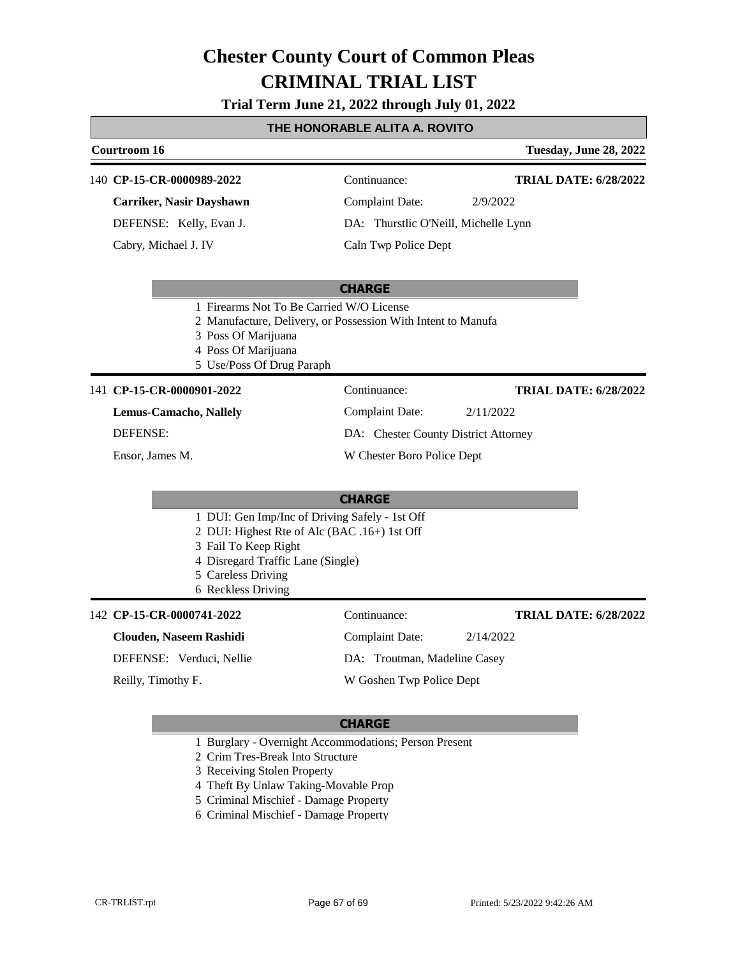# **CRIMINAL TRIAL LIST Chester County Court of Common Pleas**

**Trial Term June 21, 2022 through July 01, 2022**

### **THE HONORABLE ALITA A. ROVITO**

### **Courtroom 16 Tuesday, June 28, 2022 CHARGE CP-15-CR-0000989-2022** 140 Continuance: **Carriker, Nasir Dayshawn** DEFENSE: Kelly, Evan J. Complaint Date: 2/9/2022 DA: Thurstlic O'Neill, Michelle Lynn Caln Twp Police Dept **TRIAL DATE: 6/28/2022** Cabry, Michael J. IV 1 Firearms Not To Be Carried W/O License 2 Manufacture, Delivery, or Possession With Intent to Manufa 3 Poss Of Marijuana 4 Poss Of Marijuana 5 Use/Poss Of Drug Paraph 141 **CP-15-CR-0000901-2022** Continuance: **Lemus-Camacho, Nallely** DEFENSE: Complaint Date: 2/11/2022 DA: Chester County District Attorney W Chester Boro Police Dept **TRIAL DATE: 6/28/2022** Ensor, James M.

**CHARGE** DUI: Gen Imp/Inc of Driving Safely - 1st Off DUI: Highest Rte of Alc (BAC .16+) 1st Off Fail To Keep Right Disregard Traffic Lane (Single) Careless Driving Reckless Driving

#### **CP-15-CR-0000741-2022** 142 Continuance: **Clouden, Naseem Rashidi** DEFENSE: Verduci, Nellie Complaint Date: 2/14/2022 DA: Troutman, Madeline Casey W Goshen Twp Police Dept **TRIAL DATE: 6/28/2022** Reilly, Timothy F.

#### **CHARGE**

- 1 Burglary Overnight Accommodations; Person Present
- 2 Crim Tres-Break Into Structure
- 3 Receiving Stolen Property
- 4 Theft By Unlaw Taking-Movable Prop
- 5 Criminal Mischief Damage Property
- 6 Criminal Mischief Damage Property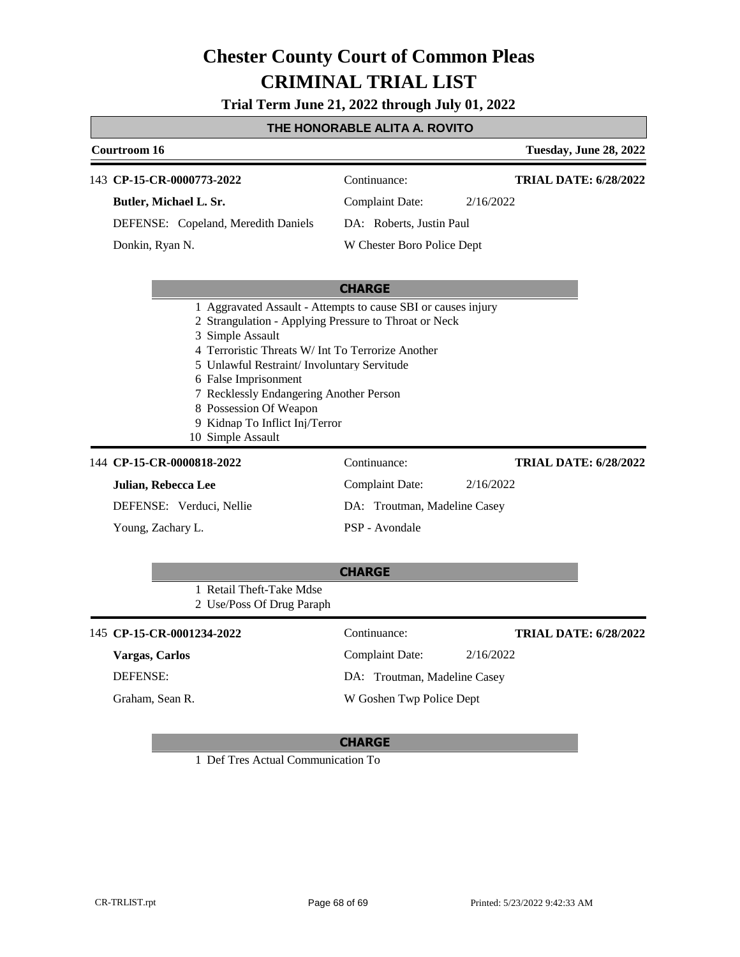# **CRIMINAL TRIAL LIST Chester County Court of Common Pleas**

**Trial Term June 21, 2022 through July 01, 2022**

## **THE HONORABLE ALITA A. ROVITO**

| Courtroom 16                                                                                                                                                                                                                                                                                                                      |                              | Tuesday, June 28, 2022       |
|-----------------------------------------------------------------------------------------------------------------------------------------------------------------------------------------------------------------------------------------------------------------------------------------------------------------------------------|------------------------------|------------------------------|
| 143 CP-15-CR-0000773-2022                                                                                                                                                                                                                                                                                                         | Continuance:                 | <b>TRIAL DATE: 6/28/2022</b> |
| Butler, Michael L. Sr.                                                                                                                                                                                                                                                                                                            | <b>Complaint Date:</b>       | 2/16/2022                    |
| DEFENSE: Copeland, Meredith Daniels                                                                                                                                                                                                                                                                                               | DA: Roberts, Justin Paul     |                              |
| Donkin, Ryan N.                                                                                                                                                                                                                                                                                                                   | W Chester Boro Police Dept   |                              |
|                                                                                                                                                                                                                                                                                                                                   | <b>CHARGE</b>                |                              |
| 2 Strangulation - Applying Pressure to Throat or Neck<br>3 Simple Assault<br>4 Terroristic Threats W/ Int To Terrorize Another<br>5 Unlawful Restraint/ Involuntary Servitude<br>6 False Imprisonment<br>7 Recklessly Endangering Another Person<br>8 Possession Of Weapon<br>9 Kidnap To Inflict Inj/Terror<br>10 Simple Assault |                              |                              |
| 144 CP-15-CR-0000818-2022                                                                                                                                                                                                                                                                                                         | Continuance:                 | <b>TRIAL DATE: 6/28/2022</b> |
| Julian, Rebecca Lee                                                                                                                                                                                                                                                                                                               | <b>Complaint Date:</b>       | 2/16/2022                    |
| DEFENSE: Verduci, Nellie                                                                                                                                                                                                                                                                                                          | DA: Troutman, Madeline Casey |                              |
| Young, Zachary L.                                                                                                                                                                                                                                                                                                                 | PSP - Avondale               |                              |
| 1 Retail Theft-Take Mdse<br>2 Use/Poss Of Drug Paraph                                                                                                                                                                                                                                                                             | <b>CHARGE</b>                |                              |
| 145 CP-15-CR-0001234-2022                                                                                                                                                                                                                                                                                                         | Continuance:                 | <b>TRIAL DATE: 6/28/2022</b> |
| Vargas, Carlos                                                                                                                                                                                                                                                                                                                    | <b>Complaint Date:</b>       | 2/16/2022                    |
| DEFENSE:                                                                                                                                                                                                                                                                                                                          | DA: Troutman, Madeline Casey |                              |
| Graham. Sean R.                                                                                                                                                                                                                                                                                                                   | W Goshen Twp Police Dept     |                              |

### **CHARGE**

1 Def Tres Actual Communication To